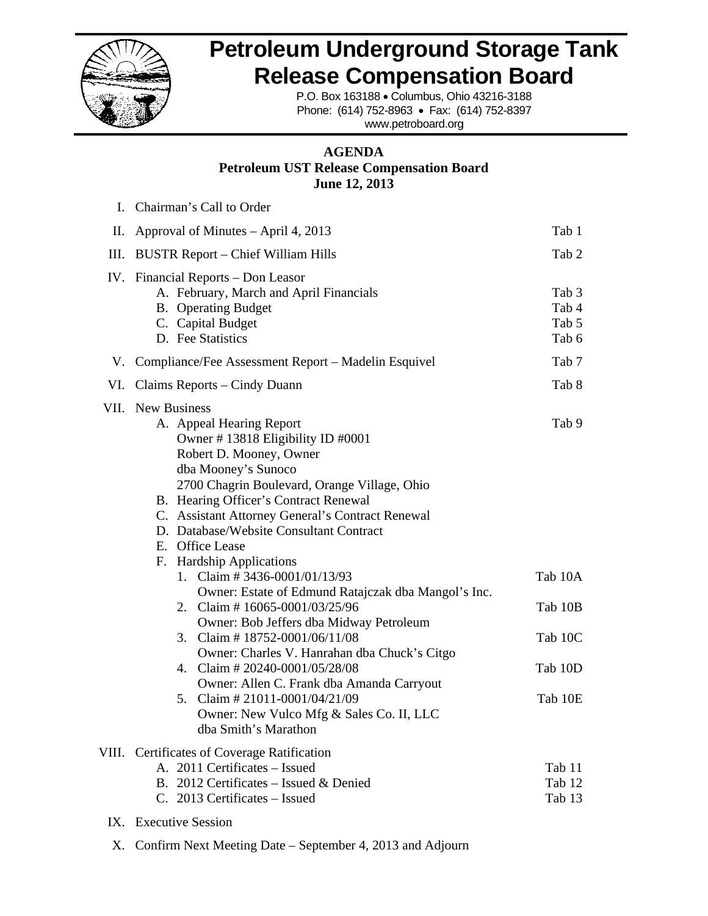

#### **Petroleum Underground Storage Tank<br>
Release Compensation Board<br>
P.O. Box 163188 • Columbus, Ohio 43216-3188<br>
Phone: (614) 752-8963 • Fax: (614) 752-8397 R Release e Com pensat tion Bo oard**

#### **Petroleum UST Release Compensation Board A AGENDA Jun ne 12, 2013**

|     | <b>Petroleum Underground Storage Ta</b>                                                                                                                                                                                                                                                                                                                                     |                                             |
|-----|-----------------------------------------------------------------------------------------------------------------------------------------------------------------------------------------------------------------------------------------------------------------------------------------------------------------------------------------------------------------------------|---------------------------------------------|
|     | <b>Release Compensation Board</b><br>P.O. Box 163188 . Columbus, Ohio 43216-3188                                                                                                                                                                                                                                                                                            |                                             |
|     | Phone: (614) 752-8963 · Fax: (614) 752-8397<br>www.petroboard.org                                                                                                                                                                                                                                                                                                           |                                             |
|     | <b>AGENDA</b><br><b>Petroleum UST Release Compensation Board</b><br><b>June 12, 2013</b>                                                                                                                                                                                                                                                                                    |                                             |
| L   | Chairman's Call to Order                                                                                                                                                                                                                                                                                                                                                    |                                             |
| П.  | Approval of Minutes – April 4, 2013                                                                                                                                                                                                                                                                                                                                         | Tab 1                                       |
| Ш.  | <b>BUSTR Report – Chief William Hills</b>                                                                                                                                                                                                                                                                                                                                   | Tab 2                                       |
|     | IV. Financial Reports – Don Leasor<br>A. February, March and April Financials<br><b>B.</b> Operating Budget<br>C. Capital Budget<br>D. Fee Statistics                                                                                                                                                                                                                       | Tab <sub>3</sub><br>Tab 4<br>Tab 5<br>Tab 6 |
|     | V. Compliance/Fee Assessment Report – Madelin Esquivel                                                                                                                                                                                                                                                                                                                      | Tab 7                                       |
| VI. | Claims Reports – Cindy Duann                                                                                                                                                                                                                                                                                                                                                | Tab 8                                       |
|     | VII. New Business<br>A. Appeal Hearing Report<br>Owner #13818 Eligibility ID #0001<br>Robert D. Mooney, Owner<br>dba Mooney's Sunoco<br>2700 Chagrin Boulevard, Orange Village, Ohio<br>B. Hearing Officer's Contract Renewal<br>C. Assistant Attorney General's Contract Renewal<br>D. Database/Website Consultant Contract<br>E. Office Lease<br>F. Hardship Applications | Tab 9                                       |
|     | Claim #3436-0001/01/13/93<br>1.<br>Owner: Estate of Edmund Ratajczak dba Mangol's Inc.                                                                                                                                                                                                                                                                                      | Tab 10A                                     |
|     | 2. Claim #16065-0001/03/25/96                                                                                                                                                                                                                                                                                                                                               | Tab 10B                                     |
|     | Owner: Bob Jeffers dba Midway Petroleum<br>Claim #18752-0001/06/11/08<br>3.                                                                                                                                                                                                                                                                                                 | Tab 10C                                     |
|     | Owner: Charles V. Hanrahan dba Chuck's Citgo<br>4. Claim # 20240-0001/05/28/08                                                                                                                                                                                                                                                                                              | Tab 10D                                     |
|     | Owner: Allen C. Frank dba Amanda Carryout<br>Claim # 21011-0001/04/21/09<br>5.<br>Owner: New Vulco Mfg & Sales Co. II, LLC<br>dba Smith's Marathon                                                                                                                                                                                                                          | Tab 10E                                     |
|     | VIII. Certificates of Coverage Ratification<br>A. 2011 Certificates - Issued<br>B. 2012 Certificates – Issued & Denied<br>C. 2013 Certificates – Issued                                                                                                                                                                                                                     | Tab 11<br>Tab 12<br>Tab 13                  |
|     | IX. Executive Session                                                                                                                                                                                                                                                                                                                                                       |                                             |
| Х.  | Confirm Next Meeting Date – September 4, 2013 and Adjourn                                                                                                                                                                                                                                                                                                                   |                                             |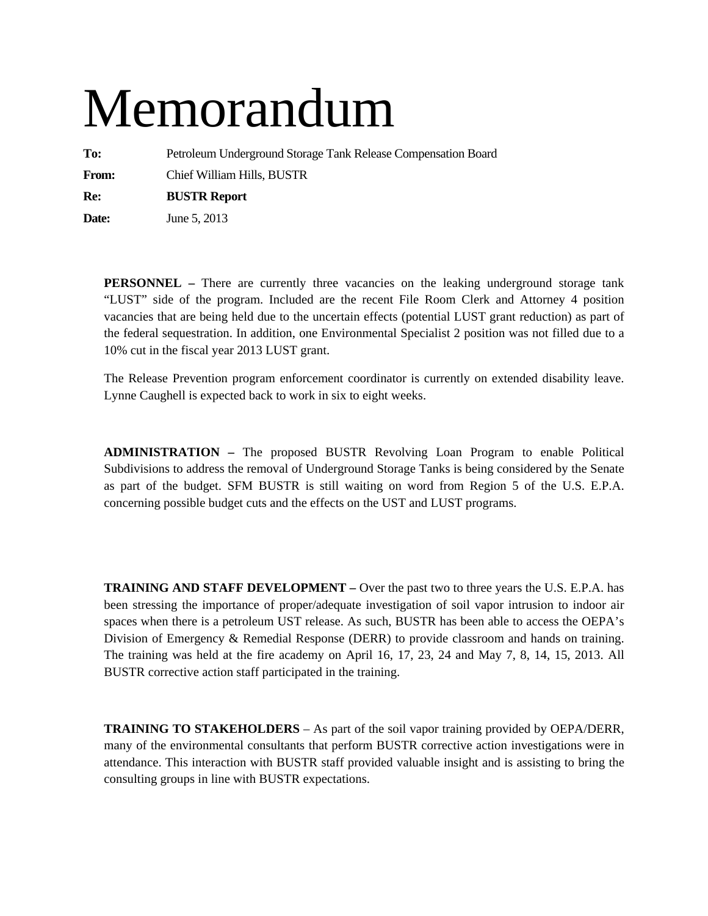# Memorandum

**To:** Petroleum Underground Storage Tank Release Compensation Board **From:** Chief William Hills, BUSTR

**Re: BUSTR Report** 

**Date:** June 5, 2013

**PERSONNEL** – There are currently three vacancies on the leaking underground storage tank "LUST" side of the program. Included are the recent File Room Clerk and Attorney 4 position vacancies that are being held due to the uncertain effects (potential LUST grant reduction) as part of the federal sequestration. In addition, one Environmental Specialist 2 position was not filled due to a 10% cut in the fiscal year 2013 LUST grant.

The Release Prevention program enforcement coordinator is currently on extended disability leave. Lynne Caughell is expected back to work in six to eight weeks.

**ADMINISTRATION –** The proposed BUSTR Revolving Loan Program to enable Political Subdivisions to address the removal of Underground Storage Tanks is being considered by the Senate as part of the budget. SFM BUSTR is still waiting on word from Region 5 of the U.S. E.P.A. concerning possible budget cuts and the effects on the UST and LUST programs.

**TRAINING AND STAFF DEVELOPMENT –** Over the past two to three years the U.S. E.P.A. has been stressing the importance of proper/adequate investigation of soil vapor intrusion to indoor air spaces when there is a petroleum UST release. As such, BUSTR has been able to access the OEPA's Division of Emergency & Remedial Response (DERR) to provide classroom and hands on training. The training was held at the fire academy on April 16, 17, 23, 24 and May 7, 8, 14, 15, 2013. All BUSTR corrective action staff participated in the training.

**TRAINING TO STAKEHOLDERS** – As part of the soil vapor training provided by OEPA/DERR, many of the environmental consultants that perform BUSTR corrective action investigations were in attendance. This interaction with BUSTR staff provided valuable insight and is assisting to bring the consulting groups in line with BUSTR expectations.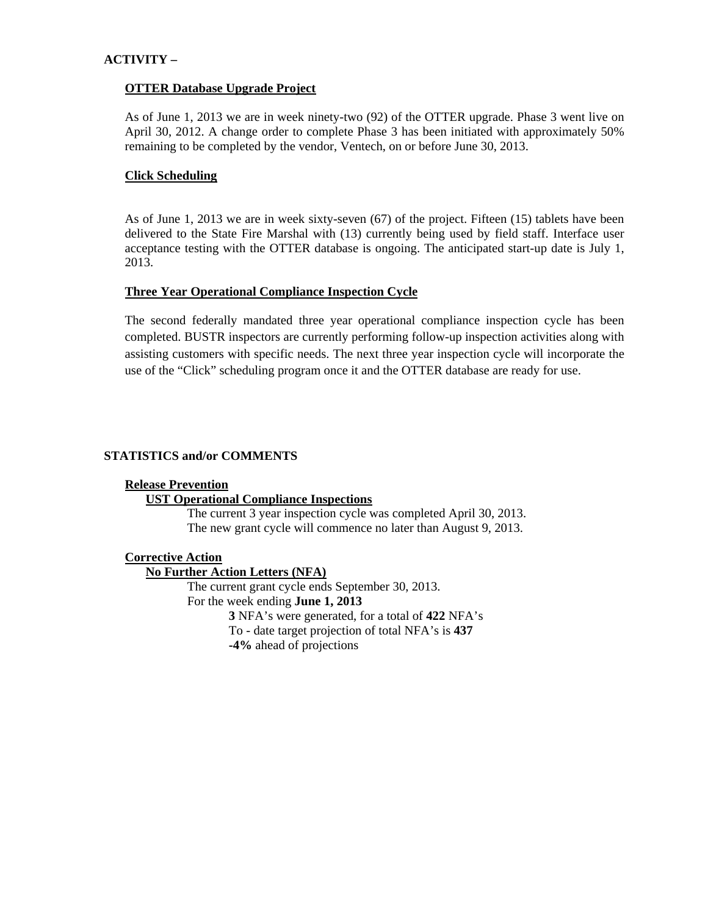#### **ACTIVITY –**

#### **OTTER Database Upgrade Project**

As of June 1, 2013 we are in week ninety-two (92) of the OTTER upgrade. Phase 3 went live on April 30, 2012. A change order to complete Phase 3 has been initiated with approximately 50% remaining to be completed by the vendor, Ventech, on or before June 30, 2013.

#### **Click Scheduling**

As of June 1, 2013 we are in week sixty-seven (67) of the project. Fifteen (15) tablets have been delivered to the State Fire Marshal with (13) currently being used by field staff. Interface user acceptance testing with the OTTER database is ongoing. The anticipated start-up date is July 1, 2013.

#### **Three Year Operational Compliance Inspection Cycle**

The second federally mandated three year operational compliance inspection cycle has been completed. BUSTR inspectors are currently performing follow-up inspection activities along with assisting customers with specific needs. The next three year inspection cycle will incorporate the use of the "Click" scheduling program once it and the OTTER database are ready for use.

#### **STATISTICS and/or COMMENTS**

#### **Release Prevention**

#### **UST Operational Compliance Inspections**

The current 3 year inspection cycle was completed April 30, 2013. The new grant cycle will commence no later than August 9, 2013.

#### **Corrective Action**

#### **No Further Action Letters (NFA)**

The current grant cycle ends September 30, 2013. For the week ending **June 1, 2013 3** NFA's were generated, for a total of **422** NFA's To - date target projection of total NFA's is **437 -4%** ahead of projections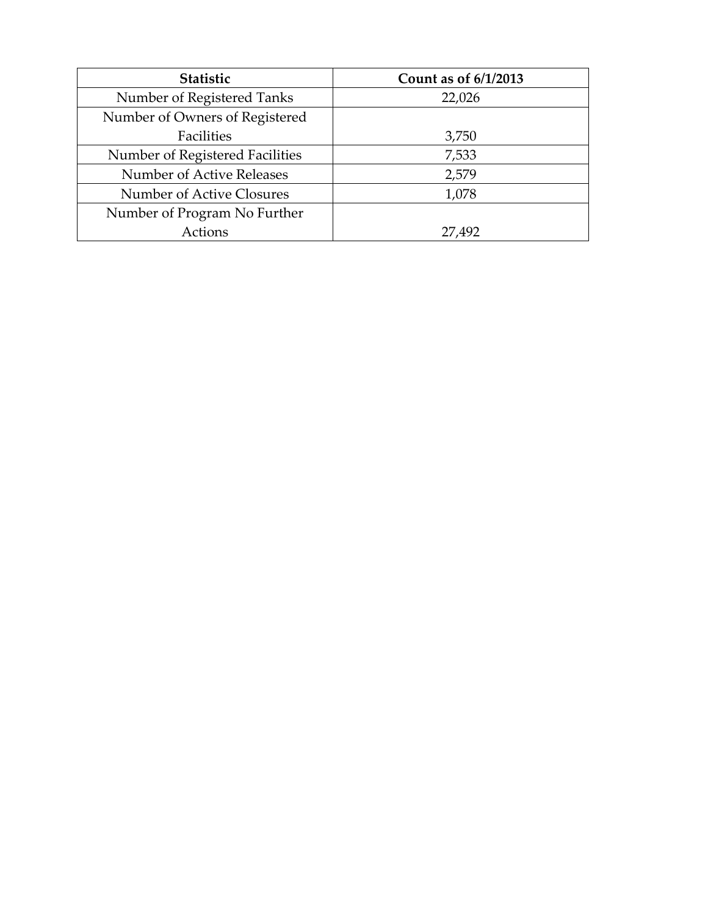| <b>Statistic</b>                | Count as of 6/1/2013 |
|---------------------------------|----------------------|
| Number of Registered Tanks      | 22,026               |
| Number of Owners of Registered  |                      |
| Facilities                      | 3,750                |
| Number of Registered Facilities | 7,533                |
| Number of Active Releases       | 2,579                |
| Number of Active Closures       | 1,078                |
| Number of Program No Further    |                      |
| Actions                         | 27,492               |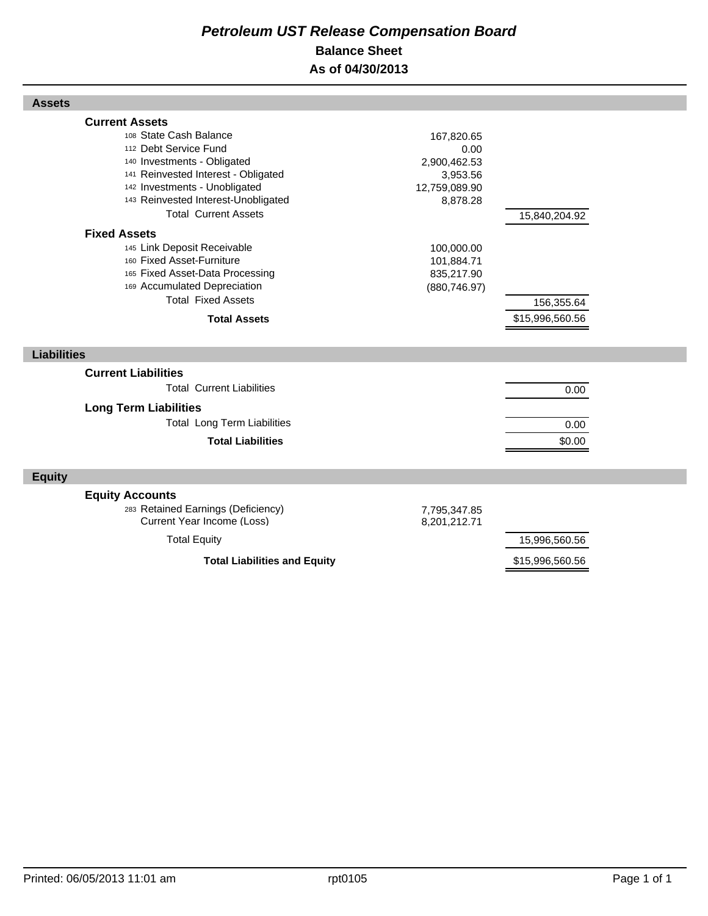# *Petroleum UST Release Compensation Board*  **Balance Sheet As of 04/30/2013**

| <b>Current Assets</b>                                            |                              |                 |  |
|------------------------------------------------------------------|------------------------------|-----------------|--|
| 108 State Cash Balance                                           | 167,820.65                   |                 |  |
| 112 Debt Service Fund                                            | 0.00                         |                 |  |
| 140 Investments - Obligated                                      | 2,900,462.53                 |                 |  |
| 141 Reinvested Interest - Obligated                              | 3,953.56                     |                 |  |
| 142 Investments - Unobligated                                    | 12,759,089.90                |                 |  |
| 143 Reinvested Interest-Unobligated                              | 8,878.28                     |                 |  |
| <b>Total Current Assets</b>                                      |                              | 15,840,204.92   |  |
| <b>Fixed Assets</b>                                              |                              |                 |  |
| 145 Link Deposit Receivable                                      | 100,000.00                   |                 |  |
| 160 Fixed Asset-Furniture                                        | 101,884.71                   |                 |  |
| 165 Fixed Asset-Data Processing                                  | 835,217.90                   |                 |  |
| 169 Accumulated Depreciation                                     | (880, 746.97)                |                 |  |
| <b>Total Fixed Assets</b>                                        |                              | 156,355.64      |  |
| <b>Total Assets</b>                                              |                              | \$15,996,560.56 |  |
|                                                                  |                              |                 |  |
|                                                                  |                              |                 |  |
| <b>Liabilities</b>                                               |                              |                 |  |
| <b>Current Liabilities</b>                                       |                              |                 |  |
| <b>Total Current Liabilities</b>                                 |                              |                 |  |
|                                                                  |                              | 0.00            |  |
| <b>Long Term Liabilities</b>                                     |                              |                 |  |
| <b>Total Long Term Liabilities</b>                               |                              | 0.00            |  |
| <b>Total Liabilities</b>                                         |                              | \$0.00          |  |
|                                                                  |                              |                 |  |
| <b>Equity</b>                                                    |                              |                 |  |
|                                                                  |                              |                 |  |
| <b>Equity Accounts</b>                                           |                              |                 |  |
| 283 Retained Earnings (Deficiency)<br>Current Year Income (Loss) | 7,795,347.85<br>8,201,212.71 |                 |  |
| <b>Total Equity</b>                                              |                              | 15,996,560.56   |  |
| <b>Total Liabilities and Equity</b>                              |                              | \$15,996,560.56 |  |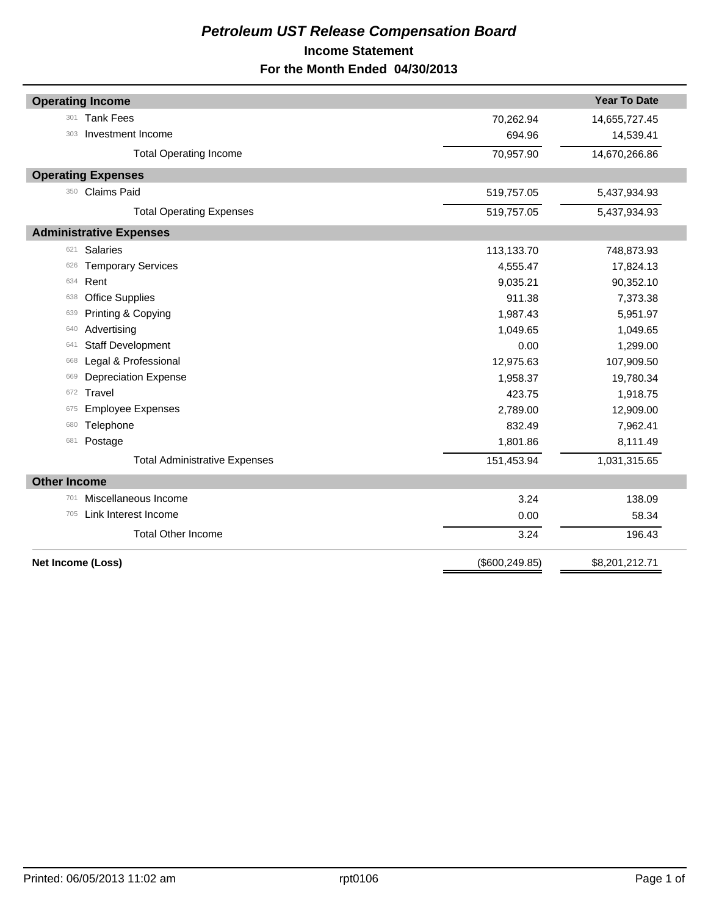# *Petroleum UST Release Compensation Board*  **Income Statement For the Month Ended 04/30/2013**

|                     | <b>Operating Income</b>              |                 | <b>Year To Date</b> |
|---------------------|--------------------------------------|-----------------|---------------------|
| 301                 | <b>Tank Fees</b>                     | 70,262.94       | 14,655,727.45       |
| 303                 | Investment Income                    | 694.96          | 14,539.41           |
|                     | <b>Total Operating Income</b>        | 70,957.90       | 14,670,266.86       |
|                     | <b>Operating Expenses</b>            |                 |                     |
| 350                 | <b>Claims Paid</b>                   | 519,757.05      | 5,437,934.93        |
|                     | <b>Total Operating Expenses</b>      | 519,757.05      | 5,437,934.93        |
|                     | <b>Administrative Expenses</b>       |                 |                     |
| 621                 | <b>Salaries</b>                      | 113,133.70      | 748,873.93          |
| 626                 | <b>Temporary Services</b>            | 4,555.47        | 17,824.13           |
| 634                 | Rent                                 | 9,035.21        | 90,352.10           |
| 638                 | <b>Office Supplies</b>               | 911.38          | 7,373.38            |
| 639                 | Printing & Copying                   | 1,987.43        | 5,951.97            |
| 640                 | Advertising                          | 1,049.65        | 1,049.65            |
| 641                 | <b>Staff Development</b>             | 0.00            | 1,299.00            |
| 668                 | Legal & Professional                 | 12,975.63       | 107,909.50          |
| 669                 | <b>Depreciation Expense</b>          | 1,958.37        | 19,780.34           |
| 672                 | Travel                               | 423.75          | 1,918.75            |
| 675                 | <b>Employee Expenses</b>             | 2,789.00        | 12,909.00           |
| 680                 | Telephone                            | 832.49          | 7,962.41            |
| 681                 | Postage                              | 1,801.86        | 8,111.49            |
|                     | <b>Total Administrative Expenses</b> | 151,453.94      | 1,031,315.65        |
| <b>Other Income</b> |                                      |                 |                     |
| 701                 | Miscellaneous Income                 | 3.24            | 138.09              |
| 705                 | Link Interest Income                 | 0.00            | 58.34               |
|                     | <b>Total Other Income</b>            | 3.24            | 196.43              |
| Net Income (Loss)   |                                      | (\$600, 249.85) | \$8,201,212.71      |
|                     |                                      |                 |                     |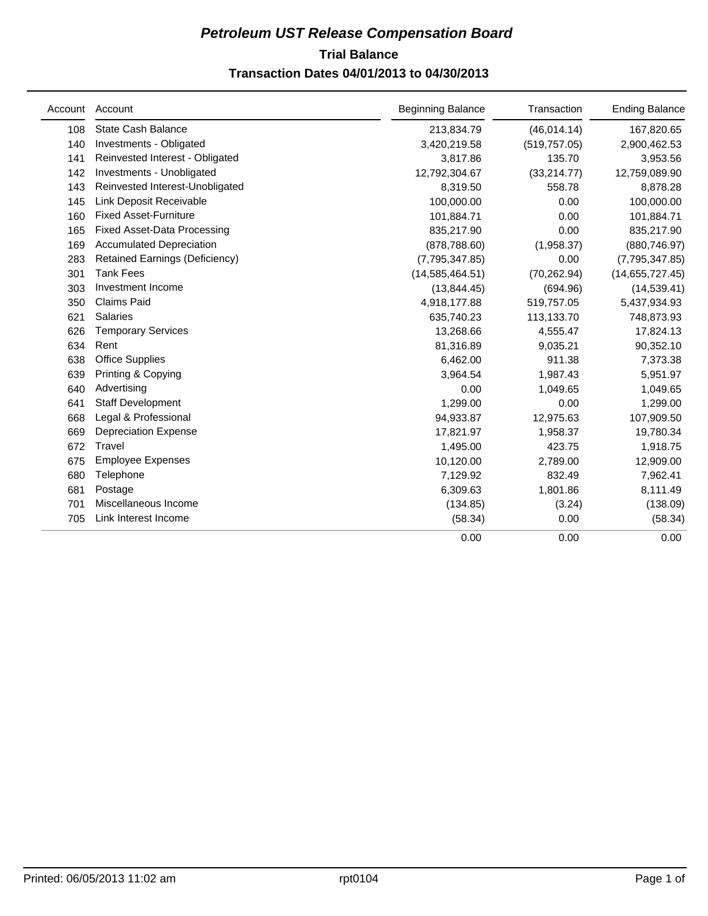# **Trial Balance** *Petroleum UST Release Compensation Board*  **Transaction Dates 04/01/2013 to 04/30/2013**

| Account | Account                            | <b>Beginning Balance</b> | Transaction   | <b>Ending Balance</b> |
|---------|------------------------------------|--------------------------|---------------|-----------------------|
| 108     | <b>State Cash Balance</b>          | 213,834.79               | (46, 014.14)  | 167,820.65            |
| 140     | Investments - Obligated            | 3,420,219.58             | (519, 757.05) | 2,900,462.53          |
| 141     | Reinvested Interest - Obligated    | 3,817.86                 | 135.70        | 3,953.56              |
| 142     | Investments - Unobligated          | 12,792,304.67            | (33, 214.77)  | 12,759,089.90         |
| 143     | Reinvested Interest-Unobligated    | 8,319.50                 | 558.78        | 8,878.28              |
| 145     | Link Deposit Receivable            | 100,000.00               | 0.00          | 100,000.00            |
| 160     | <b>Fixed Asset-Furniture</b>       | 101,884.71               | 0.00          | 101,884.71            |
| 165     | <b>Fixed Asset-Data Processing</b> | 835,217.90               | 0.00          | 835,217.90            |
| 169     | <b>Accumulated Depreciation</b>    | (878, 788.60)            | (1,958.37)    | (880, 746.97)         |
| 283     | Retained Earnings (Deficiency)     | (7,795,347.85)           | 0.00          | (7,795,347.85)        |
| 301     | <b>Tank Fees</b>                   | (14, 585, 464.51)        | (70, 262.94)  | (14,655,727.45)       |
| 303     | Investment Income                  | (13, 844.45)             | (694.96)      | (14, 539.41)          |
| 350     | <b>Claims Paid</b>                 | 4,918,177.88             | 519,757.05    | 5,437,934.93          |
| 621     | <b>Salaries</b>                    | 635,740.23               | 113,133.70    | 748,873.93            |
| 626     | <b>Temporary Services</b>          | 13,268.66                | 4,555.47      | 17,824.13             |
| 634     | Rent                               | 81,316.89                | 9.035.21      | 90,352.10             |
| 638     | <b>Office Supplies</b>             | 6,462.00                 | 911.38        | 7,373.38              |
| 639     | Printing & Copying                 | 3,964.54                 | 1,987.43      | 5,951.97              |
| 640     | Advertising                        | 0.00                     | 1,049.65      | 1,049.65              |
| 641     | <b>Staff Development</b>           | 1.299.00                 | 0.00          | 1,299.00              |
| 668     | Legal & Professional               | 94,933.87                | 12,975.63     | 107,909.50            |
| 669     | <b>Depreciation Expense</b>        | 17,821.97                | 1,958.37      | 19,780.34             |
| 672     | Travel                             | 1,495.00                 | 423.75        | 1,918.75              |
| 675     | <b>Employee Expenses</b>           | 10,120.00                | 2,789.00      | 12,909.00             |
| 680     | Telephone                          | 7,129.92                 | 832.49        | 7,962.41              |
| 681     | Postage                            | 6,309.63                 | 1,801.86      | 8,111.49              |
| 701     | Miscellaneous Income               | (134.85)                 | (3.24)        | (138.09)              |
| 705     | Link Interest Income               | (58.34)                  | 0.00          | (58.34)               |
|         |                                    | 0.00                     | 0.00          | 0.00                  |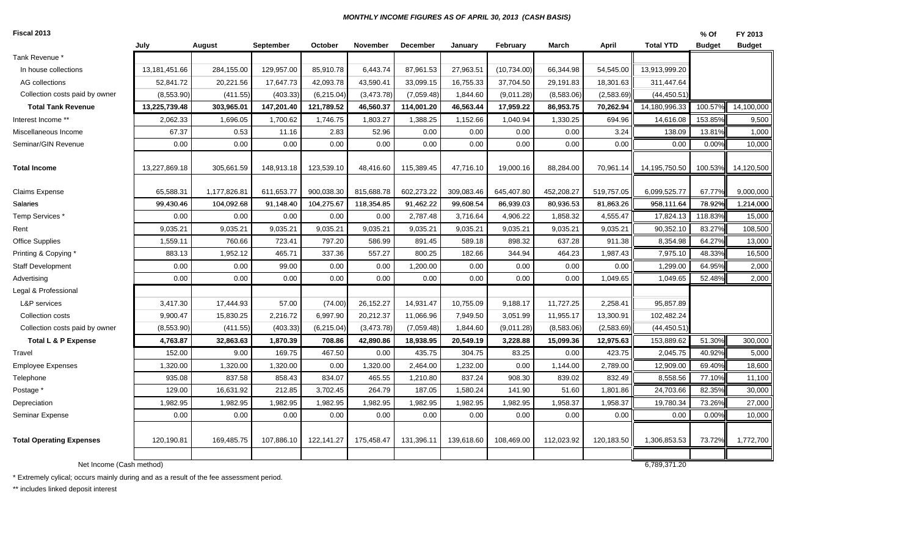#### *MONTHLY INCOME FIGURES AS OF APRIL 30, 2013 (CASH BASIS)*

| Fiscal 2013 |  |
|-------------|--|
|             |  |

| Fiscal 2013                     |               |              |            |            |            |            |            |              |            |            |                  | $%$ Of        | FY 2013       |
|---------------------------------|---------------|--------------|------------|------------|------------|------------|------------|--------------|------------|------------|------------------|---------------|---------------|
|                                 | July          | August       | September  | October    | November   | December   | January    | February     | March      | April      | <b>Total YTD</b> | <b>Budget</b> | <b>Budget</b> |
| Tank Revenue *                  |               |              |            |            |            |            |            |              |            |            |                  |               |               |
| In house collections            | 13,181,451.66 | 284,155.00   | 129,957.00 | 85,910.78  | 6,443.74   | 87,961.53  | 27,963.51  | (10, 734.00) | 66,344.98  | 54,545.00  | 13,913,999.20    |               |               |
| AG collections                  | 52,841.72     | 20,221.56    | 17,647.73  | 42,093.78  | 43,590.41  | 33,099.15  | 16,755.33  | 37,704.50    | 29,191.83  | 18,301.63  | 311,447.64       |               |               |
| Collection costs paid by owner  | (8,553.90)    | (411.55)     | (403.33)   | (6,215.04) | (3,473.78) | (7,059.48) | 1,844.60   | (9,011.28)   | (8,583.06) | (2,583.69) | (44, 450.51)     |               |               |
| <b>Total Tank Revenue</b>       | 13,225,739.48 | 303,965.01   | 147,201.40 | 121,789.52 | 46,560.37  | 114,001.20 | 46,563.44  | 17,959.22    | 86,953.75  | 70,262.94  | 14,180,996.33    | 100.57%       | 14,100,000    |
| Interest Income **              | 2,062.33      | 1,696.05     | 1,700.62   | 1,746.75   | 1,803.27   | 1,388.25   | 1,152.66   | 1,040.94     | 1,330.25   | 694.96     | 14,616.08        | 153.85%       | 9,500         |
| Miscellaneous Income            | 67.37         | 0.53         | 11.16      | 2.83       | 52.96      | 0.00       | 0.00       | 0.00         | 0.00       | 3.24       | 138.09           | 13.81%        | 1,000         |
| Seminar/GIN Revenue             | 0.00          | 0.00         | 0.00       | 0.00       | 0.00       | 0.00       | 0.00       | 0.00         | 0.00       | 0.00       | 0.00             | 0.00%         | 10,000        |
| <b>Total Income</b>             | 13,227,869.18 | 305,661.59   | 148,913.18 | 123,539.10 | 48,416.60  | 115,389.45 | 47,716.10  | 19,000.16    | 88,284.00  | 70,961.14  | 14,195,750.50    | 100.53%       | 14,120,500    |
| <b>Claims Expense</b>           | 65,588.31     | 1,177,826.81 | 611,653.77 | 900,038.30 | 815,688.78 | 602,273.22 | 309,083.46 | 645,407.80   | 452,208.27 | 519,757.05 | 6,099,525.77     | 67.77%        | 9,000,000     |
| Salaries                        | 99,430.46     | 104,092.68   | 91,148.40  | 104,275.67 | 118,354.85 | 91,462.22  | 99,608.54  | 86,939.03    | 80,936.53  | 81,863.26  | 958,111.64       | 78.92%        | 1,214,000     |
| Temp Services *                 | 0.00          | 0.00         | 0.00       | 0.00       | 0.00       | 2,787.48   | 3,716.64   | 4,906.22     | 1,858.32   | 4,555.47   | 17,824.13        | 118.83%       | 15,000        |
| Rent                            | 9,035.21      | 9,035.21     | 9,035.21   | 9,035.21   | 9,035.21   | 9,035.21   | 9,035.21   | 9,035.21     | 9,035.21   | 9,035.21   | 90,352.10        | 83.27%        | 108,500       |
| <b>Office Supplies</b>          | 1,559.11      | 760.66       | 723.41     | 797.20     | 586.99     | 891.45     | 589.18     | 898.32       | 637.28     | 911.38     | 8,354.98         | 64.27%        | 13,000        |
| Printing & Copying              | 883.13        | 1,952.12     | 465.71     | 337.36     | 557.27     | 800.25     | 182.66     | 344.94       | 464.23     | 1,987.43   | 7,975.10         | 48.33%        | 16,500        |
| <b>Staff Development</b>        | 0.00          | 0.00         | 99.00      | 0.00       | 0.00       | 1,200.00   | 0.00       | 0.00         | 0.00       | 0.00       | 1,299.00         | 64.95%        | 2,000         |
| Advertising                     | 0.00          | 0.00         | 0.00       | 0.00       | 0.00       | 0.00       | 0.00       | 0.00         | 0.00       | 1,049.65   | 1,049.65         | 52.48%        | 2,000         |
| Legal & Professional            |               |              |            |            |            |            |            |              |            |            |                  |               |               |
| L&P services                    | 3,417.30      | 17,444.93    | 57.00      | (74.00)    | 26,152.27  | 14,931.47  | 10,755.09  | 9,188.17     | 11,727.25  | 2,258.41   | 95,857.89        |               |               |
| Collection costs                | 9,900.47      | 15,830.25    | 2,216.72   | 6,997.90   | 20,212.37  | 11,066.96  | 7,949.50   | 3,051.99     | 11,955.17  | 13,300.91  | 102,482.24       |               |               |
| Collection costs paid by owner  | (8,553.90)    | (411.55)     | (403.33)   | (6,215.04) | (3,473.78) | (7,059.48) | 1,844.60   | (9,011.28)   | (8,583.06) | (2,583.69) | (44, 450.51)     |               |               |
| <b>Total L &amp; P Expense</b>  | 4,763.87      | 32,863.63    | 1,870.39   | 708.86     | 42,890.86  | 18,938.95  | 20,549.19  | 3,228.88     | 15,099.36  | 12,975.63  | 153,889.62       | 51.30%        | 300,000       |
| Travel                          | 152.00        | 9.00         | 169.75     | 467.50     | 0.00       | 435.75     | 304.75     | 83.25        | 0.00       | 423.75     | 2,045.75         | 40.92%        | 5,000         |
| <b>Employee Expenses</b>        | 1,320.00      | 1,320.00     | 1,320.00   | 0.00       | 1,320.00   | 2,464.00   | 1,232.00   | 0.00         | 1,144.00   | 2,789.00   | 12,909.00        | 69.40%        | 18,600        |
| Telephone                       | 935.08        | 837.58       | 858.43     | 834.07     | 465.55     | 1,210.80   | 837.24     | 908.30       | 839.02     | 832.49     | 8,558.56         | 77.10%        | 11,100        |
| Postage *                       | 129.00        | 16,631.92    | 212.85     | 3,702.45   | 264.79     | 187.05     | 1,580.24   | 141.90       | 51.60      | 1,801.86   | 24,703.66        | 82.35%        | 30,000        |
| Depreciation                    | 1,982.95      | 1,982.95     | 1,982.95   | 1,982.95   | 1,982.95   | 1,982.95   | 1,982.95   | 1,982.95     | 1,958.37   | 1,958.37   | 19,780.34        | 73.26%        | 27,000        |
| Seminar Expense                 | 0.00          | 0.00         | 0.00       | 0.00       | 0.00       | 0.00       | 0.00       | 0.00         | 0.00       | 0.00       | 0.00             | 0.00%         | 10,000        |
| <b>Total Operating Expenses</b> | 120,190.81    | 169,485.75   | 107,886.10 | 122,141.27 | 175,458.47 | 131,396.11 | 139,618.60 | 108,469.00   | 112,023.92 | 120,183.50 | 1,306,853.53     | 73.72%        | 1,772,700     |
| Net Income (Cash method)        |               |              |            |            |            |            |            |              |            |            | 6,789,371.20     |               |               |
|                                 |               |              |            |            |            |            |            |              |            |            |                  |               |               |

\* Extremely cylical; occurs mainly during and as a result of the fee assessment period.

\*\* includes linked deposit interest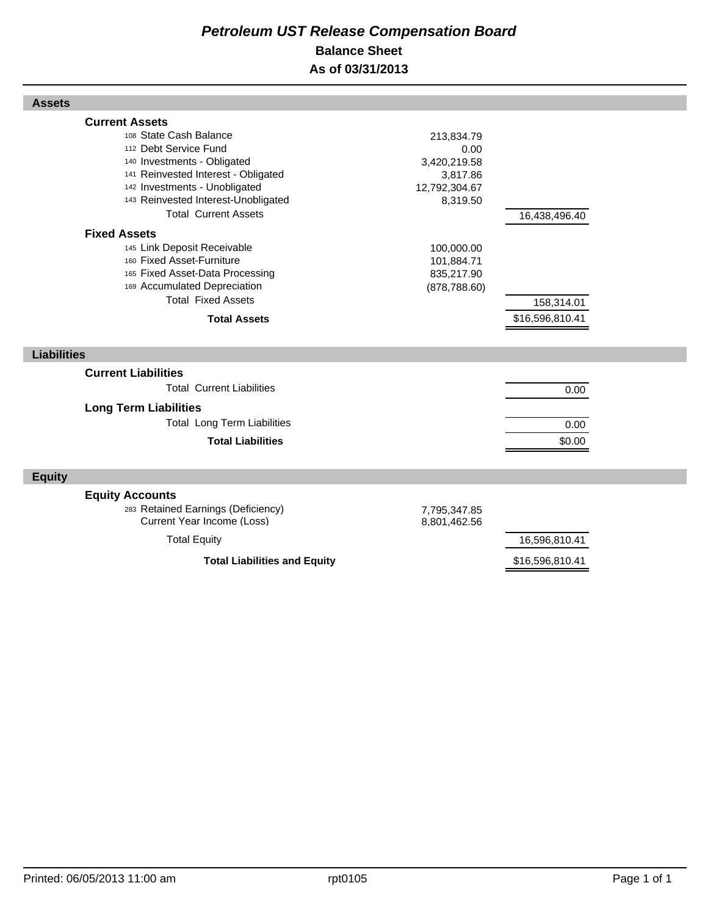# *Petroleum UST Release Compensation Board*  **Balance Sheet As of 03/31/2013**

| <b>Assets</b>                                                            |                          |                 |  |
|--------------------------------------------------------------------------|--------------------------|-----------------|--|
| <b>Current Assets</b><br>108 State Cash Balance<br>112 Debt Service Fund | 213,834.79               |                 |  |
| 140 Investments - Obligated                                              | 0.00<br>3,420,219.58     |                 |  |
| 141 Reinvested Interest - Obligated                                      | 3,817.86                 |                 |  |
| 142 Investments - Unobligated                                            | 12,792,304.67            |                 |  |
| 143 Reinvested Interest-Unobligated<br><b>Total Current Assets</b>       | 8,319.50                 |                 |  |
|                                                                          |                          | 16,438,496.40   |  |
| <b>Fixed Assets</b>                                                      |                          |                 |  |
| 145 Link Deposit Receivable<br>160 Fixed Asset-Furniture                 | 100,000.00<br>101,884.71 |                 |  |
| 165 Fixed Asset-Data Processing                                          | 835,217.90               |                 |  |
| 169 Accumulated Depreciation                                             | (878, 788.60)            |                 |  |
| <b>Total Fixed Assets</b>                                                |                          | 158,314.01      |  |
| <b>Total Assets</b>                                                      |                          | \$16,596,810.41 |  |
|                                                                          |                          |                 |  |
| <b>Liabilities</b>                                                       |                          |                 |  |
| <b>Current Liabilities</b>                                               |                          |                 |  |
| <b>Total Current Liabilities</b>                                         |                          | 0.00            |  |
| <b>Long Term Liabilities</b>                                             |                          |                 |  |
| <b>Total Long Term Liabilities</b>                                       |                          | 0.00            |  |
| <b>Total Liabilities</b>                                                 |                          | \$0.00          |  |
|                                                                          |                          |                 |  |
| <b>Equity</b>                                                            |                          |                 |  |
| <b>Equity Accounts</b>                                                   |                          |                 |  |
| 283 Retained Earnings (Deficiency)                                       | 7,795,347.85             |                 |  |
| Current Year Income (Loss)                                               | 8,801,462.56             |                 |  |
| <b>Total Equity</b>                                                      |                          | 16,596,810.41   |  |
| <b>Total Liabilities and Equity</b>                                      |                          | \$16,596,810.41 |  |

Г

Г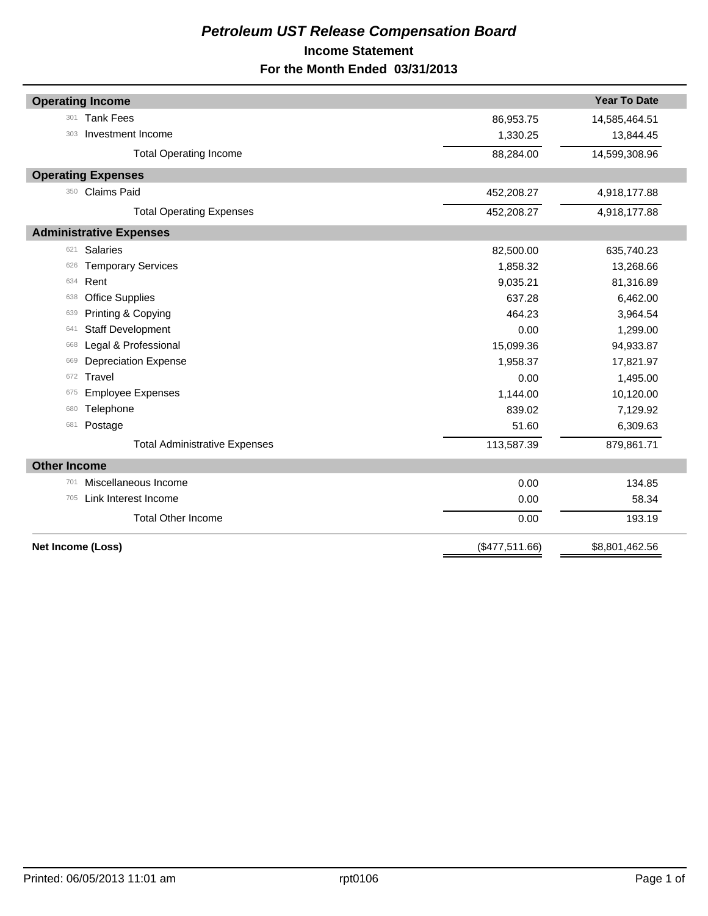# *Petroleum UST Release Compensation Board*  **Income Statement For the Month Ended 03/31/2013**

|                     | <b>Operating Income</b>              |                | <b>Year To Date</b> |
|---------------------|--------------------------------------|----------------|---------------------|
| 301                 | <b>Tank Fees</b>                     | 86,953.75      | 14,585,464.51       |
| 303                 | Investment Income                    | 1,330.25       | 13,844.45           |
|                     | <b>Total Operating Income</b>        | 88,284.00      | 14,599,308.96       |
|                     | <b>Operating Expenses</b>            |                |                     |
| 350                 | <b>Claims Paid</b>                   | 452,208.27     | 4,918,177.88        |
|                     | <b>Total Operating Expenses</b>      | 452,208.27     | 4,918,177.88        |
|                     | <b>Administrative Expenses</b>       |                |                     |
| 621                 | <b>Salaries</b>                      | 82,500.00      | 635,740.23          |
| 626                 | <b>Temporary Services</b>            | 1,858.32       | 13,268.66           |
| 634                 | Rent                                 | 9,035.21       | 81,316.89           |
| 638                 | <b>Office Supplies</b>               | 637.28         | 6,462.00            |
| 639                 | Printing & Copying                   | 464.23         | 3,964.54            |
| 641                 | <b>Staff Development</b>             | 0.00           | 1,299.00            |
| 668                 | Legal & Professional                 | 15,099.36      | 94,933.87           |
| 669                 | <b>Depreciation Expense</b>          | 1,958.37       | 17,821.97           |
| 672                 | Travel                               | 0.00           | 1,495.00            |
| 675                 | <b>Employee Expenses</b>             | 1,144.00       | 10,120.00           |
| 680                 | Telephone                            | 839.02         | 7,129.92            |
| 681                 | Postage                              | 51.60          | 6,309.63            |
|                     | <b>Total Administrative Expenses</b> | 113,587.39     | 879,861.71          |
| <b>Other Income</b> |                                      |                |                     |
| 701                 | Miscellaneous Income                 | 0.00           | 134.85              |
| 705                 | Link Interest Income                 | 0.00           | 58.34               |
|                     | <b>Total Other Income</b>            | 0.00           | 193.19              |
| Net Income (Loss)   |                                      | (\$477,511.66) | \$8,801,462.56      |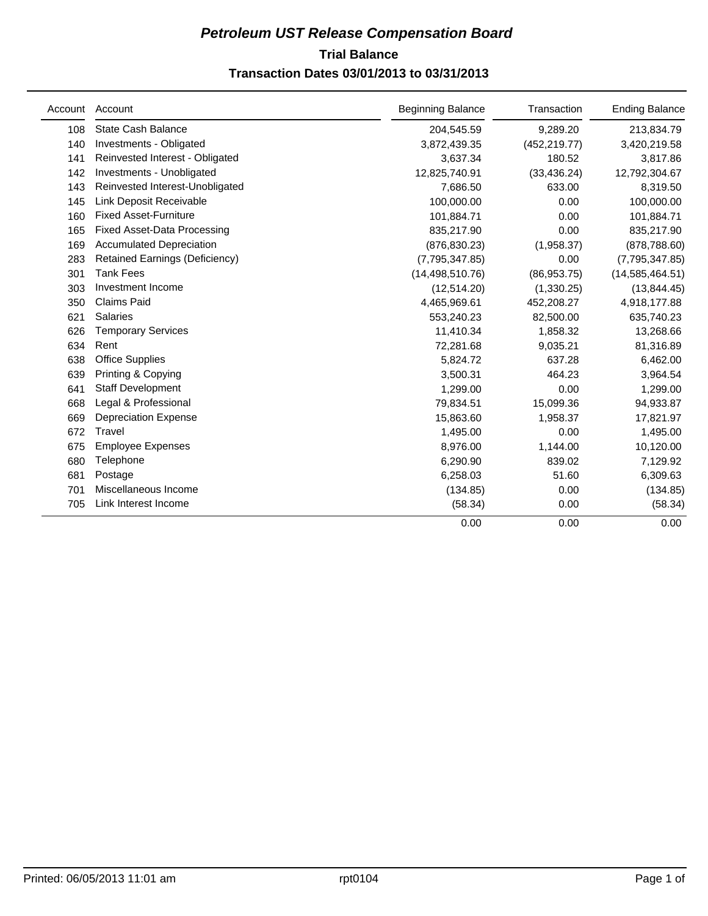# **Trial Balance** *Petroleum UST Release Compensation Board*  **Transaction Dates 03/01/2013 to 03/31/2013**

| Account | Account                            | <b>Beginning Balance</b> | Transaction   | <b>Ending Balance</b> |
|---------|------------------------------------|--------------------------|---------------|-----------------------|
| 108     | <b>State Cash Balance</b>          | 204,545.59               | 9,289.20      | 213,834.79            |
| 140     | Investments - Obligated            | 3,872,439.35             | (452, 219.77) | 3,420,219.58          |
| 141     | Reinvested Interest - Obligated    | 3,637.34                 | 180.52        | 3,817.86              |
| 142     | Investments - Unobligated          | 12,825,740.91            | (33, 436.24)  | 12,792,304.67         |
| 143     | Reinvested Interest-Unobligated    | 7,686.50                 | 633.00        | 8,319.50              |
| 145     | Link Deposit Receivable            | 100,000.00               | 0.00          | 100,000.00            |
| 160     | <b>Fixed Asset-Furniture</b>       | 101,884.71               | 0.00          | 101,884.71            |
| 165     | <b>Fixed Asset-Data Processing</b> | 835,217.90               | 0.00          | 835,217.90            |
| 169     | <b>Accumulated Depreciation</b>    | (876, 830.23)            | (1,958.37)    | (878, 788.60)         |
| 283     | Retained Earnings (Deficiency)     | (7,795,347.85)           | 0.00          | (7,795,347.85)        |
| 301     | <b>Tank Fees</b>                   | (14, 498, 510.76)        | (86,953.75)   | (14, 585, 464.51)     |
| 303     | Investment Income                  | (12,514.20)              | (1,330.25)    | (13, 844.45)          |
| 350     | <b>Claims Paid</b>                 | 4,465,969.61             | 452,208.27    | 4,918,177.88          |
| 621     | <b>Salaries</b>                    | 553,240.23               | 82,500.00     | 635,740.23            |
| 626     | <b>Temporary Services</b>          | 11,410.34                | 1,858.32      | 13,268.66             |
| 634     | Rent                               | 72,281.68                | 9,035.21      | 81,316.89             |
| 638     | <b>Office Supplies</b>             | 5,824.72                 | 637.28        | 6,462.00              |
| 639     | Printing & Copying                 | 3,500.31                 | 464.23        | 3,964.54              |
| 641     | <b>Staff Development</b>           | 1,299.00                 | 0.00          | 1,299.00              |
| 668     | Legal & Professional               | 79,834.51                | 15,099.36     | 94,933.87             |
| 669     | <b>Depreciation Expense</b>        | 15,863.60                | 1,958.37      | 17,821.97             |
| 672     | Travel                             | 1,495.00                 | 0.00          | 1,495.00              |
| 675     | <b>Employee Expenses</b>           | 8,976.00                 | 1,144.00      | 10,120.00             |
| 680     | Telephone                          | 6,290.90                 | 839.02        | 7,129.92              |
| 681     | Postage                            | 6,258.03                 | 51.60         | 6,309.63              |
| 701     | Miscellaneous Income               | (134.85)                 | 0.00          | (134.85)              |
| 705     | Link Interest Income               | (58.34)                  | 0.00          | (58.34)               |
|         |                                    | 0.00                     | 0.00          | 0.00                  |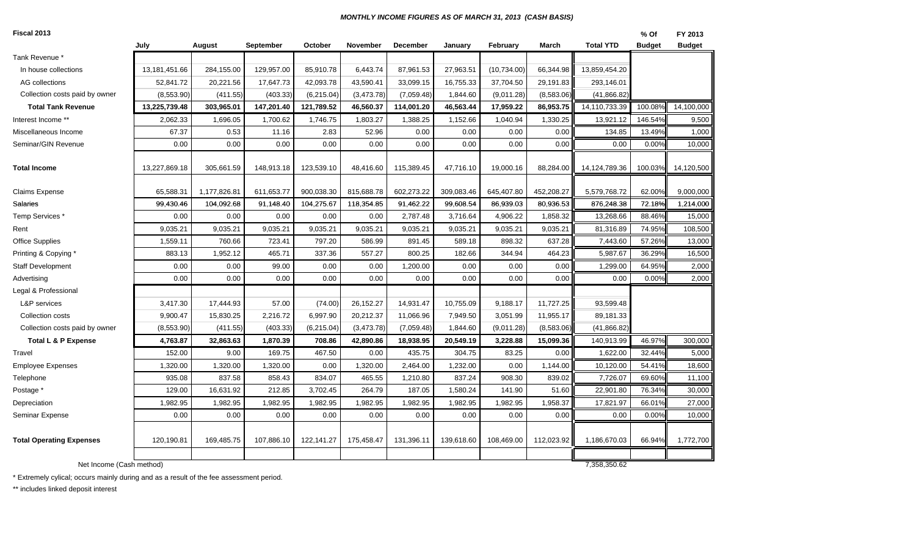#### *MONTHLY INCOME FIGURES AS OF MARCH 31, 2013 (CASH BASIS)*

| Fiscal 2013                     |               |              |            |             |            |                 |            |              |            |                  | % Of          | FY 2013       |
|---------------------------------|---------------|--------------|------------|-------------|------------|-----------------|------------|--------------|------------|------------------|---------------|---------------|
|                                 | July          | August       | September  | October     | November   | <b>December</b> | January    | February     | March      | <b>Total YTD</b> | <b>Budget</b> | <b>Budget</b> |
| Tank Revenue <sup>*</sup>       |               |              |            |             |            |                 |            |              |            |                  |               |               |
| In house collections            | 13,181,451.66 | 284,155.00   | 129,957.00 | 85,910.78   | 6,443.74   | 87,961.53       | 27,963.51  | (10, 734.00) | 66,344.98  | 13,859,454.20    |               |               |
| AG collections                  | 52,841.72     | 20,221.56    | 17,647.73  | 42,093.78   | 43,590.41  | 33,099.15       | 16,755.33  | 37,704.50    | 29,191.83  | 293,146.01       |               |               |
| Collection costs paid by owner  | (8,553.90)    | (411.55)     | (403.33)   | (6,215.04)  | (3,473.78) | (7,059.48)      | 1,844.60   | (9,011.28)   | (8,583.06) | (41, 866.82)     |               |               |
| <b>Total Tank Revenue</b>       | 13,225,739.48 | 303,965.01   | 147,201.40 | 121,789.52  | 46,560.37  | 114,001.20      | 46,563.44  | 17,959.22    | 86,953.75  | 14,110,733.39    | 100.08%       | 14,100,000    |
| Interest Income **              | 2,062.33      | 1,696.05     | 1,700.62   | 1,746.75    | 1,803.27   | 1,388.25        | 1,152.66   | 1,040.94     | 1,330.25   | 13,921.12        | 146.54%       | 9,500         |
| Miscellaneous Income            | 67.37         | 0.53         | 11.16      | 2.83        | 52.96      | 0.00            | 0.00       | 0.00         | 0.00       | 134.85           | 13.49%        | 1,000         |
| Seminar/GIN Revenue             | 0.00          | 0.00         | 0.00       | 0.00        | 0.00       | 0.00            | 0.00       | 0.00         | 0.00       | 0.00             | 0.00%         | 10,000        |
|                                 |               |              |            |             |            |                 |            |              |            |                  |               |               |
| <b>Total Income</b>             | 13,227,869.18 | 305,661.59   | 148,913.18 | 123,539.10  | 48,416.60  | 115,389.45      | 47,716.10  | 19,000.16    | 88,284.00  | 14,124,789.36    | 100.03%       | 14,120,500    |
|                                 |               |              |            |             |            |                 |            |              |            |                  |               |               |
| Claims Expense                  | 65,588.31     | 1,177,826.81 | 611,653.77 | 900,038.30  | 815,688.78 | 602,273.22      | 309,083.46 | 645,407.80   | 452,208.27 | 5,579,768.72     | 62.00%        | 9,000,000     |
| Salaries                        | 99,430.46     | 104,092.68   | 91,148.40  | 104,275.67  | 118,354.85 | 91,462.22       | 99,608.54  | 86,939.03    | 80,936.53  | 876,248.38       | 72.18%        | 1,214,000     |
| Temp Services*                  | 0.00          | 0.00         | 0.00       | 0.00        | 0.00       | 2,787.48        | 3,716.64   | 4,906.22     | 1,858.32   | 13,268.66        | 88.46%        | 15,000        |
| Rent                            | 9,035.21      | 9,035.21     | 9,035.21   | 9,035.21    | 9,035.21   | 9,035.21        | 9,035.21   | 9,035.21     | 9,035.21   | 81,316.89        | 74.95%        | 108,500       |
| <b>Office Supplies</b>          | 1,559.11      | 760.66       | 723.41     | 797.20      | 586.99     | 891.45          | 589.18     | 898.32       | 637.28     | 7,443.60         | 57.26%        | 13,000        |
| Printing & Copying *            | 883.13        | 1,952.12     | 465.71     | 337.36      | 557.27     | 800.25          | 182.66     | 344.94       | 464.23     | 5,987.67         | 36.29%        | 16,500        |
| <b>Staff Development</b>        | 0.00          | 0.00         | 99.00      | 0.00        | 0.00       | 1,200.00        | 0.00       | 0.00         | 0.00       | 1,299.00         | 64.95%        | 2,000         |
| Advertising                     | 0.00          | 0.00         | 0.00       | 0.00        | 0.00       | 0.00            | 0.00       | 0.00         | 0.00       | 0.00             | 0.00%         | 2,000         |
| Legal & Professional            |               |              |            |             |            |                 |            |              |            |                  |               |               |
| L&P services                    | 3,417.30      | 17,444.93    | 57.00      | (74.00)     | 26,152.27  | 14,931.47       | 10,755.09  | 9,188.17     | 11,727.25  | 93,599.48        |               |               |
| Collection costs                | 9,900.47      | 15,830.25    | 2,216.72   | 6,997.90    | 20,212.37  | 11,066.96       | 7,949.50   | 3,051.99     | 11,955.17  | 89,181.33        |               |               |
| Collection costs paid by owner  | (8,553.90)    | (411.55)     | (403.33)   | (6, 215.04) | (3,473.78) | (7,059.48)      | 1,844.60   | (9,011.28)   | (8,583.06) | (41, 866.82)     |               |               |
| <b>Total L &amp; P Expense</b>  | 4,763.87      | 32,863.63    | 1,870.39   | 708.86      | 42,890.86  | 18,938.95       | 20,549.19  | 3,228.88     | 15,099.36  | 140,913.99       | 46.97%        | 300,000       |
| Travel                          | 152.00        | 9.00         | 169.75     | 467.50      | 0.00       | 435.75          | 304.75     | 83.25        | 0.00       | 1,622.00         | 32.44%        | 5,000         |
| <b>Employee Expenses</b>        | 1,320.00      | 1,320.00     | 1,320.00   | 0.00        | 1,320.00   | 2,464.00        | 1,232.00   | 0.00         | 1,144.00   | 10,120.00        | 54.41%        | 18,600        |
| Telephone                       | 935.08        | 837.58       | 858.43     | 834.07      | 465.55     | 1,210.80        | 837.24     | 908.30       | 839.02     | 7,726.07         | 69.60%        | 11,100        |
| Postage *                       | 129.00        | 16,631.92    | 212.85     | 3,702.45    | 264.79     | 187.05          | 1,580.24   | 141.90       | 51.60      | 22,901.80        | 76.34%        | 30,000        |
| Depreciation                    | 1,982.95      | 1,982.95     | 1,982.95   | 1,982.95    | 1,982.95   | 1,982.95        | 1,982.95   | 1,982.95     | 1,958.37   | 17,821.97        | 66.01%        | 27,000        |
| Seminar Expense                 | 0.00          | 0.00         | 0.00       | 0.00        | 0.00       | 0.00            | 0.00       | 0.00         | 0.00       | 0.00             | 0.00%         | 10,000        |
|                                 |               |              |            |             |            |                 |            |              |            |                  |               |               |
| <b>Total Operating Expenses</b> | 120,190.81    | 169,485.75   | 107,886.10 | 122,141.27  | 175,458.47 | 131,396.11      | 139,618.60 | 108,469.00   | 112,023.92 | 1,186,670.03     | 66.94%        | 1,772,700     |
|                                 |               |              |            |             |            |                 |            |              |            |                  |               |               |
| Net Income (Cash method)        |               |              |            |             |            |                 |            |              |            | 7,358,350.62     |               |               |
|                                 |               |              |            |             |            |                 |            |              |            |                  |               |               |

\* Extremely cylical; occurs mainly during and as a result of the fee assessment period.

\*\* includes linked deposit interest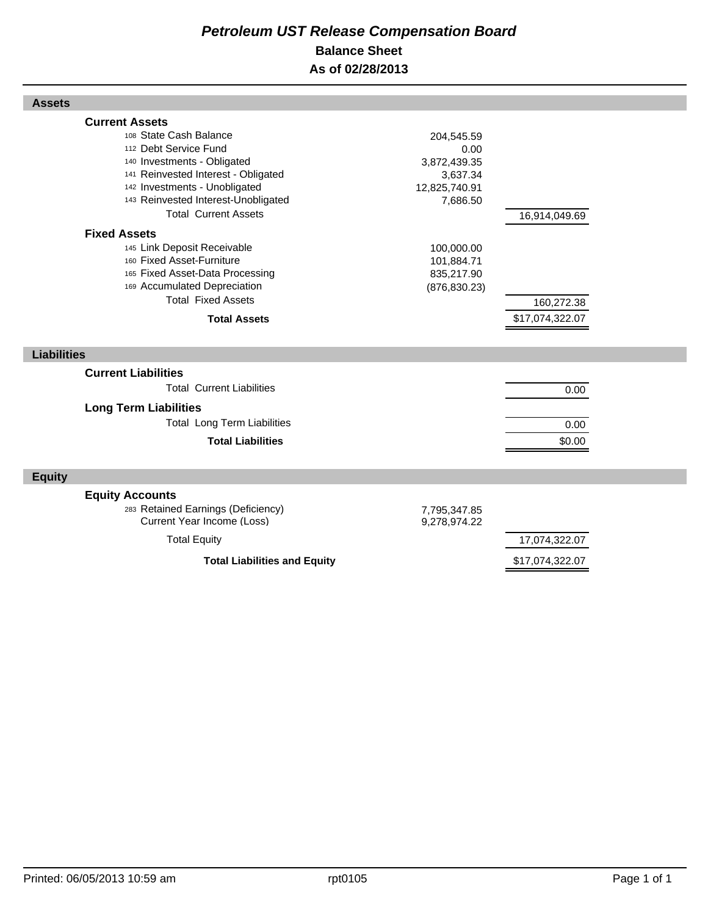# *Petroleum UST Release Compensation Board*  **Balance Sheet As of 02/28/2013**

| 112 Debt Service Fund<br>140 Investments - Obligated<br>141 Reinvested Interest - Obligated<br>142 Investments - Unobligated<br>143 Reinvested Interest-Unobligated<br><b>Total Current Assets</b> | 0.00<br>3,872,439.35<br>3,637.34<br>12,825,740.91<br>7,686.50 | 16,914,049.69   |
|----------------------------------------------------------------------------------------------------------------------------------------------------------------------------------------------------|---------------------------------------------------------------|-----------------|
| <b>Fixed Assets</b><br>145 Link Deposit Receivable<br>160 Fixed Asset-Furniture<br>165 Fixed Asset-Data Processing<br>169 Accumulated Depreciation<br><b>Total Fixed Assets</b>                    | 100,000.00<br>101,884.71<br>835,217.90<br>(876, 830.23)       | 160,272.38      |
| <b>Total Assets</b>                                                                                                                                                                                |                                                               | \$17,074,322.07 |
|                                                                                                                                                                                                    |                                                               |                 |
| <b>Liabilities</b>                                                                                                                                                                                 |                                                               |                 |
| <b>Current Liabilities</b><br><b>Total Current Liabilities</b>                                                                                                                                     |                                                               | 0.00            |
| <b>Long Term Liabilities</b>                                                                                                                                                                       |                                                               |                 |
| <b>Total Long Term Liabilities</b>                                                                                                                                                                 |                                                               | 0.00            |
| <b>Total Liabilities</b>                                                                                                                                                                           |                                                               | \$0.00          |
| <b>Equity</b>                                                                                                                                                                                      |                                                               |                 |

<sup>108</sup> State Cash Balance 204,545.59

Total Equity 17,074,322.07

Total Liabilities and Equity **Example 2018** \$17,074,322.07

Printed: 06/05/2013 10:59 am rpt0105 rpt0105 rpt0105

**Assets**

**Current Assets**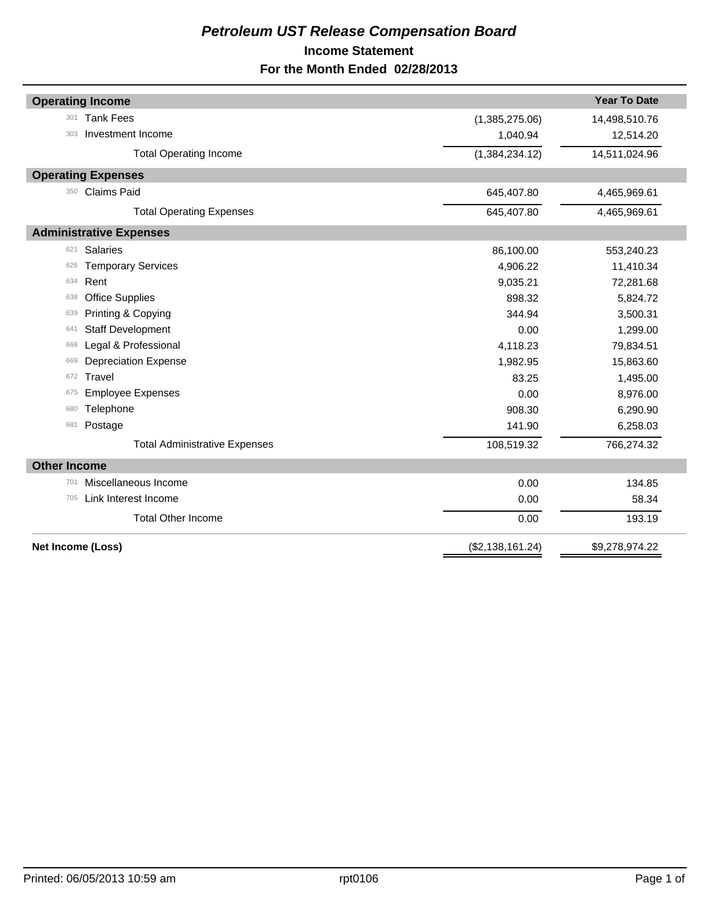# *Petroleum UST Release Compensation Board*  **Income Statement For the Month Ended 02/28/2013**

| <b>Operating Income</b><br><b>Tank Fees</b><br>301<br>(1,385,275.06)<br>Investment Income<br>1,040.94<br>303<br><b>Total Operating Income</b><br>(1,384,234.12)<br><b>Operating Expenses</b><br><b>Claims Paid</b><br>350<br>645,407.80<br><b>Total Operating Expenses</b><br>645,407.80<br><b>Administrative Expenses</b><br>Salaries<br>86,100.00<br>621<br><b>Temporary Services</b><br>4,906.22<br>626<br>Rent<br>9,035.21<br>634<br><b>Office Supplies</b><br>898.32<br>638<br>Printing & Copying<br>344.94<br>639<br><b>Staff Development</b><br>0.00<br>641<br>Legal & Professional<br>4,118.23<br>668<br><b>Depreciation Expense</b><br>1,982.95<br>669<br><b>Travel</b><br>83.25<br>672<br><b>Employee Expenses</b><br>0.00<br>675<br>Telephone<br>908.30<br>680<br>Postage<br>141.90<br>681<br><b>Total Administrative Expenses</b><br>108,519.32<br><b>Other Income</b><br>Miscellaneous Income<br>0.00<br>701<br>705 |                      |      |                     |  |
|----------------------------------------------------------------------------------------------------------------------------------------------------------------------------------------------------------------------------------------------------------------------------------------------------------------------------------------------------------------------------------------------------------------------------------------------------------------------------------------------------------------------------------------------------------------------------------------------------------------------------------------------------------------------------------------------------------------------------------------------------------------------------------------------------------------------------------------------------------------------------------------------------------------------------------|----------------------|------|---------------------|--|
|                                                                                                                                                                                                                                                                                                                                                                                                                                                                                                                                                                                                                                                                                                                                                                                                                                                                                                                                  |                      |      | <b>Year To Date</b> |  |
|                                                                                                                                                                                                                                                                                                                                                                                                                                                                                                                                                                                                                                                                                                                                                                                                                                                                                                                                  |                      |      | 14,498,510.76       |  |
|                                                                                                                                                                                                                                                                                                                                                                                                                                                                                                                                                                                                                                                                                                                                                                                                                                                                                                                                  |                      |      | 12,514.20           |  |
|                                                                                                                                                                                                                                                                                                                                                                                                                                                                                                                                                                                                                                                                                                                                                                                                                                                                                                                                  |                      |      | 14,511,024.96       |  |
|                                                                                                                                                                                                                                                                                                                                                                                                                                                                                                                                                                                                                                                                                                                                                                                                                                                                                                                                  |                      |      |                     |  |
|                                                                                                                                                                                                                                                                                                                                                                                                                                                                                                                                                                                                                                                                                                                                                                                                                                                                                                                                  |                      |      | 4,465,969.61        |  |
|                                                                                                                                                                                                                                                                                                                                                                                                                                                                                                                                                                                                                                                                                                                                                                                                                                                                                                                                  |                      |      | 4,465,969.61        |  |
|                                                                                                                                                                                                                                                                                                                                                                                                                                                                                                                                                                                                                                                                                                                                                                                                                                                                                                                                  |                      |      |                     |  |
|                                                                                                                                                                                                                                                                                                                                                                                                                                                                                                                                                                                                                                                                                                                                                                                                                                                                                                                                  |                      |      | 553,240.23          |  |
|                                                                                                                                                                                                                                                                                                                                                                                                                                                                                                                                                                                                                                                                                                                                                                                                                                                                                                                                  |                      |      | 11,410.34           |  |
|                                                                                                                                                                                                                                                                                                                                                                                                                                                                                                                                                                                                                                                                                                                                                                                                                                                                                                                                  |                      |      | 72,281.68           |  |
|                                                                                                                                                                                                                                                                                                                                                                                                                                                                                                                                                                                                                                                                                                                                                                                                                                                                                                                                  |                      |      | 5,824.72            |  |
|                                                                                                                                                                                                                                                                                                                                                                                                                                                                                                                                                                                                                                                                                                                                                                                                                                                                                                                                  |                      |      | 3,500.31            |  |
|                                                                                                                                                                                                                                                                                                                                                                                                                                                                                                                                                                                                                                                                                                                                                                                                                                                                                                                                  |                      |      | 1,299.00            |  |
|                                                                                                                                                                                                                                                                                                                                                                                                                                                                                                                                                                                                                                                                                                                                                                                                                                                                                                                                  |                      |      | 79,834.51           |  |
|                                                                                                                                                                                                                                                                                                                                                                                                                                                                                                                                                                                                                                                                                                                                                                                                                                                                                                                                  |                      |      | 15,863.60           |  |
|                                                                                                                                                                                                                                                                                                                                                                                                                                                                                                                                                                                                                                                                                                                                                                                                                                                                                                                                  |                      |      | 1,495.00            |  |
|                                                                                                                                                                                                                                                                                                                                                                                                                                                                                                                                                                                                                                                                                                                                                                                                                                                                                                                                  |                      |      | 8,976.00            |  |
|                                                                                                                                                                                                                                                                                                                                                                                                                                                                                                                                                                                                                                                                                                                                                                                                                                                                                                                                  |                      |      | 6,290.90            |  |
|                                                                                                                                                                                                                                                                                                                                                                                                                                                                                                                                                                                                                                                                                                                                                                                                                                                                                                                                  |                      |      | 6,258.03            |  |
|                                                                                                                                                                                                                                                                                                                                                                                                                                                                                                                                                                                                                                                                                                                                                                                                                                                                                                                                  |                      |      | 766,274.32          |  |
|                                                                                                                                                                                                                                                                                                                                                                                                                                                                                                                                                                                                                                                                                                                                                                                                                                                                                                                                  |                      |      |                     |  |
|                                                                                                                                                                                                                                                                                                                                                                                                                                                                                                                                                                                                                                                                                                                                                                                                                                                                                                                                  |                      |      | 134.85              |  |
|                                                                                                                                                                                                                                                                                                                                                                                                                                                                                                                                                                                                                                                                                                                                                                                                                                                                                                                                  | Link Interest Income | 0.00 | 58.34               |  |
| <b>Total Other Income</b><br>0.00                                                                                                                                                                                                                                                                                                                                                                                                                                                                                                                                                                                                                                                                                                                                                                                                                                                                                                |                      |      | 193.19              |  |
| Net Income (Loss)<br>(\$2,138,161.24)                                                                                                                                                                                                                                                                                                                                                                                                                                                                                                                                                                                                                                                                                                                                                                                                                                                                                            |                      |      | \$9,278,974.22      |  |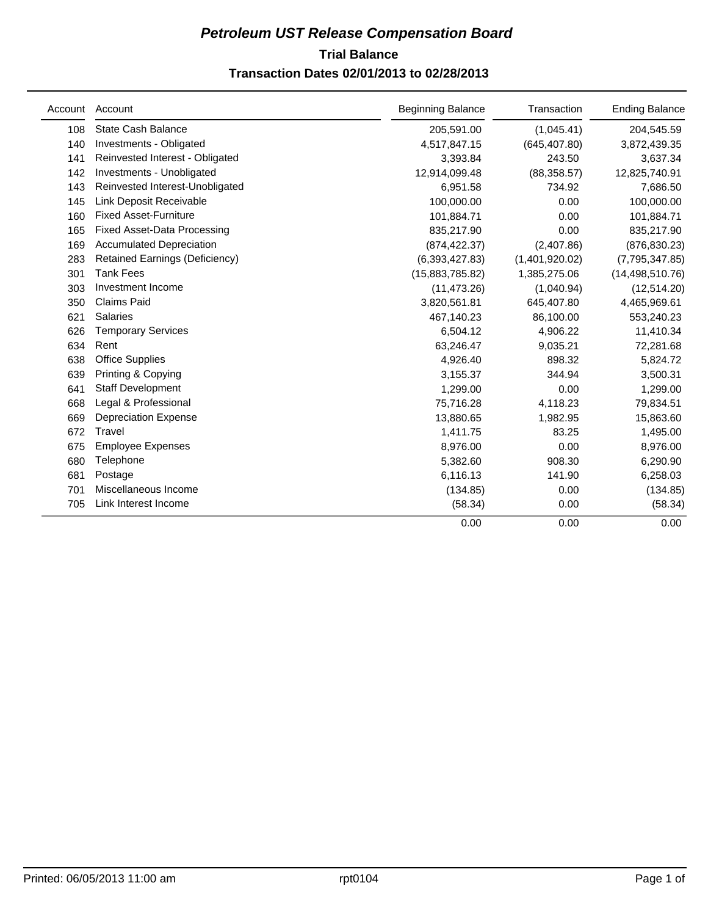# **Trial Balance** *Petroleum UST Release Compensation Board*  **Transaction Dates 02/01/2013 to 02/28/2013**

| Account | Account                            | <b>Beginning Balance</b> | Transaction    | <b>Ending Balance</b> |
|---------|------------------------------------|--------------------------|----------------|-----------------------|
| 108     | <b>State Cash Balance</b>          | 205,591.00               | (1,045.41)     | 204,545.59            |
| 140     | Investments - Obligated            | 4,517,847.15             | (645, 407.80)  | 3,872,439.35          |
| 141     | Reinvested Interest - Obligated    | 3,393.84                 | 243.50         | 3,637.34              |
| 142     | Investments - Unobligated          | 12,914,099.48            | (88, 358.57)   | 12,825,740.91         |
| 143     | Reinvested Interest-Unobligated    | 6,951.58                 | 734.92         | 7,686.50              |
| 145     | Link Deposit Receivable            | 100,000.00               | 0.00           | 100,000.00            |
| 160     | <b>Fixed Asset-Furniture</b>       | 101,884.71               | 0.00           | 101,884.71            |
| 165     | <b>Fixed Asset-Data Processing</b> | 835,217.90               | 0.00           | 835,217.90            |
| 169     | <b>Accumulated Depreciation</b>    | (874, 422.37)            | (2,407.86)     | (876, 830.23)         |
| 283     | Retained Earnings (Deficiency)     | (6,393,427.83)           | (1,401,920.02) | (7,795,347.85)        |
| 301     | <b>Tank Fees</b>                   | (15,883,785.82)          | 1,385,275.06   | (14, 498, 510.76)     |
| 303     | Investment Income                  | (11, 473.26)             | (1,040.94)     | (12, 514.20)          |
| 350     | <b>Claims Paid</b>                 | 3,820,561.81             | 645,407.80     | 4,465,969.61          |
| 621     | <b>Salaries</b>                    | 467,140.23               | 86,100.00      | 553,240.23            |
| 626     | <b>Temporary Services</b>          | 6,504.12                 | 4,906.22       | 11,410.34             |
| 634     | Rent                               | 63,246.47                | 9,035.21       | 72,281.68             |
| 638     | <b>Office Supplies</b>             | 4,926.40                 | 898.32         | 5,824.72              |
| 639     | Printing & Copying                 | 3,155.37                 | 344.94         | 3,500.31              |
| 641     | <b>Staff Development</b>           | 1,299.00                 | 0.00           | 1,299.00              |
| 668     | Legal & Professional               | 75,716.28                | 4,118.23       | 79,834.51             |
| 669     | <b>Depreciation Expense</b>        | 13,880.65                | 1,982.95       | 15,863.60             |
| 672     | Travel                             | 1,411.75                 | 83.25          | 1,495.00              |
| 675     | <b>Employee Expenses</b>           | 8,976.00                 | 0.00           | 8,976.00              |
| 680     | Telephone                          | 5,382.60                 | 908.30         | 6,290.90              |
| 681     | Postage                            | 6,116.13                 | 141.90         | 6,258.03              |
| 701     | Miscellaneous Income               | (134.85)                 | 0.00           | (134.85)              |
| 705     | Link Interest Income               | (58.34)                  | 0.00           | (58.34)               |
|         |                                    | 0.00                     | 0.00           | 0.00                  |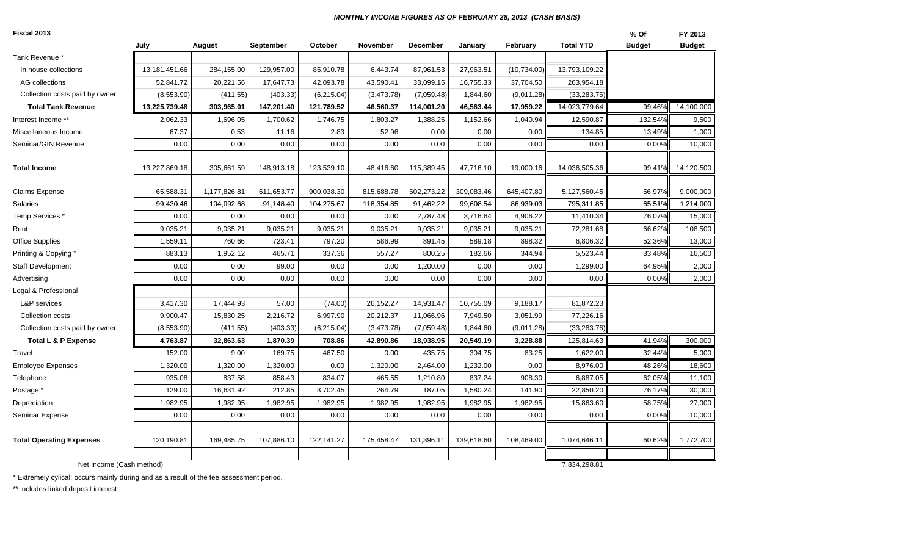#### *MONTHLY INCOME FIGURES AS OF FEBRUARY 28, 2013 (CASH BASIS)*

| Fiscal 2013                     |               |              |            |            |            |            |            |             |                  | % Of          | FY 2013       |
|---------------------------------|---------------|--------------|------------|------------|------------|------------|------------|-------------|------------------|---------------|---------------|
|                                 | July          | August       | September  | October    | November   | December   | January    | February    | <b>Total YTD</b> | <b>Budget</b> | <b>Budget</b> |
| Tank Revenue *                  |               |              |            |            |            |            |            |             |                  |               |               |
| In house collections            | 13,181,451.66 | 284,155.00   | 129,957.00 | 85,910.78  | 6,443.74   | 87,961.53  | 27,963.51  | (10,734.00) | 13,793,109.22    |               |               |
| AG collections                  | 52,841.72     | 20,221.56    | 17,647.73  | 42,093.78  | 43,590.41  | 33,099.15  | 16,755.33  | 37,704.50   | 263,954.18       |               |               |
| Collection costs paid by owner  | (8,553.90)    | (411.55)     | (403.33)   | (6,215.04) | (3,473.78) | (7,059.48) | 1,844.60   | (9,011.28)  | (33, 283.76)     |               |               |
| <b>Total Tank Revenue</b>       | 13,225,739.48 | 303,965.01   | 147,201.40 | 121,789.52 | 46,560.37  | 114,001.20 | 46,563.44  | 17,959.22   | 14,023,779.64    | 99.46%        | 14,100,000    |
| Interest Income **              | 2,062.33      | 1,696.05     | 1,700.62   | 1,746.75   | 1,803.27   | 1,388.25   | 1,152.66   | 1,040.94    | 12,590.87        | 132.54%       | 9,500         |
| Miscellaneous Income            | 67.37         | 0.53         | 11.16      | 2.83       | 52.96      | 0.00       | 0.00       | 0.00        | 134.85           | 13.49%        | 1,000         |
| Seminar/GIN Revenue             | 0.00          | 0.00         | 0.00       | 0.00       | 0.00       | 0.00       | 0.00       | 0.00        | 0.00             | 0.00%         | 10,000        |
| <b>Total Income</b>             | 13,227,869.18 | 305,661.59   | 148,913.18 | 123,539.10 | 48,416.60  | 115,389.45 | 47,716.10  | 19,000.16   | 14,036,505.36    | 99.41%        | 14,120,500    |
| <b>Claims Expense</b>           | 65,588.31     | 1,177,826.81 | 611,653.77 | 900,038.30 | 815,688.78 | 602,273.22 | 309,083.46 | 645,407.80  | 5,127,560.45     | 56.97%        | 9,000,000     |
| Salaries                        | 99,430.46     | 104,092.68   | 91,148.40  | 104,275.67 | 118,354.85 | 91,462.22  | 99,608.54  | 86,939.03   | 795,311.85       | 65.51%        | 1,214,000     |
| Temp Services*                  | 0.00          | 0.00         | 0.00       | 0.00       | 0.00       | 2,787.48   | 3,716.64   | 4,906.22    | 11,410.34        | 76.07%        | 15,000        |
| Rent                            | 9,035.21      | 9,035.21     | 9,035.21   | 9,035.21   | 9,035.21   | 9,035.21   | 9,035.21   | 9,035.21    | 72,281.68        | 66.62%        | 108,500       |
| Office Supplies                 | 1,559.11      | 760.66       | 723.41     | 797.20     | 586.99     | 891.45     | 589.18     | 898.32      | 6,806.32         | 52.36%        | 13,000        |
| Printing & Copying *            | 883.13        | 1,952.12     | 465.71     | 337.36     | 557.27     | 800.25     | 182.66     | 344.94      | 5,523.44         | 33.48%        | 16,500        |
| <b>Staff Development</b>        | 0.00          | 0.00         | 99.00      | 0.00       | 0.00       | 1,200.00   | 0.00       | 0.00        | 1,299.00         | 64.95%        | 2,000         |
| Advertising                     | 0.00          | 0.00         | 0.00       | 0.00       | 0.00       | 0.00       | 0.00       | 0.00        | 0.00             | 0.00%         | 2,000         |
| Legal & Professional            |               |              |            |            |            |            |            |             |                  |               |               |
| <b>L&amp;P</b> services         | 3,417.30      | 17,444.93    | 57.00      | (74.00)    | 26,152.27  | 14,931.47  | 10,755.09  | 9,188.17    | 81,872.23        |               |               |
| Collection costs                | 9,900.47      | 15,830.25    | 2,216.72   | 6,997.90   | 20,212.37  | 11,066.96  | 7,949.50   | 3,051.99    | 77,226.16        |               |               |
| Collection costs paid by owner  | (8,553.90)    | (411.55)     | (403.33)   | (6,215.04) | (3,473.78) | (7,059.48) | 1,844.60   | (9,011.28)  | (33, 283.76)     |               |               |
| <b>Total L &amp; P Expense</b>  | 4,763.87      | 32,863.63    | 1,870.39   | 708.86     | 42,890.86  | 18,938.95  | 20,549.19  | 3,228.88    | 125,814.63       | 41.94%        | 300,000       |
| Travel                          | 152.00        | 9.00         | 169.75     | 467.50     | 0.00       | 435.75     | 304.75     | 83.25       | 1,622.00         | 32.44%        | 5,000         |
| <b>Employee Expenses</b>        | 1,320.00      | 1,320.00     | 1,320.00   | 0.00       | 1,320.00   | 2,464.00   | 1,232.00   | 0.00        | 8,976.00         | 48.26%        | 18,600        |
| Telephone                       | 935.08        | 837.58       | 858.43     | 834.07     | 465.55     | 1,210.80   | 837.24     | 908.30      | 6,887.05         | 62.05%        | 11,100        |
| Postage *                       | 129.00        | 16,631.92    | 212.85     | 3,702.45   | 264.79     | 187.05     | 1,580.24   | 141.90      | 22,850.20        | 76.17%        | 30,000        |
| Depreciation                    | 1,982.95      | 1,982.95     | 1,982.95   | 1,982.95   | 1,982.95   | 1,982.95   | 1,982.95   | 1,982.95    | 15,863.60        | 58.75%        | 27,000        |
| <b>Seminar Expense</b>          | 0.00          | 0.00         | 0.00       | 0.00       | 0.00       | 0.00       | 0.00       | 0.00        | 0.00             | 0.00%         | 10,000        |
| <b>Total Operating Expenses</b> | 120,190.81    | 169,485.75   | 107,886.10 | 122,141.27 | 175,458.47 | 131,396.11 | 139,618.60 | 108,469.00  | 1,074,646.11     | 60.62%        | 1,772,700     |
| Net Income (Cash method)        |               |              |            |            |            |            |            |             | 7,834,298.81     |               |               |

\* Extremely cylical; occurs mainly during and as a result of the fee assessment period.

\*\* includes linked deposit interest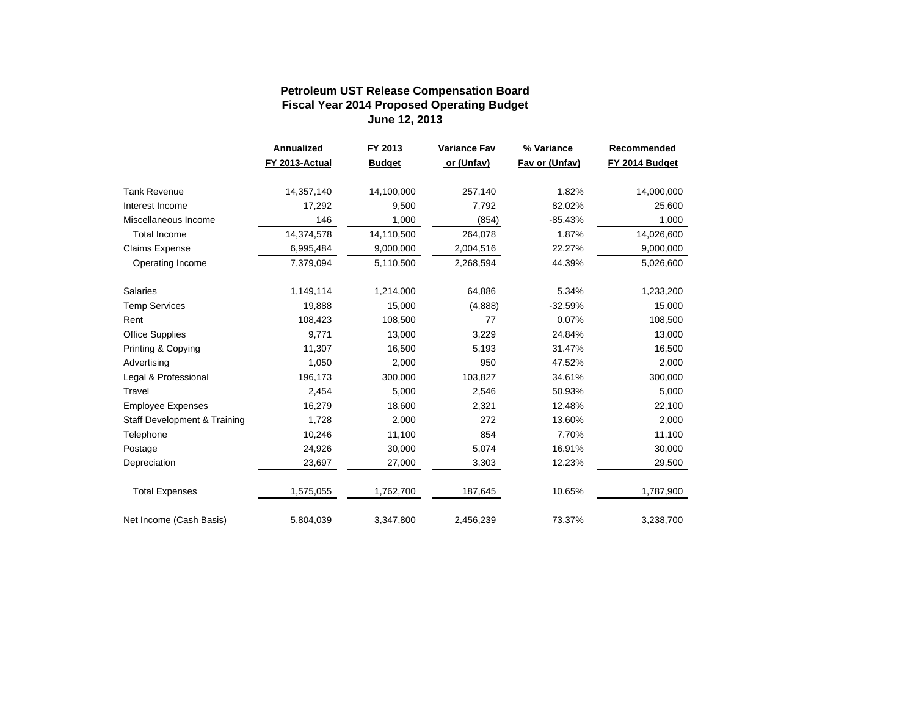#### **Fiscal Year 2014 Proposed Operating Budget June 12, 2013 Petroleum UST Release Compensation Board**

|                              | Annualized     | FY 2013       | <b>Variance Fav</b> | % Variance     | Recommended    |
|------------------------------|----------------|---------------|---------------------|----------------|----------------|
|                              | FY 2013-Actual | <b>Budget</b> | or (Unfav)          | Fav or (Unfav) | FY 2014 Budget |
| <b>Tank Revenue</b>          | 14,357,140     | 14,100,000    | 257,140             | 1.82%          | 14,000,000     |
| Interest Income              | 17,292         | 9,500         | 7,792               | 82.02%         | 25,600         |
| Miscellaneous Income         | 146            | 1,000         | (854)               | $-85.43%$      | 1,000          |
| <b>Total Income</b>          | 14,374,578     | 14,110,500    | 264,078             | 1.87%          | 14,026,600     |
| Claims Expense               | 6,995,484      | 9,000,000     | 2,004,516           | 22.27%         | 9,000,000      |
| Operating Income             | 7,379,094      | 5,110,500     | 2,268,594           | 44.39%         | 5,026,600      |
| <b>Salaries</b>              | 1,149,114      | 1,214,000     | 64,886              | 5.34%          | 1,233,200      |
| <b>Temp Services</b>         | 19,888         | 15,000        | (4,888)             | $-32.59%$      | 15,000         |
| Rent                         | 108,423        | 108,500       | 77                  | 0.07%          | 108,500        |
| Office Supplies              | 9,771          | 13,000        | 3,229               | 24.84%         | 13,000         |
| Printing & Copying           | 11,307         | 16,500        | 5,193               | 31.47%         | 16,500         |
| Advertising                  | 1,050          | 2,000         | 950                 | 47.52%         | 2,000          |
| Legal & Professional         | 196,173        | 300,000       | 103,827             | 34.61%         | 300,000        |
| Travel                       | 2,454          | 5,000         | 2,546               | 50.93%         | 5,000          |
| <b>Employee Expenses</b>     | 16,279         | 18,600        | 2,321               | 12.48%         | 22,100         |
| Staff Development & Training | 1,728          | 2,000         | 272                 | 13.60%         | 2,000          |
| Telephone                    | 10,246         | 11,100        | 854                 | 7.70%          | 11,100         |
| Postage                      | 24,926         | 30,000        | 5,074               | 16.91%         | 30,000         |
| Depreciation                 | 23,697         | 27,000        | 3,303               | 12.23%         | 29,500         |
| <b>Total Expenses</b>        | 1,575,055      | 1,762,700     | 187,645             | 10.65%         | 1,787,900      |
| Net Income (Cash Basis)      | 5,804,039      | 3,347,800     | 2,456,239           | 73.37%         | 3,238,700      |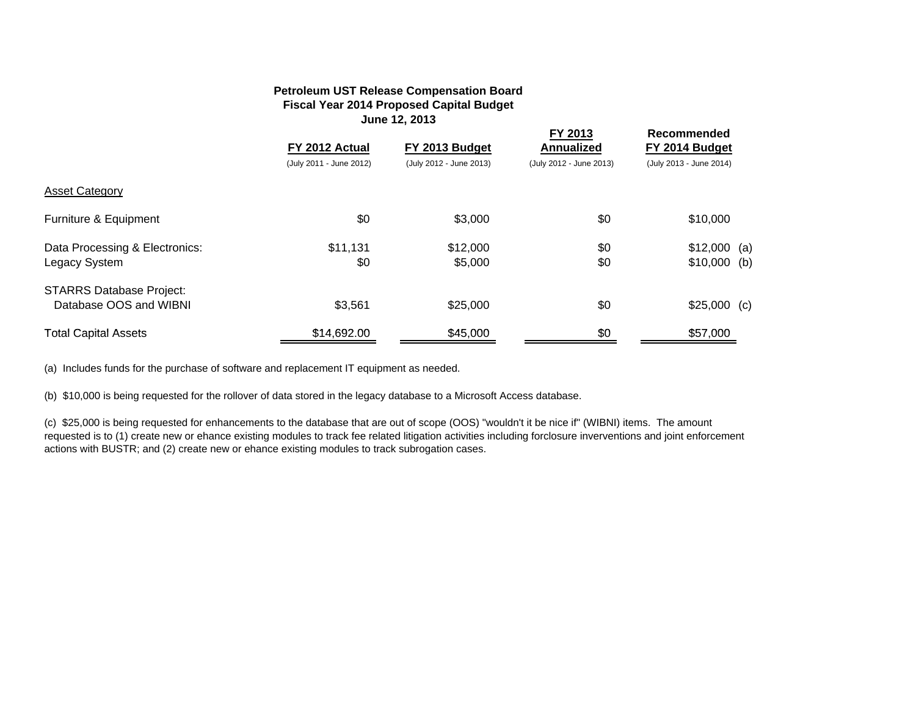#### **Petroleum UST Release Compensation Board Fiscal Year 2014 Proposed Capital Budget June 12, 2013**

|                                                                                                                        | FY 2012 Actual<br>(July 2011 - June 2012) | FY 2013 Budget<br>(July 2012 - June 2013) | FY 2013<br><b>Annualized</b><br>(July 2012 - June 2013) | <b>Recommended</b><br>FY 2014 Budget<br>(July 2013 - June 2014) |  |
|------------------------------------------------------------------------------------------------------------------------|-------------------------------------------|-------------------------------------------|---------------------------------------------------------|-----------------------------------------------------------------|--|
| <b>Asset Category</b>                                                                                                  |                                           |                                           |                                                         |                                                                 |  |
| Furniture & Equipment                                                                                                  | \$0                                       | \$3,000                                   | \$0                                                     | \$10,000                                                        |  |
| Data Processing & Electronics:<br>Legacy System                                                                        | \$11,131<br>\$0                           | \$12,000<br>\$5,000                       | \$0<br>\$0                                              | $$12,000$ (a)<br>$$10,000$ (b)                                  |  |
| <b>STARRS Database Project:</b><br>Database OOS and WIBNI                                                              | \$3,561                                   | \$25,000                                  | \$0                                                     | $$25,000$ (c)                                                   |  |
| <b>Total Capital Assets</b>                                                                                            | \$14,692.00                               | \$45,000                                  | \$0                                                     | \$57,000                                                        |  |
| (a) Includes funds for the purchase of software and replacement IT equipment as needed.                                |                                           |                                           |                                                         |                                                                 |  |
| (b) \$10,000 is being requested for the rollover of data stored in the legacy database to a Microsoft Access database. |                                           |                                           |                                                         |                                                                 |  |

(c) \$25,000 is being requested for enhancements to the database that are out of scope (OOS) "wouldn't it be nice if" (WIBNI) items. The amount requested is to (1) create new or ehance existing modules to track fee related litigation activities including forclosure inverventions and joint enforcement actions with BUSTR; and (2) create new or ehance existing modules to track subrogation cases.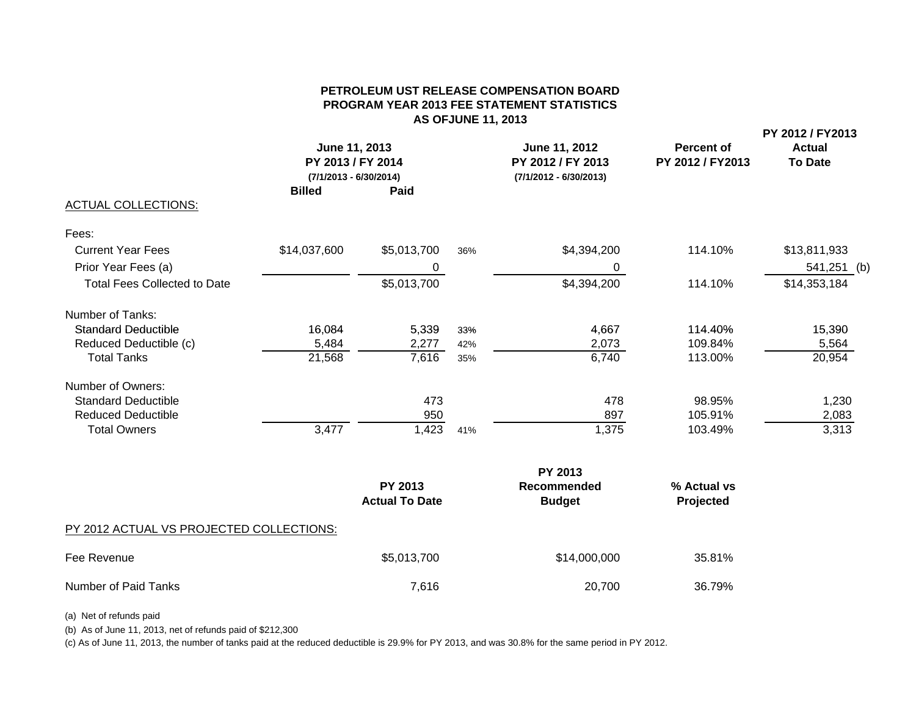#### **PETROLEUM UST RELEASE COMPENSATION BOARDPROGRAM YEAR 2013 FEE STATEMENT STATISTICS AS OFJUNE 11, 2013**

**PY 2012 / FY2013**

|                                     | June 11, 2013<br>PY 2013 / FY 2014<br>(7/1/2013 - 6/30/2014) |             |     | June 11, 2012<br>PY 2012 / FY 2013<br>(7/1/2012 - 6/30/2013) | <b>Percent of</b><br>PY 2012 / FY2013 | <b>Actual</b><br><b>To Date</b> |
|-------------------------------------|--------------------------------------------------------------|-------------|-----|--------------------------------------------------------------|---------------------------------------|---------------------------------|
|                                     | <b>Billed</b>                                                | Paid        |     |                                                              |                                       |                                 |
| ACTUAL COLLECTIONS:                 |                                                              |             |     |                                                              |                                       |                                 |
| Fees:                               |                                                              |             |     |                                                              |                                       |                                 |
| <b>Current Year Fees</b>            | \$14,037,600                                                 | \$5,013,700 | 36% | \$4,394,200                                                  | 114.10%                               | \$13,811,933                    |
| Prior Year Fees (a)                 |                                                              | 0           |     | 0                                                            |                                       | 541,251 (b)                     |
| <b>Total Fees Collected to Date</b> |                                                              | \$5,013,700 |     | \$4,394,200                                                  | 114.10%                               | \$14,353,184                    |
| Number of Tanks:                    |                                                              |             |     |                                                              |                                       |                                 |
| <b>Standard Deductible</b>          | 16,084                                                       | 5,339       | 33% | 4,667                                                        | 114.40%                               | 15,390                          |
| Reduced Deductible (c)              | 5,484                                                        | 2,277       | 42% | 2,073                                                        | 109.84%                               | 5,564                           |
| <b>Total Tanks</b>                  | 21,568                                                       | 7,616       | 35% | 6,740                                                        | 113.00%                               | 20,954                          |
| Number of Owners:                   |                                                              |             |     |                                                              |                                       |                                 |
| <b>Standard Deductible</b>          |                                                              | 473         |     | 478                                                          | 98.95%                                | 1,230                           |
| <b>Reduced Deductible</b>           |                                                              | 950         |     | 897                                                          | 105.91%                               | 2,083                           |
| <b>Total Owners</b>                 | 3,477                                                        | 1,423       | 41% | 1,375                                                        | 103.49%                               | 3,313                           |
|                                     |                                                              |             |     | PY 2013                                                      |                                       |                                 |

**PY 2013 Recommended** % Actual vs **Actual To Date Budget Projected** PY 2012 ACTUAL VS PROJECTED COLLECTIONS: Fee Revenue 35.81% Number of Paid Tanks 36.79%

(a) Net of refunds paid

(b) As of June 11, 2013, net of refunds paid of \$212,300

(c) As of June 11, 2013, the number of tanks paid at the reduced deductible is 29.9% for PY 2013, and was 30.8% for the same period in PY 2012.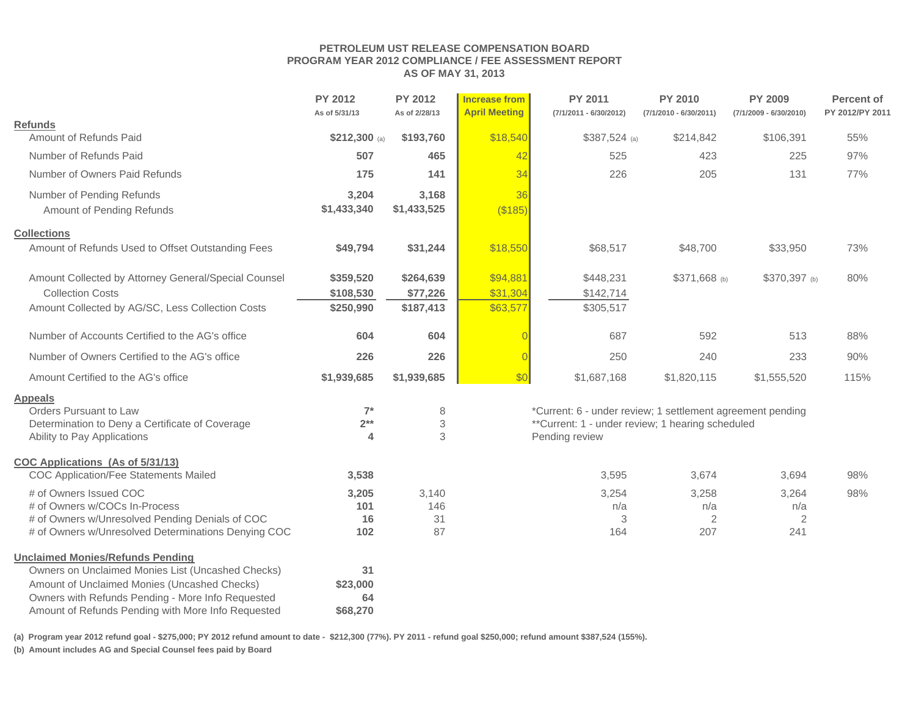#### **PETROLEUM UST RELEASE COMPENSATION BOARD PROGRAM YEAR 2012 COMPLIANCE / FEE ASSESSMENT REPORT AS OF MAY 31, 2013**

|                                                      | <b>PY 2012</b><br>As of 5/31/13 | <b>PY 2012</b><br>As of 2/28/13 | <b>Increase from</b><br><b>April Meeting</b> | <b>PY 2011</b><br>(7/1/2011 - 6/30/2012)                   | <b>PY 2010</b><br>$(7/1/2010 - 6/30/2011)$ | <b>PY 2009</b><br>$(7/1/2009 - 6/30/2010)$ | <b>Percent of</b><br>PY 2012/PY 2011 |
|------------------------------------------------------|---------------------------------|---------------------------------|----------------------------------------------|------------------------------------------------------------|--------------------------------------------|--------------------------------------------|--------------------------------------|
| <b>Refunds</b>                                       |                                 |                                 |                                              |                                                            |                                            |                                            |                                      |
| Amount of Refunds Paid                               | \$212,300 (a)                   | \$193,760                       | \$18,540                                     | $$387,524$ (a)                                             | \$214,842                                  | \$106,391                                  | 55%                                  |
| Number of Refunds Paid                               | 507                             | 465                             | 42                                           | 525                                                        | 423                                        | 225                                        | 97%                                  |
| Number of Owners Paid Refunds                        | 175                             | 141                             | 34                                           | 226                                                        | 205                                        | 131                                        | 77%                                  |
| Number of Pending Refunds                            | 3,204                           | 3,168                           | 36                                           |                                                            |                                            |                                            |                                      |
| Amount of Pending Refunds                            | \$1,433,340                     | \$1,433,525                     | (\$185)                                      |                                                            |                                            |                                            |                                      |
| <b>Collections</b>                                   |                                 |                                 |                                              |                                                            |                                            |                                            |                                      |
| Amount of Refunds Used to Offset Outstanding Fees    | \$49,794                        | \$31,244                        | \$18,550                                     | \$68,517                                                   | \$48,700                                   | \$33,950                                   | 73%                                  |
| Amount Collected by Attorney General/Special Counsel | \$359,520                       | \$264,639                       | \$94,881                                     | \$448,231                                                  | \$371,668 (b)                              | \$370,397 (b)                              | 80%                                  |
| <b>Collection Costs</b>                              | \$108,530                       | \$77,226                        | \$31,304                                     | \$142,714                                                  |                                            |                                            |                                      |
| Amount Collected by AG/SC, Less Collection Costs     | \$250,990                       | \$187,413                       | \$63,577                                     | \$305,517                                                  |                                            |                                            |                                      |
| Number of Accounts Certified to the AG's office      | 604                             | 604                             |                                              | 687                                                        | 592                                        | 513                                        | 88%                                  |
| Number of Owners Certified to the AG's office        | 226                             | 226                             | $\overline{0}$                               | 250                                                        | 240                                        | 233                                        | 90%                                  |
| Amount Certified to the AG's office                  | \$1,939,685                     | \$1,939,685                     | \$0                                          | \$1,687,168                                                | \$1,820,115                                | \$1,555,520                                | 115%                                 |
| <b>Appeals</b>                                       |                                 |                                 |                                              |                                                            |                                            |                                            |                                      |
| Orders Pursuant to Law                               | $7^*$                           | 8                               |                                              | *Current: 6 - under review; 1 settlement agreement pending |                                            |                                            |                                      |
| Determination to Deny a Certificate of Coverage      | $2***$                          | $\sqrt{3}$                      |                                              | **Current: 1 - under review; 1 hearing scheduled           |                                            |                                            |                                      |
| Ability to Pay Applications                          | $\overline{\mathbf{A}}$         | 3                               |                                              | Pending review                                             |                                            |                                            |                                      |
| <b>COC Applications (As of 5/31/13)</b>              |                                 |                                 |                                              |                                                            |                                            |                                            |                                      |
| COC Application/Fee Statements Mailed                | 3,538                           |                                 |                                              | 3,595                                                      | 3,674                                      | 3,694                                      | 98%                                  |
| # of Owners Issued COC                               | 3,205                           | 3,140                           |                                              | 3,254                                                      | 3,258                                      | 3,264                                      | 98%                                  |
| # of Owners w/COCs In-Process                        | 101                             | 146                             |                                              | n/a                                                        | n/a                                        | n/a                                        |                                      |
| # of Owners w/Unresolved Pending Denials of COC      | 16                              | 31                              |                                              | 3                                                          | 2                                          | 2                                          |                                      |
| # of Owners w/Unresolved Determinations Denying COC  | 102                             | 87                              |                                              | 164                                                        | 207                                        | 241                                        |                                      |
| <b>Unclaimed Monies/Refunds Pending</b>              |                                 |                                 |                                              |                                                            |                                            |                                            |                                      |
| Owners on Unclaimed Monies List (Uncashed Checks)    | 31                              |                                 |                                              |                                                            |                                            |                                            |                                      |
| Amount of Unclaimed Monies (Uncashed Checks)         | \$23,000                        |                                 |                                              |                                                            |                                            |                                            |                                      |
| Owners with Refunds Pending - More Info Requested    | 64                              |                                 |                                              |                                                            |                                            |                                            |                                      |
| Amount of Refunds Pending with More Info Requested   | \$68,270                        |                                 |                                              |                                                            |                                            |                                            |                                      |

**(a) Program year 2012 refund goal - \$275,000; PY 2012 refund amount to date - \$212,300 (77%). PY 2011 - refund goal \$250,000; refund amount \$387,524 (155%).** 

**(b) Amount includes AG and Special Counsel fees paid by Board**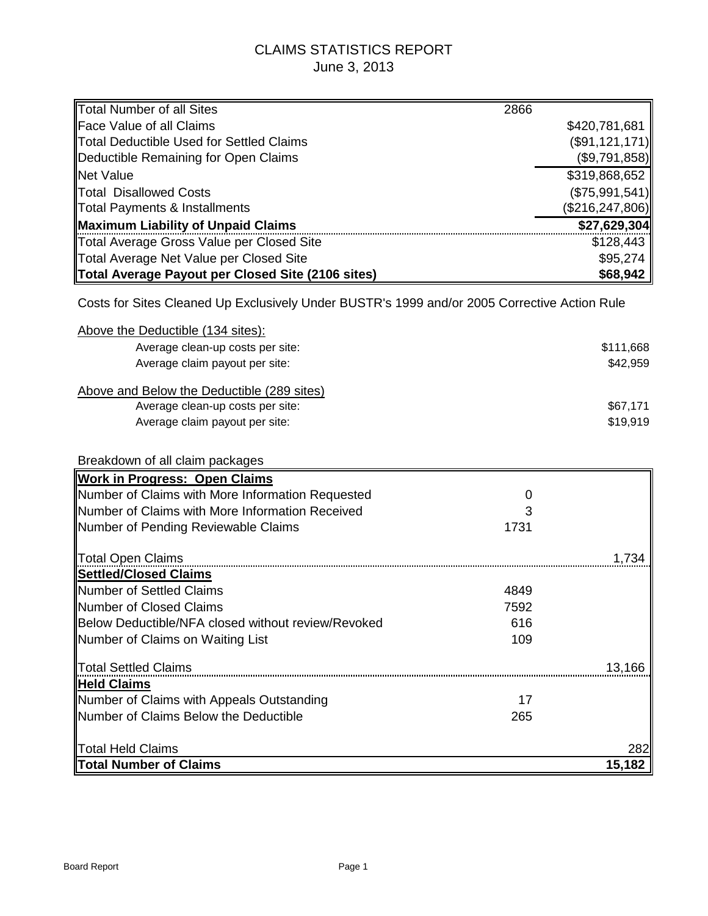# CLAIMS STATISTICS REPORT June 3, 2013

| Total Number of all Sites                                                                    | 2866 |                   |
|----------------------------------------------------------------------------------------------|------|-------------------|
| Face Value of all Claims                                                                     |      | \$420,781,681     |
| <b>Total Deductible Used for Settled Claims</b>                                              |      | (\$91,121,171)    |
| Deductible Remaining for Open Claims                                                         |      | (\$9,791,858)     |
| <b>Net Value</b>                                                                             |      | \$319,868,652     |
| <b>Total Disallowed Costs</b>                                                                |      | (\$75,991,541)    |
| <b>Total Payments &amp; Installments</b>                                                     |      | (\$216, 247, 806) |
| <b>Maximum Liability of Unpaid Claims</b>                                                    |      | \$27,629,304      |
| Total Average Gross Value per Closed Site                                                    |      | \$128,443         |
| Total Average Net Value per Closed Site                                                      |      | \$95,274          |
| <b>Total Average Payout per Closed Site (2106 sites)</b>                                     |      | \$68,942          |
| Costs for Sites Cleaned Up Exclusively Under BUSTR's 1999 and/or 2005 Corrective Action Rule |      |                   |
| Above the Deductible (134 sites):                                                            |      |                   |
| Average clean-up costs per site:                                                             |      | \$111,668         |
| Average claim payout per site:                                                               |      | \$42,959          |
|                                                                                              |      |                   |
| Above and Below the Deductible (289 sites)                                                   |      |                   |
| Average clean-up costs per site:                                                             |      | \$67,171          |
| Average claim payout per site:                                                               |      | \$19,919          |
|                                                                                              |      |                   |
| Breakdown of all claim packages                                                              |      |                   |
| <b>Work in Progress: Open Claims</b>                                                         |      |                   |
| Number of Claims with More Information Requested                                             | O    |                   |
| Number of Claims with More Information Received                                              | З    |                   |
| Number of Pending Reviewable Claims                                                          | 1731 |                   |
|                                                                                              |      |                   |
| <b>Total Open Claims</b>                                                                     |      | 1,734             |
| <b>Settled/Closed Claims</b>                                                                 |      |                   |
| <b>Number of Settled Claims</b>                                                              | 4849 |                   |
| Number of Closed Claims                                                                      | 7592 |                   |
| Below Deductible/NFA closed without review/Revoked                                           | 616  |                   |
| Number of Claims on Waiting List                                                             | 109  |                   |
|                                                                                              |      |                   |
| Total Settled Claims                                                                         |      | 13,166            |
| <b>Held Claims</b>                                                                           |      |                   |
| Number of Claims with Appeals Outstanding                                                    | 17   |                   |
| Number of Claims Below the Deductible                                                        | 265  |                   |
|                                                                                              |      |                   |
| Total Held Claims                                                                            |      | 282               |
| <b>Total Number of Claims</b>                                                                |      | 15,182            |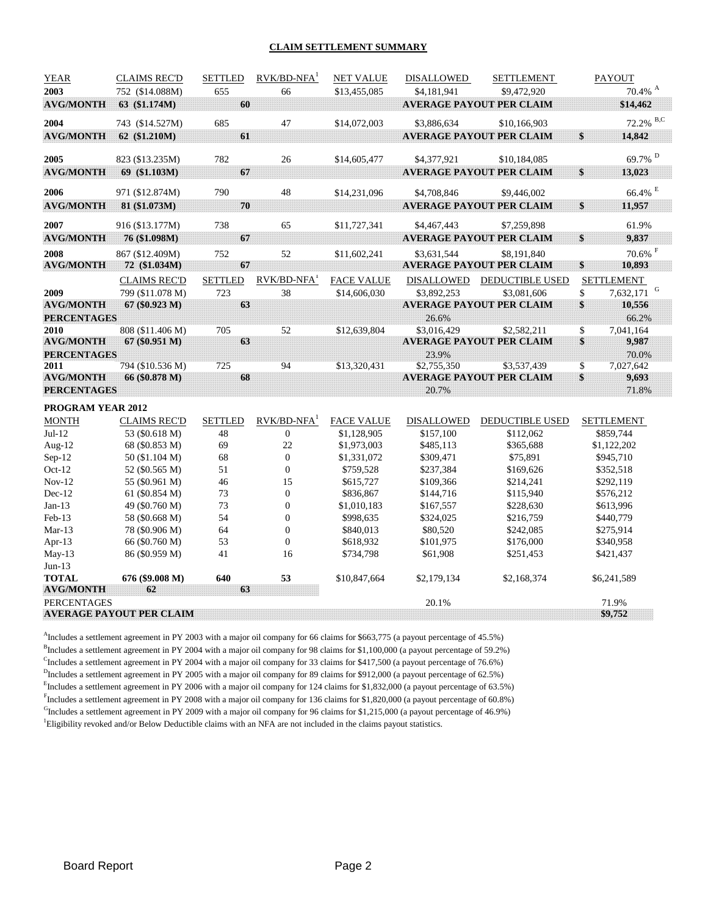#### **CLAIM SETTLEMENT SUMMARY**

| <b>YEAR</b>        | <b>CLAIMS REC'D</b>             | <b>SETTLED</b> | $RVK/BD-NFA1$             | <b>NET VALUE</b>  | <b>DISALLOWED</b> | <b>SETTLEMENT</b>               | <b>PAYOUT</b>         |
|--------------------|---------------------------------|----------------|---------------------------|-------------------|-------------------|---------------------------------|-----------------------|
| 2003               | 752 (\$14.088M)                 | 655            | 66                        | \$13,455,085      | \$4,181,941       | \$9,472,920                     | $70.4\%$ <sup>A</sup> |
| <b>AVG/MONTH</b>   | 63 (\$1.174M)                   | 60             |                           |                   |                   | <b>AVERAGE PAYOUT PER CLAIM</b> | \$14,462              |
| 2004               | 743 (\$14.527M)                 | 685            | 47                        | \$14,072,003      | \$3,886,634       | \$10,166,903                    | $72.2\%$ B,C          |
| <b>AVG/MONTH</b>   | 62 (\$1.210M)                   | 61             |                           |                   |                   | <b>AVERAGE PAYOUT PER CLAIM</b> | \$<br>14,842          |
|                    |                                 |                |                           |                   |                   |                                 |                       |
| 2005               | 823 (\$13.235M)                 | 782            | 26                        | \$14,605,477      | \$4,377,921       | \$10,184,085                    | $69.7\%$ $^{\rm D}$   |
| <b>AVG/MONTH</b>   | 69 (\$1.103M)                   | 67             |                           |                   |                   | <b>AVERAGE PAYOUT PER CLAIM</b> | \$<br>13,023          |
| 2006               | 971 (\$12.874M)                 | 790            | 48                        | \$14,231,096      | \$4,708,846       | \$9,446,002                     | $66.4\%$ $^{\rm E}$   |
| <b>AVG/MONTH</b>   | 81 (\$1.073M)                   | 70             |                           |                   |                   | <b>AVERAGE PAYOUT PER CLAIM</b> | \$<br>11,957          |
| 2007               | 916 (\$13.177M)                 | 738            | 65                        | \$11,727,341      | \$4,467,443       | \$7,259,898                     | 61.9%                 |
| <b>AVG/MONTH</b>   | 76 (\$1.098M)                   | 67             |                           |                   |                   | <b>AVERAGE PAYOUT PER CLAIM</b> | \$<br>9,837           |
| 2008               | 867 (\$12.409M)                 | 752            | 52                        | \$11,602,241      | \$3,631,544       | \$8,191,840                     | $70.6\%$ F            |
| <b>AVG/MONTH</b>   | 72 (\$1.034M)                   | 67             |                           |                   |                   | <b>AVERAGE PAYOUT PER CLAIM</b> | \$<br>10,893          |
|                    | <b>CLAIMS REC'D</b>             | <b>SETTLED</b> | RVK/BD-NFA <sup>1</sup>   | <b>FACE VALUE</b> | <b>DISALLOWED</b> | <b>DEDUCTIBLE USED</b>          | <b>SETTLEMENT</b>     |
| 2009               | 799 (\$11.078 M)                | 723            | 38                        | \$14,606,030      | \$3,892,253       | \$3,081,606                     | G<br>\$<br>7,632,171  |
| <b>AVG/MONTH</b>   | 67 (\$0.923 M)                  | 63             |                           |                   |                   | <b>AVERAGE PAYOUT PER CLAIM</b> | \$<br>10,556          |
| <b>PERCENTAGES</b> |                                 |                |                           |                   | 26.6%             |                                 | 66.2%                 |
| 2010               | 808 (\$11.406 M)                | 705            | 52                        | \$12,639,804      | \$3,016,429       | \$2,582,211                     | 7,041,164<br>\$       |
| <b>AVG/MONTH</b>   | 67 (\$0.951 M)                  | 63             |                           |                   |                   | <b>AVERAGE PAYOUT PER CLAIM</b> | \$<br>9,987           |
| <b>PERCENTAGES</b> |                                 |                |                           |                   | 23.9%             |                                 | 70.0%                 |
| 2011               | 794 (\$10.536 M)                | 725            | 94                        | \$13,320,431      | \$2,755,350       | \$3,537,439                     | \$<br>7,027,642       |
| <b>AVG/MONTH</b>   | 66 (\$0.878 M)                  | 68             |                           |                   |                   | <b>AVERAGE PAYOUT PER CLAIM</b> | \$<br>9,693           |
| <b>PERCENTAGES</b> |                                 |                |                           |                   | 20.7%             |                                 | 71.8%                 |
| PROGRAM YEAR 2012  |                                 |                |                           |                   |                   |                                 |                       |
| <b>MONTH</b>       | <b>CLAIMS REC'D</b>             | <b>SETTLED</b> | $RVK/BD-NFA$ <sup>1</sup> | <b>FACE VALUE</b> | <b>DISALLOWED</b> | <b>DEDUCTIBLE USED</b>          | <b>SETTLEMENT</b>     |
| $Jul-12$           | 53 (\$0.618 M)                  | 48             | $\mathbf{0}$              | \$1,128,905       | \$157,100         | \$112,062                       | \$859,744             |
| Aug- $12$          | 68 (\$0.853 M)                  | 69             | 22                        | \$1,973,003       | \$485,113         | \$365,688                       | \$1,122,202           |
| Sep-12             | 50 (\$1.104 M)                  | 68             | $\boldsymbol{0}$          | \$1,331,072       | \$309,471         | \$75,891                        | \$945,710             |
| Oct-12             | 52 (\$0.565 M)                  | 51             | $\overline{0}$            | \$759,528         | \$237,384         | \$169,626                       | \$352,518             |
| $Nov-12$           | 55 (\$0.961 M)                  | 46             | 15                        | \$615,727         | \$109,366         | \$214,241                       | \$292,119             |
| $Dec-12$           | 61 (\$0.854 M)                  | 73             | $\overline{0}$            | \$836,867         | \$144,716         | \$115,940                       | \$576,212             |
| $Jan-13$           | 49 (\$0.760 M)                  | 73             | $\overline{0}$            | \$1,010,183       | \$167,557         | \$228,630                       | \$613,996             |
| $Feb-13$           | 58 (\$0.668 M)                  | 54             | $\mathbf{0}$              | \$998,635         | \$324,025         | \$216,759                       | \$440,779             |
| $Mar-13$           | 78 (\$0.906 M)                  | 64             | $\mathbf{0}$              | \$840,013         | \$80,520          | \$242,085                       | \$275,914             |
| Apr-13             | 66 (\$0.760 M)                  | 53             | $\overline{0}$            | \$618,932         | \$101,975         | \$176,000                       | \$340,958             |
| $May-13$           | 86 (\$0.959 M)                  | 41             | 16                        | \$734,798         | \$61,908          | \$251,453                       | \$421,437             |
| $Jun-13$           |                                 |                |                           |                   |                   |                                 |                       |
| <b>TOTAL</b>       | 676 (\$9.008 M)                 | 640            | 53                        | \$10,847,664      | \$2,179,134       | \$2,168,374                     | \$6,241,589           |
| <b>AVG/MONTH</b>   | 62                              | 63             |                           |                   |                   |                                 |                       |
| <b>PERCENTAGES</b> |                                 |                |                           |                   | 20.1%             |                                 | 71.9%                 |
|                    | <b>AVERAGE PAYOUT PER CLAIM</b> |                |                           |                   |                   |                                 | \$9,752               |
|                    |                                 |                |                           |                   |                   |                                 |                       |

<sup>A</sup>Includes a settlement agreement in PY 2003 with a major oil company for 66 claims for \$663,775 (a payout percentage of 45.5%)

<sup>B</sup>Includes a settlement agreement in PY 2004 with a major oil company for 98 claims for \$1,100,000 (a payout percentage of 59.2%)

<sup>C</sup>Includes a settlement agreement in PY 2004 with a major oil company for 33 claims for \$417,500 (a payout percentage of 76.6%)

<sup>D</sup>Includes a settlement agreement in PY 2005 with a major oil company for 89 claims for \$912,000 (a payout percentage of 62.5%)

<sup>E</sup>Includes a settlement agreement in PY 2006 with a major oil company for 124 claims for \$1,832,000 (a payout percentage of 63.5%)

Fincludes a settlement agreement in PY 2008 with a major oil company for 136 claims for \$1,820,000 (a payout percentage of 60.8%)

 $<sup>G</sup>$ Includes a settlement agreement in PY 2009 with a major oil company for 96 claims for \$1,215,000 (a payout percentage of 46.9%)</sup>

1 Eligibility revoked and/or Below Deductible claims with an NFA are not included in the claims payout statistics.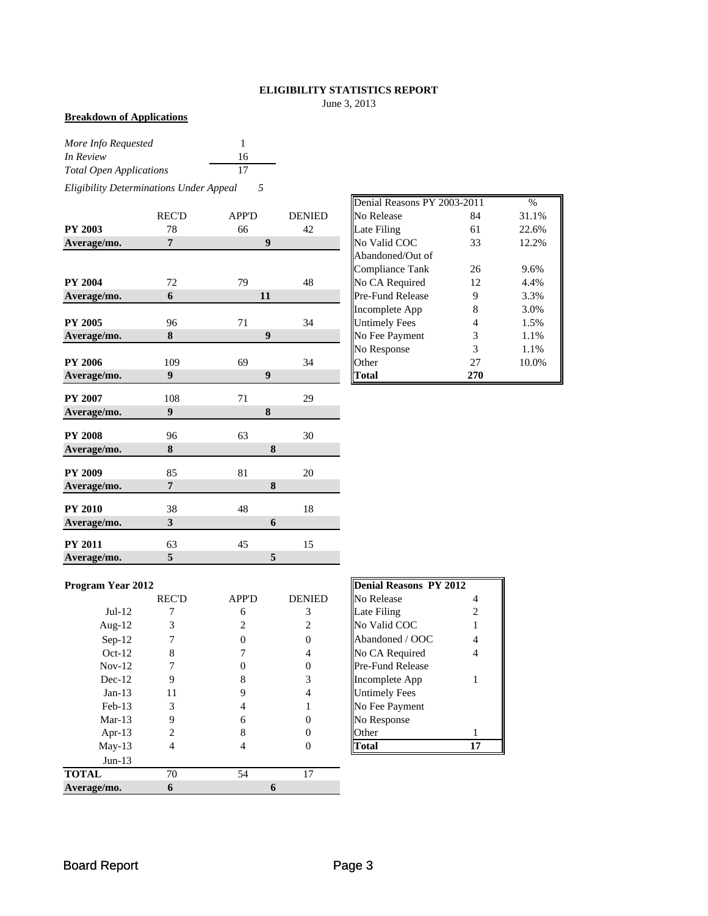#### **ELIGIBILITY STATISTICS REPORT**

June 3, 2013

#### **Breakdown of Applications**

| More Info Requested            |    |
|--------------------------------|----|
| In Review                      | 16 |
| <b>Total Open Applications</b> | 17 |

*Eligibility Determinations Under Appeal 5*

|                | <b>REC'D</b>   | <b>APP'D</b>     | <b>DENIED</b> | No Release           | 84             | 31.1% |
|----------------|----------------|------------------|---------------|----------------------|----------------|-------|
| <b>PY 2003</b> | 78             | 66               | 42            | Late Filing          | 61             | 22.6% |
| Average/mo.    | 7              | $\boldsymbol{9}$ |               | No Valid COC         | 33             | 12.2% |
|                |                |                  |               | Abandoned/Out of     |                |       |
|                |                |                  |               | Compliance Tank      | 26             | 9.6%  |
| <b>PY 2004</b> | 72             | 79               | 48            | No CA Required       | 12             | 4.4%  |
| Average/mo.    | 6              | 11               |               | Pre-Fund Release     | 9              | 3.3%  |
|                |                |                  |               | Incomplete App       | 8              | 3.0%  |
| <b>PY 2005</b> | 96             | 71               | 34            | <b>Untimely Fees</b> | $\overline{4}$ | 1.5%  |
| Average/mo.    | 8              | $\boldsymbol{9}$ |               | No Fee Payment       | 3              | 1.1%  |
|                |                |                  |               | No Response          | 3              | 1.1%  |
| <b>PY 2006</b> | 109            | 69               | 34            | Other                | 27             | 10.0% |
| Average/mo.    | 9              | 9                |               | <b>Total</b>         | 270            |       |
| <b>PY 2007</b> | 108            | 71               | 29            |                      |                |       |
| Average/mo.    | 9              | 8                |               |                      |                |       |
| <b>PY 2008</b> | 96             | 63               | 30            |                      |                |       |
| Average/mo.    | 8              |                  | 8             |                      |                |       |
| <b>PY 2009</b> | 85             | 81               | 20            |                      |                |       |
| Average/mo.    | $\overline{7}$ |                  | 8             |                      |                |       |
| <b>PY 2010</b> | 38             | 48               | 18            |                      |                |       |
| Average/mo.    | $\mathbf{3}$   |                  | 6             |                      |                |       |
| <b>PY 2011</b> | 63             | 45               | 15            |                      |                |       |
| Average/mo.    | 5              |                  | 5             |                      |                |       |

|       |              |               | Denial Reasons PY 2003-2011 |                | $\frac{0}{0}$ |
|-------|--------------|---------------|-----------------------------|----------------|---------------|
| REC'D | <b>APP'D</b> | <b>DENIED</b> | No Release                  | 84             | 31.1%         |
| 78    | 66           | 42            | Late Filing                 | 61             | 22.6%         |
|       | 9            |               | No Valid COC                | 33             | 12.2%         |
|       |              |               | Abandoned/Out of            |                |               |
|       |              |               | Compliance Tank             | 26             | 9.6%          |
| 72    | 79           | 48            | No CA Required              | 12             | 4.4%          |
| 6     | 11           |               | <b>Pre-Fund Release</b>     | 9              | 3.3%          |
|       |              |               | Incomplete App              | 8              | 3.0%          |
| 96    | 71           | 34            | <b>Untimely Fees</b>        | $\overline{4}$ | 1.5%          |
| 8     | 9            |               | No Fee Payment              | 3              | 1.1%          |
|       |              |               | No Response                 | 3              | 1.1%          |
| 109   | 69           | 34            | Other                       | 27             | 10.0%         |
| 9     | 9            |               | <b>Total</b>                | 270            |               |

#### **Program Year 2012**

|              | <b>REC'D</b> | <b>APP'D</b> | <b>DENIED</b> | No Release              |    |
|--------------|--------------|--------------|---------------|-------------------------|----|
| $Jul-12$     |              | 6            | 3             | Late Filing             |    |
| Aug- $12$    |              |              |               | No Valid COC            |    |
| $Sep-12$     |              |              |               | Abandoned / OOC         | 4  |
| $Oct-12$     | 8            |              |               | No CA Required          |    |
| $Nov-12$     |              |              |               | <b>Pre-Fund Release</b> |    |
| $Dec-12$     | 9            |              |               | Incomplete App          |    |
| $Jan-13$     | 11           |              |               | <b>Untimely Fees</b>    |    |
| $Feb-13$     | 3            |              |               | No Fee Payment          |    |
| $Mar-13$     |              |              |               | No Response             |    |
| Apr-13       |              |              |               | Other                   |    |
| $May-13$     |              |              |               | <b>Total</b>            | 17 |
| $Jun-13$     |              |              |               |                         |    |
| <b>TOTAL</b> | 70           | 54           | 17            |                         |    |
| Average/mo.  | 6            |              |               |                         |    |

| <b>Denial Reasons PY 2012</b> |                |
|-------------------------------|----------------|
| No Release                    | 4              |
| Late Filing                   | $\mathfrak{D}$ |
| No Valid COC                  | 1              |
| Abandoned / OOC               | 4              |
| No CA Required                | 4              |
| Pre-Fund Release              |                |
| Incomplete App                | 1              |
| <b>Untimely Fees</b>          |                |
| No Fee Payment                |                |
| No Response                   |                |
| Other                         | 1              |
|                               |                |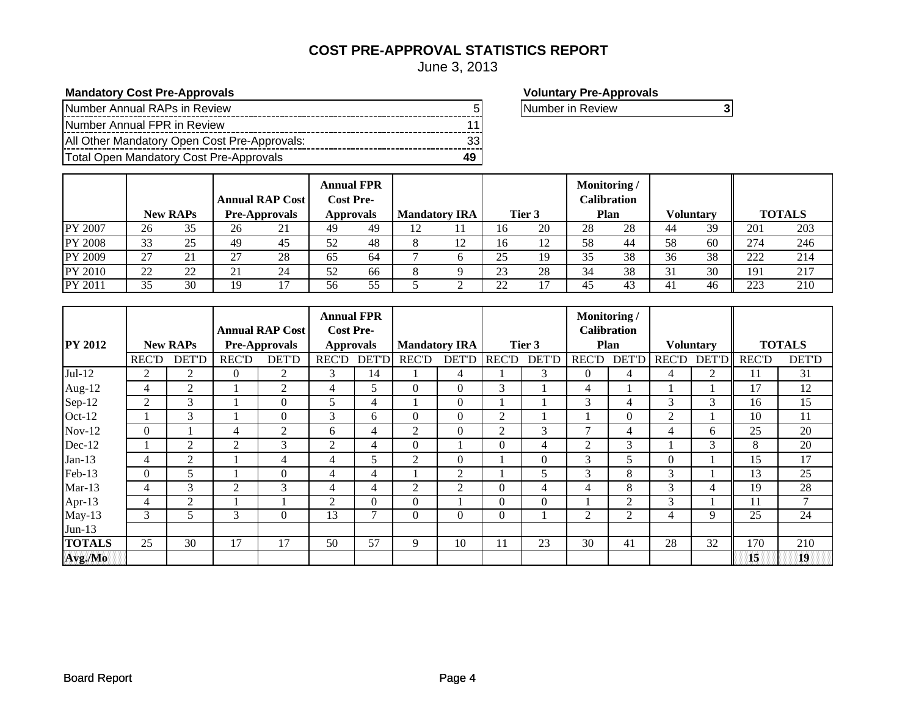#### **COST PRE-APPROVAL STATISTICS REPORT**

June 3, 2013

### **Mandatory Cost Pre-Approvals**<br> **Mandatory Cost Pre-Approvals**

| Number Annual RAPs in Review                 |  |
|----------------------------------------------|--|
| Number Annual FPR in Review                  |  |
| All Other Mandatory Open Cost Pre-Approvals: |  |
| Total Open Mandatory Cost Pre-Approvals      |  |

Number in Review **3**

|                |    | <b>New RAPs</b> |    | <b>Annual RAP Cost</b><br><b>Pre-Approvals</b> | <b>Cost Pre-</b> | <b>Annual FPR</b><br><b>Approvals</b> | <b>Mandatory IRA</b> |    |    | Tier 3 | Monitoring/ | <b>Calibration</b><br>Plan |    | <b>Voluntary</b> |     | <b>TOTALS</b> |
|----------------|----|-----------------|----|------------------------------------------------|------------------|---------------------------------------|----------------------|----|----|--------|-------------|----------------------------|----|------------------|-----|---------------|
| PY 2007        | 26 | 35              | 26 | 21                                             | 49               | 49                                    | 12                   |    | 16 | 20     | 28          | 28                         | 44 | 39               | 201 | 203           |
| <b>PY 2008</b> | 33 | 25              | 49 | 45                                             | 52               | 48                                    | 8                    | 12 | 16 |        | 58          | 44                         | 58 | 60               | 274 | 246           |
| PY 2009        | 27 | 21              | 27 | 28                                             | 65               | 64                                    |                      |    | 25 | 19     |             | 38                         | 36 | 38               | 222 | 214           |
| PY 2010        | 22 | 22              | 21 | 24                                             | 52               | 66                                    |                      |    | 23 | 28     |             | 38                         |    | 30               | 191 | 217           |
| PY 2011        | 35 | 30              | 19 |                                                | 56               | 55                                    |                      |    | 22 |        | 45          | 43                         |    | 46               | 223 | 210           |

|                |                |                 |              |                        | <b>Annual FPR</b> |                |              |                      |              |              | Monitoring /   |                    |                |                  |                 |               |
|----------------|----------------|-----------------|--------------|------------------------|-------------------|----------------|--------------|----------------------|--------------|--------------|----------------|--------------------|----------------|------------------|-----------------|---------------|
|                |                |                 |              | <b>Annual RAP Cost</b> | <b>Cost Pre-</b>  |                |              |                      |              |              |                | <b>Calibration</b> |                |                  |                 |               |
| <b>PY 2012</b> |                | <b>New RAPs</b> |              | <b>Pre-Approvals</b>   | <b>Approvals</b>  |                |              | <b>Mandatory IRA</b> |              | Tier 3       |                | Plan               |                | <b>Voluntary</b> |                 | <b>TOTALS</b> |
|                | <b>REC'D</b>   | <b>DET'D</b>    | <b>REC'D</b> | <b>DET'D</b>           | <b>REC'D</b>      | <b>DET'D</b>   | <b>REC'D</b> | <b>DET'D</b>         | <b>REC'D</b> | <b>DET'D</b> | <b>REC'D</b>   | <b>DET'D</b>       | <b>REC'D</b>   | <b>DET'D</b>     | <b>REC'D</b>    | <b>DET'D</b>  |
| $Jul-12$       | 2              | $\overline{2}$  | $\Omega$     | $\overline{2}$         | 3                 | 14             |              | 4                    |              | 3            | $\Omega$       | 4                  | 4              | 2                | 11              | 31            |
| Aug-12         | 4              | $\overline{2}$  |              | $\overline{2}$         | 4                 | 5              | $\Omega$     | $\Omega$             | 3            |              | 4              |                    |                |                  | 17              | 12            |
| Sep-12         | $\overline{2}$ | 3               |              | $\theta$               | 5                 | 4              |              | $\Omega$             |              |              | 3              | 4                  | 3              | 3                | 16              | 15            |
| Oct-12         |                | 3               |              | $\theta$               | 3                 | 6              | $\Omega$     | $\Omega$             | 2            |              |                | $\Omega$           | $\overline{2}$ |                  | 10              | 11            |
| $Nov-12$       | $\Omega$       |                 | 4            | 2                      | 6                 | 4              | 2            | $\Omega$             | 2            | 3            | $\overline{ }$ | 4                  | 4              | 6                | 25              | 20            |
| Dec-12         |                | 2               | 2            | 3                      | 2                 | 4              | $\Omega$     |                      | $\Omega$     | 4            | 2              | 3                  |                | 3                | 8               | 20            |
| $Jan-13$       | 4              | 2               |              | 4                      | $\overline{4}$    | 5              | 2            | $\Omega$             |              | $\Omega$     | 3              | 5                  | 0              |                  | 15              | 17            |
| Feb-13         | $\Omega$       | 5               |              | $\Omega$               | 4                 | $\overline{4}$ |              | 2                    |              | 5            | 3              | 8                  | 3              |                  | 13              | 25            |
| $Mar-13$       | 4              | 3               | 2            | 3                      | 4                 | 4              | 2            | $\overline{2}$       | $\Omega$     | 4            | 4              | 8                  | 3              | 4                | 19              | 28            |
| Apr-13         | 4              | $\overline{2}$  |              |                        | 2                 | $\Omega$       | $\Omega$     |                      | $\Omega$     | $\Omega$     |                | $\overline{2}$     | 3              |                  | 11              | 7             |
| $May-13$       | 3              | 5               | 3            | $\Omega$               | 13                | 7              | $\Omega$     | $\Omega$             | $\Omega$     |              | 2              | $\overline{2}$     | 4              | 9                | 25              | 24            |
| $Jun-13$       |                |                 |              |                        |                   |                |              |                      |              |              |                |                    |                |                  |                 |               |
| <b>TOTALS</b>  | 25             | 30              | 17           | 17                     | 50                | 57             | 9            | 10                   | 11           | 23           | 30             | 41                 | 28             | 32               | 170             | 210           |
| Avg./Mo        |                |                 |              |                        |                   |                |              |                      |              |              |                |                    |                |                  | $\overline{15}$ | 19            |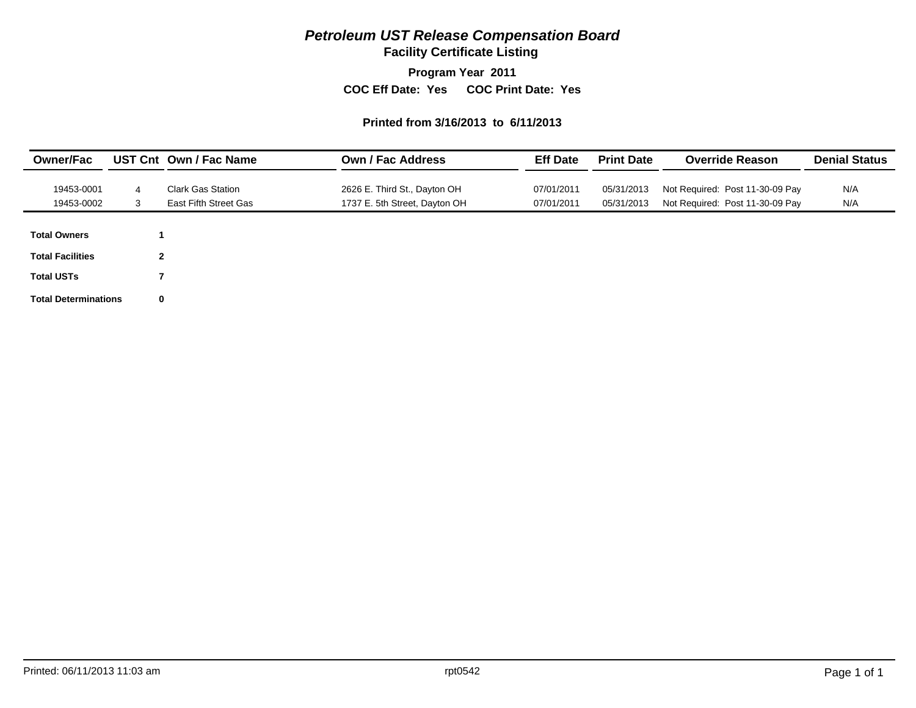# *Petroleum UST Release Compensation Board*

**Facility Certificate Listing**

**Program Year 2011**

**COC Eff Date: Yes COC Print Date: Yes** 

#### **Printed from 3/16/2013 to 6/11/2013**

| <b>Owner/Fac</b>            |                | UST Cnt Own / Fac Name   | <b>Own / Fac Address</b>      | <b>Eff Date</b> | <b>Print Date</b> | <b>Override Reason</b>          | <b>Denial Status</b> |
|-----------------------------|----------------|--------------------------|-------------------------------|-----------------|-------------------|---------------------------------|----------------------|
| 19453-0001                  | 4              | <b>Clark Gas Station</b> | 2626 E. Third St., Dayton OH  | 07/01/2011      | 05/31/2013        | Not Required: Post 11-30-09 Pay | N/A                  |
| 19453-0002                  | 3              | East Fifth Street Gas    | 1737 E. 5th Street, Dayton OH | 07/01/2011      | 05/31/2013        | Not Required: Post 11-30-09 Pay | N/A                  |
|                             |                |                          |                               |                 |                   |                                 |                      |
| <b>Total Owners</b>         |                |                          |                               |                 |                   |                                 |                      |
| <b>Total Facilities</b>     | $\overline{2}$ |                          |                               |                 |                   |                                 |                      |
| <b>Total USTs</b>           |                |                          |                               |                 |                   |                                 |                      |
| <b>Total Determinations</b> | $\bf{0}$       |                          |                               |                 |                   |                                 |                      |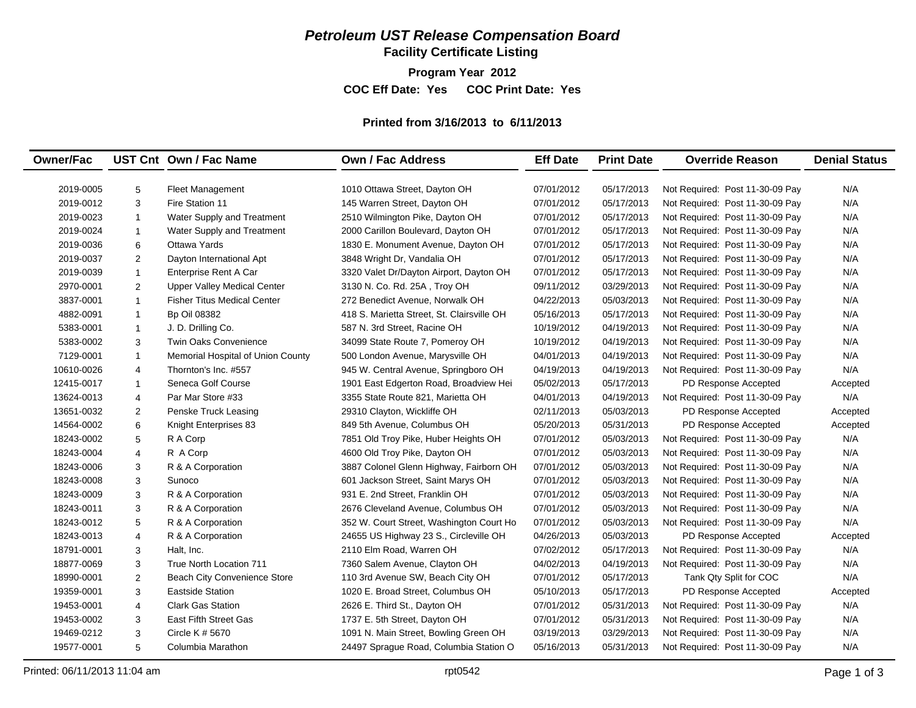# *Petroleum UST Release Compensation Board*

**Facility Certificate Listing**

**Program Year 2012**

**COC Eff Date: Yes COC Print Date: Yes** 

#### **Printed from 3/16/2013 to 6/11/2013**

| <b>Owner/Fac</b> |                         | UST Cnt Own / Fac Name             | Own / Fac Address                          | <b>Eff Date</b> | <b>Print Date</b> | <b>Override Reason</b>          | <b>Denial Status</b> |
|------------------|-------------------------|------------------------------------|--------------------------------------------|-----------------|-------------------|---------------------------------|----------------------|
|                  |                         |                                    |                                            |                 |                   |                                 |                      |
| 2019-0005        | 5                       | <b>Fleet Management</b>            | 1010 Ottawa Street, Dayton OH              | 07/01/2012      | 05/17/2013        | Not Required: Post 11-30-09 Pay | N/A                  |
| 2019-0012        | 3                       | Fire Station 11                    | 145 Warren Street, Dayton OH               | 07/01/2012      | 05/17/2013        | Not Required: Post 11-30-09 Pay | N/A                  |
| 2019-0023        | $\mathbf{1}$            | Water Supply and Treatment         | 2510 Wilmington Pike, Dayton OH            | 07/01/2012      | 05/17/2013        | Not Required: Post 11-30-09 Pay | N/A                  |
| 2019-0024        | $\mathbf{1}$            | Water Supply and Treatment         | 2000 Carillon Boulevard, Dayton OH         | 07/01/2012      | 05/17/2013        | Not Required: Post 11-30-09 Pay | N/A                  |
| 2019-0036        | 6                       | <b>Ottawa Yards</b>                | 1830 E. Monument Avenue, Dayton OH         | 07/01/2012      | 05/17/2013        | Not Required: Post 11-30-09 Pay | N/A                  |
| 2019-0037        | $\overline{2}$          | Dayton International Apt           | 3848 Wright Dr, Vandalia OH                | 07/01/2012      | 05/17/2013        | Not Required: Post 11-30-09 Pay | N/A                  |
| 2019-0039        | $\mathbf{1}$            | Enterprise Rent A Car              | 3320 Valet Dr/Dayton Airport, Dayton OH    | 07/01/2012      | 05/17/2013        | Not Required: Post 11-30-09 Pay | N/A                  |
| 2970-0001        | $\overline{2}$          | <b>Upper Valley Medical Center</b> | 3130 N. Co. Rd. 25A, Troy OH               | 09/11/2012      | 03/29/2013        | Not Required: Post 11-30-09 Pay | N/A                  |
| 3837-0001        | $\mathbf{1}$            | <b>Fisher Titus Medical Center</b> | 272 Benedict Avenue, Norwalk OH            | 04/22/2013      | 05/03/2013        | Not Required: Post 11-30-09 Pay | N/A                  |
| 4882-0091        | $\overline{1}$          | <b>Bp Oil 08382</b>                | 418 S. Marietta Street, St. Clairsville OH | 05/16/2013      | 05/17/2013        | Not Required: Post 11-30-09 Pay | N/A                  |
| 5383-0001        | $\overline{1}$          | J. D. Drilling Co.                 | 587 N. 3rd Street, Racine OH               | 10/19/2012      | 04/19/2013        | Not Required: Post 11-30-09 Pay | N/A                  |
| 5383-0002        | 3                       | <b>Twin Oaks Convenience</b>       | 34099 State Route 7, Pomeroy OH            | 10/19/2012      | 04/19/2013        | Not Required: Post 11-30-09 Pay | N/A                  |
| 7129-0001        | $\mathbf{1}$            | Memorial Hospital of Union County  | 500 London Avenue, Marysville OH           | 04/01/2013      | 04/19/2013        | Not Required: Post 11-30-09 Pay | N/A                  |
| 10610-0026       | $\overline{4}$          | Thornton's Inc. #557               | 945 W. Central Avenue, Springboro OH       | 04/19/2013      | 04/19/2013        | Not Required: Post 11-30-09 Pay | N/A                  |
| 12415-0017       | $\mathbf{1}$            | Seneca Golf Course                 | 1901 East Edgerton Road, Broadview Hei     | 05/02/2013      | 05/17/2013        | PD Response Accepted            | Accepted             |
| 13624-0013       | $\overline{4}$          | Par Mar Store #33                  | 3355 State Route 821, Marietta OH          | 04/01/2013      | 04/19/2013        | Not Required: Post 11-30-09 Pay | N/A                  |
| 13651-0032       | 2                       | Penske Truck Leasing               | 29310 Clayton, Wickliffe OH                | 02/11/2013      | 05/03/2013        | PD Response Accepted            | Accepted             |
| 14564-0002       | 6                       | Knight Enterprises 83              | 849 5th Avenue, Columbus OH                | 05/20/2013      | 05/31/2013        | PD Response Accepted            | Accepted             |
| 18243-0002       | 5                       | R A Corp                           | 7851 Old Troy Pike, Huber Heights OH       | 07/01/2012      | 05/03/2013        | Not Required: Post 11-30-09 Pay | N/A                  |
| 18243-0004       | $\overline{4}$          | R A Corp                           | 4600 Old Troy Pike, Dayton OH              | 07/01/2012      | 05/03/2013        | Not Required: Post 11-30-09 Pay | N/A                  |
| 18243-0006       | 3                       | R & A Corporation                  | 3887 Colonel Glenn Highway, Fairborn OH    | 07/01/2012      | 05/03/2013        | Not Required: Post 11-30-09 Pay | N/A                  |
| 18243-0008       | 3                       | Sunoco                             | 601 Jackson Street, Saint Marys OH         | 07/01/2012      | 05/03/2013        | Not Required: Post 11-30-09 Pay | N/A                  |
| 18243-0009       | 3                       | R & A Corporation                  | 931 E. 2nd Street, Franklin OH             | 07/01/2012      | 05/03/2013        | Not Required: Post 11-30-09 Pay | N/A                  |
| 18243-0011       | 3                       | R & A Corporation                  | 2676 Cleveland Avenue, Columbus OH         | 07/01/2012      | 05/03/2013        | Not Required: Post 11-30-09 Pay | N/A                  |
| 18243-0012       | 5                       | R & A Corporation                  | 352 W. Court Street, Washington Court Ho   | 07/01/2012      | 05/03/2013        | Not Required: Post 11-30-09 Pay | N/A                  |
| 18243-0013       | 4                       | R & A Corporation                  | 24655 US Highway 23 S., Circleville OH     | 04/26/2013      | 05/03/2013        | PD Response Accepted            | Accepted             |
| 18791-0001       | 3                       | Halt, Inc.                         | 2110 Elm Road, Warren OH                   | 07/02/2012      | 05/17/2013        | Not Required: Post 11-30-09 Pay | N/A                  |
| 18877-0069       | 3                       | True North Location 711            | 7360 Salem Avenue, Clayton OH              | 04/02/2013      | 04/19/2013        | Not Required: Post 11-30-09 Pay | N/A                  |
| 18990-0001       | $\overline{2}$          | Beach City Convenience Store       | 110 3rd Avenue SW, Beach City OH           | 07/01/2012      | 05/17/2013        | Tank Qty Split for COC          | N/A                  |
| 19359-0001       | 3                       | <b>Eastside Station</b>            | 1020 E. Broad Street, Columbus OH          | 05/10/2013      | 05/17/2013        | PD Response Accepted            | Accepted             |
| 19453-0001       | $\overline{\mathbf{4}}$ | <b>Clark Gas Station</b>           | 2626 E. Third St., Dayton OH               | 07/01/2012      | 05/31/2013        | Not Required: Post 11-30-09 Pay | N/A                  |
| 19453-0002       | 3                       | East Fifth Street Gas              | 1737 E. 5th Street, Dayton OH              | 07/01/2012      | 05/31/2013        | Not Required: Post 11-30-09 Pay | N/A                  |
| 19469-0212       | 3                       | Circle K # 5670                    | 1091 N. Main Street, Bowling Green OH      | 03/19/2013      | 03/29/2013        | Not Required: Post 11-30-09 Pay | N/A                  |
| 19577-0001       | 5                       | Columbia Marathon                  | 24497 Sprague Road, Columbia Station O     | 05/16/2013      | 05/31/2013        | Not Required: Post 11-30-09 Pay | N/A                  |
|                  |                         |                                    |                                            |                 |                   |                                 |                      |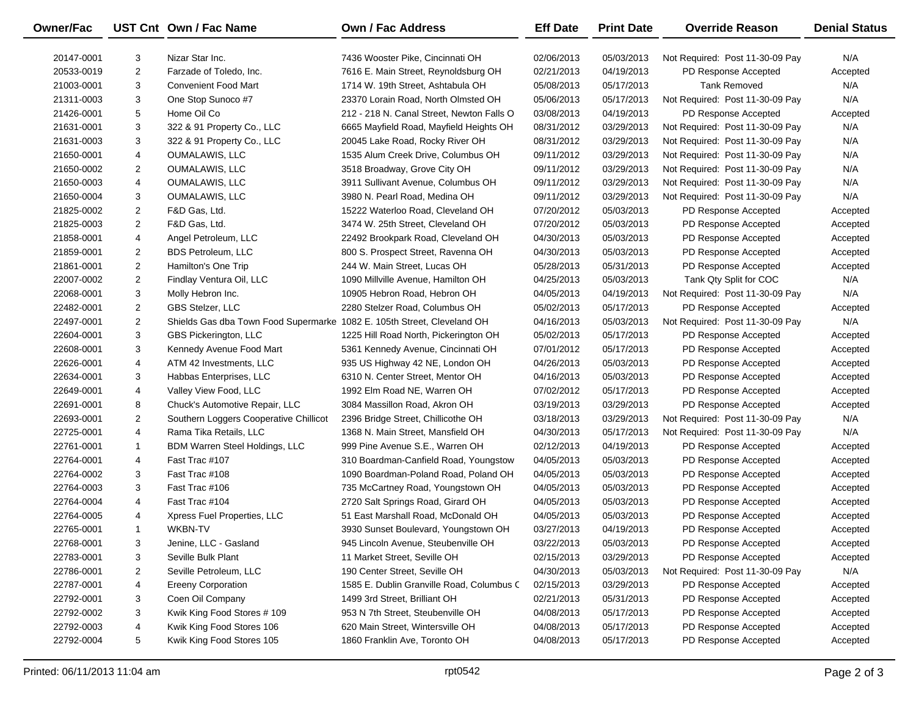| Owner/Fac  |                | UST Cnt Own / Fac Name                                                  | <b>Own / Fac Address</b>                  | <b>Eff Date</b> | <b>Print Date</b> | <b>Override Reason</b>          | <b>Denial Status</b> |
|------------|----------------|-------------------------------------------------------------------------|-------------------------------------------|-----------------|-------------------|---------------------------------|----------------------|
| 20147-0001 | 3              | Nizar Star Inc.                                                         | 7436 Wooster Pike, Cincinnati OH          | 02/06/2013      | 05/03/2013        | Not Required: Post 11-30-09 Pay | N/A                  |
| 20533-0019 | 2              | Farzade of Toledo, Inc.                                                 | 7616 E. Main Street, Reynoldsburg OH      | 02/21/2013      | 04/19/2013        | PD Response Accepted            | Accepted             |
| 21003-0001 | 3              | <b>Convenient Food Mart</b>                                             | 1714 W. 19th Street, Ashtabula OH         | 05/08/2013      | 05/17/2013        | <b>Tank Removed</b>             | N/A                  |
| 21311-0003 | 3              | One Stop Sunoco #7                                                      | 23370 Lorain Road, North Olmsted OH       | 05/06/2013      | 05/17/2013        | Not Required: Post 11-30-09 Pay | N/A                  |
| 21426-0001 | 5              | Home Oil Co                                                             | 212 - 218 N. Canal Street, Newton Falls O | 03/08/2013      | 04/19/2013        | PD Response Accepted            | Accepted             |
| 21631-0001 | 3              | 322 & 91 Property Co., LLC                                              | 6665 Mayfield Road, Mayfield Heights OH   | 08/31/2012      | 03/29/2013        | Not Required: Post 11-30-09 Pay | N/A                  |
| 21631-0003 | 3              | 322 & 91 Property Co., LLC                                              | 20045 Lake Road, Rocky River OH           | 08/31/2012      | 03/29/2013        | Not Required: Post 11-30-09 Pay | N/A                  |
| 21650-0001 | 4              | <b>OUMALAWIS, LLC</b>                                                   | 1535 Alum Creek Drive, Columbus OH        | 09/11/2012      | 03/29/2013        | Not Required: Post 11-30-09 Pay | N/A                  |
| 21650-0002 | 2              | OUMALAWIS, LLC                                                          | 3518 Broadway, Grove City OH              | 09/11/2012      | 03/29/2013        | Not Required: Post 11-30-09 Pay | N/A                  |
| 21650-0003 | 4              | OUMALAWIS, LLC                                                          | 3911 Sullivant Avenue, Columbus OH        | 09/11/2012      | 03/29/2013        | Not Required: Post 11-30-09 Pay | N/A                  |
| 21650-0004 | 3              | OUMALAWIS, LLC                                                          | 3980 N. Pearl Road, Medina OH             | 09/11/2012      | 03/29/2013        | Not Required: Post 11-30-09 Pay | N/A                  |
| 21825-0002 | $\overline{2}$ | F&D Gas, Ltd.                                                           | 15222 Waterloo Road, Cleveland OH         | 07/20/2012      | 05/03/2013        | PD Response Accepted            | Accepted             |
| 21825-0003 | $\overline{2}$ | F&D Gas, Ltd.                                                           | 3474 W. 25th Street, Cleveland OH         | 07/20/2012      | 05/03/2013        | PD Response Accepted            | Accepted             |
| 21858-0001 | 4              | Angel Petroleum, LLC                                                    | 22492 Brookpark Road, Cleveland OH        | 04/30/2013      | 05/03/2013        | PD Response Accepted            | Accepted             |
| 21859-0001 | 2              | <b>BDS Petroleum, LLC</b>                                               | 800 S. Prospect Street, Ravenna OH        | 04/30/2013      | 05/03/2013        | PD Response Accepted            | Accepted             |
| 21861-0001 | $\overline{2}$ | Hamilton's One Trip                                                     | 244 W. Main Street, Lucas OH              | 05/28/2013      | 05/31/2013        | PD Response Accepted            | Accepted             |
| 22007-0002 | $\overline{2}$ | Findlay Ventura Oil, LLC                                                | 1090 Millville Avenue, Hamilton OH        | 04/25/2013      | 05/03/2013        | Tank Qty Split for COC          | N/A                  |
| 22068-0001 | 3              | Molly Hebron Inc.                                                       | 10905 Hebron Road, Hebron OH              | 04/05/2013      | 04/19/2013        | Not Required: Post 11-30-09 Pay | N/A                  |
| 22482-0001 | $\overline{2}$ | GBS Stelzer, LLC                                                        | 2280 Stelzer Road, Columbus OH            | 05/02/2013      | 05/17/2013        | PD Response Accepted            | Accepted             |
| 22497-0001 | $\overline{2}$ | Shields Gas dba Town Food Supermarke 1082 E. 105th Street, Cleveland OH |                                           | 04/16/2013      | 05/03/2013        | Not Required: Post 11-30-09 Pay | N/A                  |
| 22604-0001 | 3              | GBS Pickerington, LLC                                                   | 1225 Hill Road North, Pickerington OH     | 05/02/2013      | 05/17/2013        | PD Response Accepted            | Accepted             |
| 22608-0001 | 3              | Kennedy Avenue Food Mart                                                | 5361 Kennedy Avenue, Cincinnati OH        | 07/01/2012      | 05/17/2013        | PD Response Accepted            | Accepted             |
| 22626-0001 | 4              | ATM 42 Investments, LLC                                                 | 935 US Highway 42 NE, London OH           | 04/26/2013      | 05/03/2013        | PD Response Accepted            | Accepted             |
| 22634-0001 | 3              | Habbas Enterprises, LLC                                                 | 6310 N. Center Street, Mentor OH          | 04/16/2013      | 05/03/2013        | PD Response Accepted            | Accepted             |
| 22649-0001 | 4              | Valley View Food, LLC                                                   | 1992 Elm Road NE, Warren OH               | 07/02/2012      | 05/17/2013        | PD Response Accepted            | Accepted             |
| 22691-0001 | 8              | Chuck's Automotive Repair, LLC                                          | 3084 Massillon Road, Akron OH             | 03/19/2013      | 03/29/2013        | PD Response Accepted            | Accepted             |
| 22693-0001 | 2              | Southern Loggers Cooperative Chillicot                                  | 2396 Bridge Street, Chillicothe OH        | 03/18/2013      | 03/29/2013        | Not Required: Post 11-30-09 Pay | N/A                  |
| 22725-0001 | 4              | Rama Tika Retails, LLC                                                  | 1368 N. Main Street, Mansfield OH         | 04/30/2013      | 05/17/2013        | Not Required: Post 11-30-09 Pay | N/A                  |
| 22761-0001 | $\mathbf{1}$   | BDM Warren Steel Holdings, LLC                                          | 999 Pine Avenue S.E., Warren OH           | 02/12/2013      | 04/19/2013        | PD Response Accepted            | Accepted             |
| 22764-0001 | 4              | Fast Trac #107                                                          | 310 Boardman-Canfield Road, Youngstow     | 04/05/2013      | 05/03/2013        | PD Response Accepted            | Accepted             |
| 22764-0002 | 3              | Fast Trac #108                                                          | 1090 Boardman-Poland Road, Poland OH      | 04/05/2013      | 05/03/2013        | PD Response Accepted            | Accepted             |
| 22764-0003 | 3              | Fast Trac #106                                                          | 735 McCartney Road, Youngstown OH         | 04/05/2013      | 05/03/2013        | PD Response Accepted            | Accepted             |
| 22764-0004 | 4              | Fast Trac #104                                                          | 2720 Salt Springs Road, Girard OH         | 04/05/2013      | 05/03/2013        | PD Response Accepted            | Accepted             |
| 22764-0005 | 4              | Xpress Fuel Properties, LLC                                             | 51 East Marshall Road, McDonald OH        | 04/05/2013      | 05/03/2013        | PD Response Accepted            | Accepted             |
| 22765-0001 | $\mathbf{1}$   | WKBN-TV                                                                 | 3930 Sunset Boulevard, Youngstown OH      | 03/27/2013      | 04/19/2013        | PD Response Accepted            | Accepted             |
| 22768-0001 | 3              | Jenine, LLC - Gasland                                                   | 945 Lincoln Avenue, Steubenville OH       | 03/22/2013      | 05/03/2013        | PD Response Accepted            | Accepted             |
| 22783-0001 | 3              | Seville Bulk Plant                                                      | 11 Market Street, Seville OH              | 02/15/2013      | 03/29/2013        | PD Response Accepted            | Accepted             |
| 22786-0001 | 2              | Seville Petroleum, LLC                                                  | 190 Center Street, Seville OH             | 04/30/2013      | 05/03/2013        | Not Required: Post 11-30-09 Pay | N/A                  |
| 22787-0001 | 4              | <b>Ereeny Corporation</b>                                               | 1585 E. Dublin Granville Road, Columbus C | 02/15/2013      | 03/29/2013        | PD Response Accepted            | Accepted             |
| 22792-0001 | 3              | Coen Oil Company                                                        | 1499 3rd Street, Brilliant OH             | 02/21/2013      | 05/31/2013        | PD Response Accepted            | Accepted             |
| 22792-0002 | 3              | Kwik King Food Stores # 109                                             | 953 N 7th Street, Steubenville OH         | 04/08/2013      | 05/17/2013        | PD Response Accepted            | Accepted             |
| 22792-0003 | 4              | Kwik King Food Stores 106                                               | 620 Main Street, Wintersville OH          | 04/08/2013      | 05/17/2013        | PD Response Accepted            | Accepted             |
| 22792-0004 | 5              | Kwik King Food Stores 105                                               | 1860 Franklin Ave, Toronto OH             | 04/08/2013      | 05/17/2013        | PD Response Accepted            | Accepted             |

 $\overline{\phantom{0}}$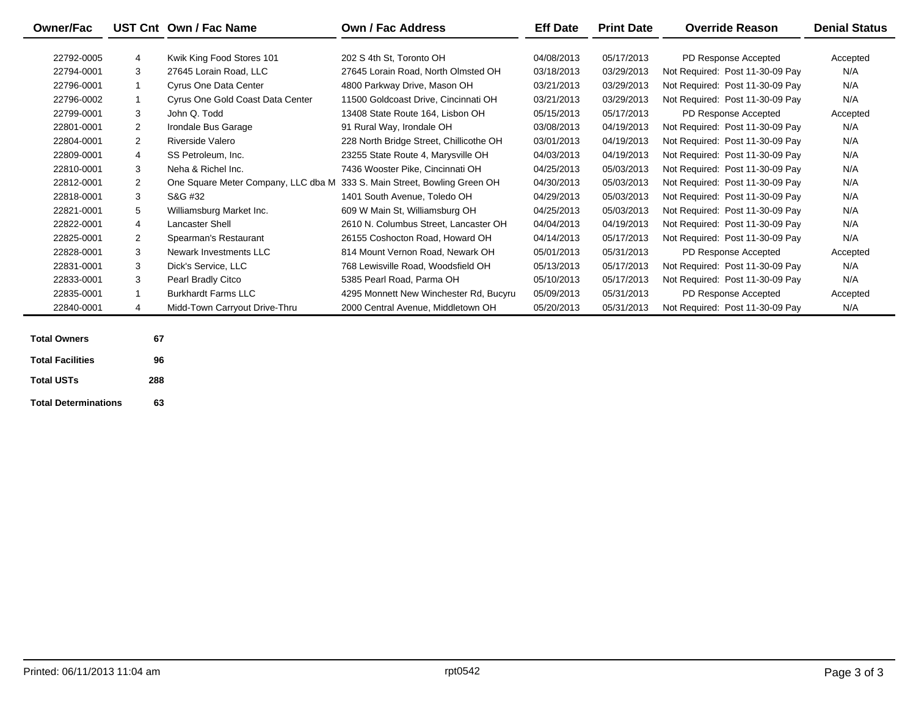| <b>Owner/Fac</b>        |                | UST Cnt Own / Fac Name              | Own / Fac Address                       | <b>Eff Date</b> | <b>Print Date</b> | <b>Override Reason</b>          | <b>Denial Status</b> |
|-------------------------|----------------|-------------------------------------|-----------------------------------------|-----------------|-------------------|---------------------------------|----------------------|
|                         |                |                                     |                                         |                 |                   |                                 |                      |
| 22792-0005              | 4              | Kwik King Food Stores 101           | 202 S 4th St. Toronto OH                | 04/08/2013      | 05/17/2013        | PD Response Accepted            | Accepted             |
| 22794-0001              | 3              | 27645 Lorain Road, LLC              | 27645 Lorain Road, North Olmsted OH     | 03/18/2013      | 03/29/2013        | Not Required: Post 11-30-09 Pay | N/A                  |
| 22796-0001              |                | <b>Cyrus One Data Center</b>        | 4800 Parkway Drive, Mason OH            | 03/21/2013      | 03/29/2013        | Not Required: Post 11-30-09 Pay | N/A                  |
| 22796-0002              |                | Cyrus One Gold Coast Data Center    | 11500 Goldcoast Drive, Cincinnati OH    | 03/21/2013      | 03/29/2013        | Not Required: Post 11-30-09 Pay | N/A                  |
| 22799-0001              | 3              | John Q. Todd                        | 13408 State Route 164. Lisbon OH        | 05/15/2013      | 05/17/2013        | PD Response Accepted            | Accepted             |
| 22801-0001              | $\overline{2}$ | Irondale Bus Garage                 | 91 Rural Way, Irondale OH               | 03/08/2013      | 04/19/2013        | Not Required: Post 11-30-09 Pay | N/A                  |
| 22804-0001              | 2              | Riverside Valero                    | 228 North Bridge Street, Chillicothe OH | 03/01/2013      | 04/19/2013        | Not Required: Post 11-30-09 Pay | N/A                  |
| 22809-0001              | 4              | SS Petroleum, Inc.                  | 23255 State Route 4, Marysville OH      | 04/03/2013      | 04/19/2013        | Not Required: Post 11-30-09 Pay | N/A                  |
| 22810-0001              | 3              | Neha & Richel Inc.                  | 7436 Wooster Pike, Cincinnati OH        | 04/25/2013      | 05/03/2013        | Not Required: Post 11-30-09 Pay | N/A                  |
| 22812-0001              | 2              | One Square Meter Company, LLC dba M | 333 S. Main Street, Bowling Green OH    | 04/30/2013      | 05/03/2013        | Not Required: Post 11-30-09 Pay | N/A                  |
| 22818-0001              | 3              | S&G #32                             | 1401 South Avenue, Toledo OH            | 04/29/2013      | 05/03/2013        | Not Required: Post 11-30-09 Pay | N/A                  |
| 22821-0001              | 5              | Williamsburg Market Inc.            | 609 W Main St, Williamsburg OH          | 04/25/2013      | 05/03/2013        | Not Required: Post 11-30-09 Pay | N/A                  |
| 22822-0001              | $\overline{4}$ | <b>Lancaster Shell</b>              | 2610 N. Columbus Street, Lancaster OH   | 04/04/2013      | 04/19/2013        | Not Required: Post 11-30-09 Pay | N/A                  |
| 22825-0001              | 2              | Spearman's Restaurant               | 26155 Coshocton Road, Howard OH         | 04/14/2013      | 05/17/2013        | Not Required: Post 11-30-09 Pay | N/A                  |
| 22828-0001              | 3              | Newark Investments LLC              | 814 Mount Vernon Road, Newark OH        | 05/01/2013      | 05/31/2013        | PD Response Accepted            | Accepted             |
| 22831-0001              | 3              | Dick's Service, LLC                 | 768 Lewisville Road, Woodsfield OH      | 05/13/2013      | 05/17/2013        | Not Required: Post 11-30-09 Pay | N/A                  |
| 22833-0001              | 3              | Pearl Bradly Citco                  | 5385 Pearl Road, Parma OH               | 05/10/2013      | 05/17/2013        | Not Required: Post 11-30-09 Pay | N/A                  |
| 22835-0001              |                | <b>Burkhardt Farms LLC</b>          | 4295 Monnett New Winchester Rd, Bucyru  | 05/09/2013      | 05/31/2013        | PD Response Accepted            | Accepted             |
| 22840-0001              | $\overline{4}$ | Midd-Town Carryout Drive-Thru       | 2000 Central Avenue, Middletown OH      | 05/20/2013      | 05/31/2013        | Not Required: Post 11-30-09 Pay | N/A                  |
|                         |                |                                     |                                         |                 |                   |                                 |                      |
| <b>Total Owners</b>     | 67             |                                     |                                         |                 |                   |                                 |                      |
| <b>Total Facilities</b> | 96             |                                     |                                         |                 |                   |                                 |                      |

| <b>Total Facilities</b>     | 96  |
|-----------------------------|-----|
| <b>Total USTs</b>           | 288 |
| <b>Total Determinations</b> | 63  |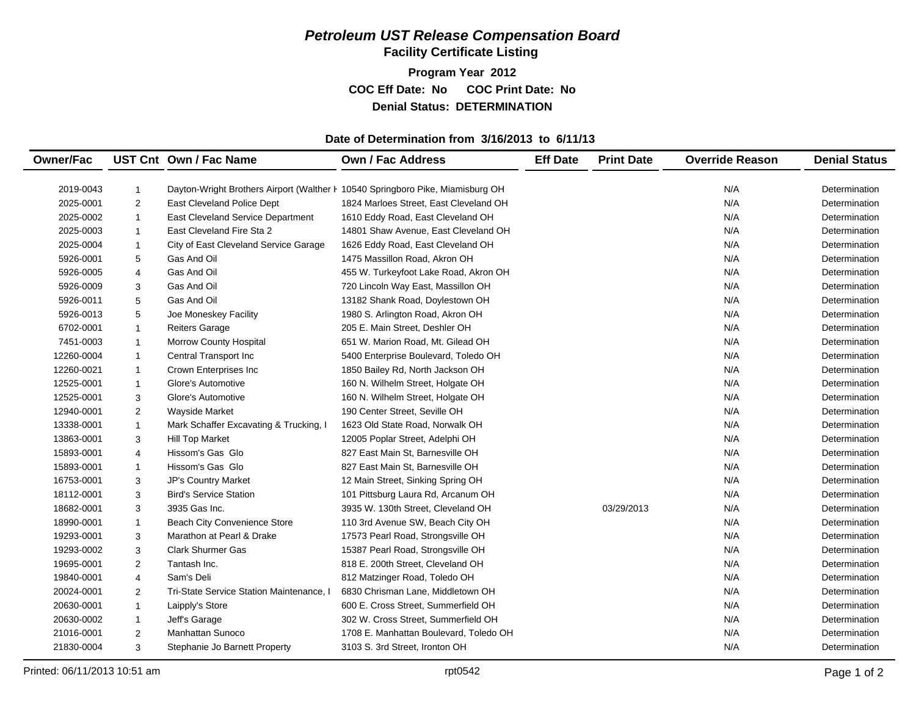### *Petroleum UST Release Compensation Board*  **Facility Certificate Listing**

**Program Year 2012 COC Eff Date: No COC Print Date: No Denial Status: DETERMINATION**

#### **Date of Determination from 3/16/2013 to 6/11/13**

| <b>Owner/Fac</b> |                | UST Cnt Own / Fac Name                                                         | <b>Own / Fac Address</b>               | <b>Eff Date</b> | <b>Print Date</b> | <b>Override Reason</b> | <b>Denial Status</b> |
|------------------|----------------|--------------------------------------------------------------------------------|----------------------------------------|-----------------|-------------------|------------------------|----------------------|
|                  |                |                                                                                |                                        |                 |                   |                        |                      |
| 2019-0043        | 1              | Dayton-Wright Brothers Airport (Walther F 10540 Springboro Pike, Miamisburg OH |                                        |                 |                   | N/A                    | Determination        |
| 2025-0001        | $\overline{c}$ | East Cleveland Police Dept                                                     | 1824 Marloes Street, East Cleveland OH |                 |                   | N/A                    | Determination        |
| 2025-0002        | $\mathbf{1}$   | East Cleveland Service Department                                              | 1610 Eddy Road, East Cleveland OH      |                 |                   | N/A                    | Determination        |
| 2025-0003        | $\mathbf{1}$   | East Cleveland Fire Sta 2                                                      | 14801 Shaw Avenue, East Cleveland OH   |                 |                   | N/A                    | Determination        |
| 2025-0004        | $\mathbf{1}$   | City of East Cleveland Service Garage                                          | 1626 Eddy Road, East Cleveland OH      |                 |                   | N/A                    | Determination        |
| 5926-0001        | 5              | Gas And Oil                                                                    | 1475 Massillon Road, Akron OH          |                 |                   | N/A                    | Determination        |
| 5926-0005        | 4              | Gas And Oil                                                                    | 455 W. Turkeyfoot Lake Road, Akron OH  |                 |                   | N/A                    | Determination        |
| 5926-0009        | 3              | Gas And Oil                                                                    | 720 Lincoln Way East, Massillon OH     |                 |                   | N/A                    | Determination        |
| 5926-0011        | 5              | Gas And Oil                                                                    | 13182 Shank Road, Doylestown OH        |                 |                   | N/A                    | Determination        |
| 5926-0013        | 5              | Joe Moneskey Facility                                                          | 1980 S. Arlington Road, Akron OH       |                 |                   | N/A                    | Determination        |
| 6702-0001        | $\mathbf{1}$   | <b>Reiters Garage</b>                                                          | 205 E. Main Street, Deshler OH         |                 |                   | N/A                    | Determination        |
| 7451-0003        | $\mathbf{1}$   | Morrow County Hospital                                                         | 651 W. Marion Road, Mt. Gilead OH      |                 |                   | N/A                    | Determination        |
| 12260-0004       | $\mathbf{1}$   | Central Transport Inc                                                          | 5400 Enterprise Boulevard, Toledo OH   |                 |                   | N/A                    | Determination        |
| 12260-0021       | $\mathbf{1}$   | Crown Enterprises Inc                                                          | 1850 Bailey Rd, North Jackson OH       |                 |                   | N/A                    | Determination        |
| 12525-0001       | $\mathbf{1}$   | Glore's Automotive                                                             | 160 N. Wilhelm Street, Holgate OH      |                 |                   | N/A                    | Determination        |
| 12525-0001       | 3              | Glore's Automotive                                                             | 160 N. Wilhelm Street, Holgate OH      |                 |                   | N/A                    | Determination        |
| 12940-0001       | 2              | <b>Wayside Market</b>                                                          | 190 Center Street, Seville OH          |                 |                   | N/A                    | Determination        |
| 13338-0001       | $\mathbf{1}$   | Mark Schaffer Excavating & Trucking, I                                         | 1623 Old State Road, Norwalk OH        |                 |                   | N/A                    | Determination        |
| 13863-0001       | 3              | <b>Hill Top Market</b>                                                         | 12005 Poplar Street, Adelphi OH        |                 |                   | N/A                    | Determination        |
| 15893-0001       | 4              | Hissom's Gas Glo                                                               | 827 East Main St, Barnesville OH       |                 |                   | N/A                    | Determination        |
| 15893-0001       | $\mathbf{1}$   | Hissom's Gas Glo                                                               | 827 East Main St, Barnesville OH       |                 |                   | N/A                    | Determination        |
| 16753-0001       | 3              | JP's Country Market                                                            | 12 Main Street, Sinking Spring OH      |                 |                   | N/A                    | Determination        |
| 18112-0001       | 3              | <b>Bird's Service Station</b>                                                  | 101 Pittsburg Laura Rd, Arcanum OH     |                 |                   | N/A                    | Determination        |
| 18682-0001       | 3              | 3935 Gas Inc.                                                                  | 3935 W. 130th Street, Cleveland OH     |                 | 03/29/2013        | N/A                    | Determination        |
| 18990-0001       | $\mathbf{1}$   | Beach City Convenience Store                                                   | 110 3rd Avenue SW, Beach City OH       |                 |                   | N/A                    | Determination        |
| 19293-0001       | 3              | Marathon at Pearl & Drake                                                      | 17573 Pearl Road, Strongsville OH      |                 |                   | N/A                    | Determination        |
| 19293-0002       | 3              | <b>Clark Shurmer Gas</b>                                                       | 15387 Pearl Road, Strongsville OH      |                 |                   | N/A                    | Determination        |
| 19695-0001       | 2              | Tantash Inc.                                                                   | 818 E. 200th Street, Cleveland OH      |                 |                   | N/A                    | Determination        |
| 19840-0001       | 4              | Sam's Deli                                                                     | 812 Matzinger Road, Toledo OH          |                 |                   | N/A                    | Determination        |
| 20024-0001       | $\overline{2}$ | Tri-State Service Station Maintenance.                                         | 6830 Chrisman Lane, Middletown OH      |                 |                   | N/A                    | Determination        |
| 20630-0001       | $\mathbf{1}$   | Laipply's Store                                                                | 600 E. Cross Street, Summerfield OH    |                 |                   | N/A                    | Determination        |
| 20630-0002       | $\mathbf{1}$   | Jeff's Garage                                                                  | 302 W. Cross Street, Summerfield OH    |                 |                   | N/A                    | Determination        |
| 21016-0001       | 2              | <b>Manhattan Sunoco</b>                                                        | 1708 E. Manhattan Boulevard, Toledo OH |                 |                   | N/A                    | Determination        |
|                  |                |                                                                                |                                        |                 |                   | N/A                    |                      |
| 21830-0004       | 3              | Stephanie Jo Barnett Property                                                  | 3103 S. 3rd Street, Ironton OH         |                 |                   |                        | Determination        |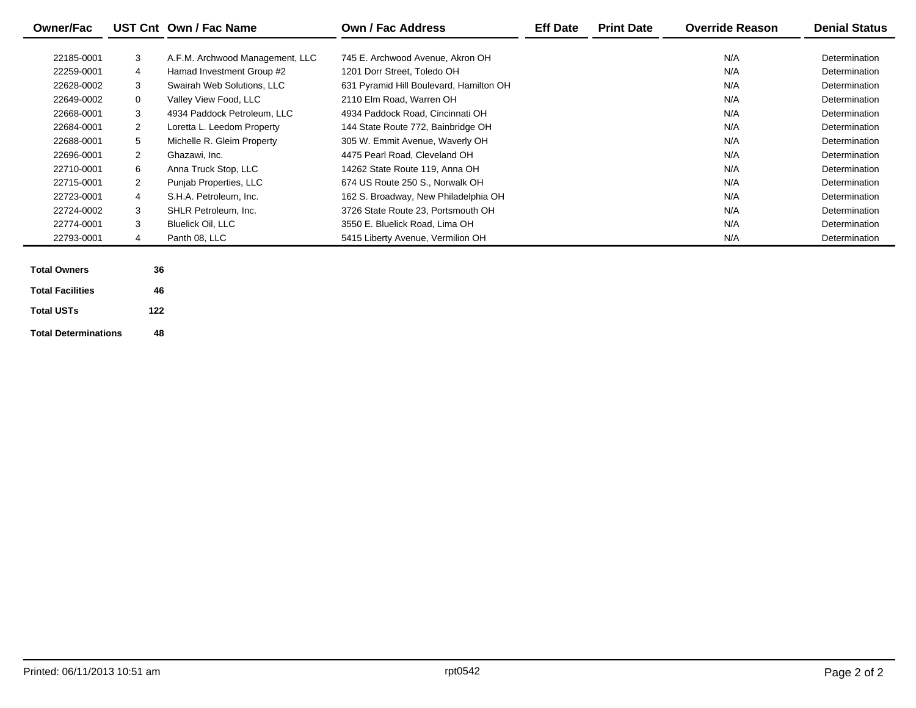| <b>Owner/Fac</b> |                | UST Cnt Own / Fac Name          | Own / Fac Address                       | <b>Eff Date</b> | <b>Print Date</b> | <b>Override Reason</b> | <b>Denial Status</b> |
|------------------|----------------|---------------------------------|-----------------------------------------|-----------------|-------------------|------------------------|----------------------|
|                  |                |                                 |                                         |                 |                   |                        |                      |
| 22185-0001       | 3              | A.F.M. Archwood Management, LLC | 745 E. Archwood Avenue. Akron OH        |                 |                   | N/A                    | Determination        |
| 22259-0001       | 4              | Hamad Investment Group #2       | 1201 Dorr Street, Toledo OH             |                 |                   | N/A                    | Determination        |
| 22628-0002       | 3              | Swairah Web Solutions, LLC      | 631 Pyramid Hill Boulevard, Hamilton OH |                 |                   | N/A                    | Determination        |
| 22649-0002       | $\mathbf{0}$   | Valley View Food, LLC           | 2110 Elm Road, Warren OH                |                 |                   | N/A                    | Determination        |
| 22668-0001       | 3              | 4934 Paddock Petroleum, LLC     | 4934 Paddock Road, Cincinnati OH        |                 |                   | N/A                    | Determination        |
| 22684-0001       | 2              | Loretta L. Leedom Property      | 144 State Route 772, Bainbridge OH      |                 |                   | N/A                    | Determination        |
| 22688-0001       | 5              | Michelle R. Gleim Property      | 305 W. Emmit Avenue, Waverly OH         |                 |                   | N/A                    | Determination        |
| 22696-0001       | $\overline{2}$ | Ghazawi, Inc.                   | 4475 Pearl Road, Cleveland OH           |                 |                   | N/A                    | Determination        |
| 22710-0001       | 6              | Anna Truck Stop, LLC            | 14262 State Route 119, Anna OH          |                 |                   | N/A                    | Determination        |
| 22715-0001       | 2              | Punjab Properties, LLC          | 674 US Route 250 S., Norwalk OH         |                 |                   | N/A                    | Determination        |
| 22723-0001       | 4              | S.H.A. Petroleum, Inc.          | 162 S. Broadway, New Philadelphia OH    |                 |                   | N/A                    | Determination        |
| 22724-0002       | 3              | SHLR Petroleum, Inc.            | 3726 State Route 23, Portsmouth OH      |                 |                   | N/A                    | Determination        |
| 22774-0001       | 3              | <b>Bluelick Oil, LLC</b>        | 3550 E. Bluelick Road, Lima OH          |                 |                   | N/A                    | Determination        |
| 22793-0001       | 4              | Panth 08, LLC                   | 5415 Liberty Avenue, Vermilion OH       |                 |                   | N/A                    | Determination        |
|                  |                |                                 |                                         |                 |                   |                        |                      |

| <b>Total Owners</b>         | 36  |
|-----------------------------|-----|
| <b>Total Facilities</b>     | 46  |
| <b>Total USTs</b>           | 122 |
| <b>Total Determinations</b> | 48  |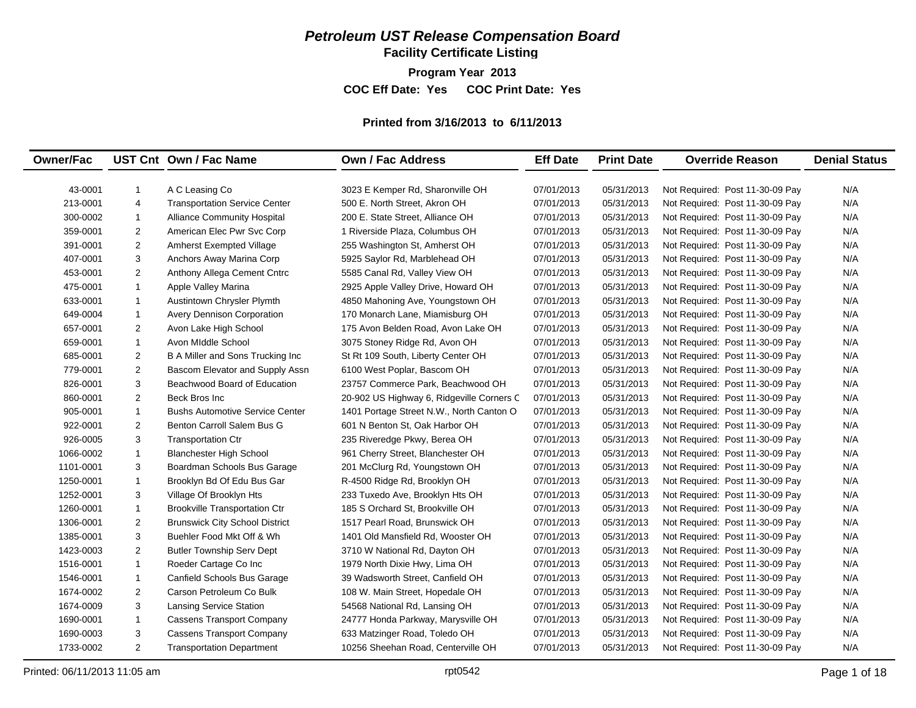## *Petroleum UST Release Compensation Board*

**Facility Certificate Listing**

**Program Year 2013 COC Eff Date: Yes COC Print Date: Yes** 

#### **Printed from 3/16/2013 to 6/11/2013**

| <b>Owner/Fac</b><br>UST Cnt Own / Fac Name<br><b>Own / Fac Address</b><br><b>Print Date</b><br><b>Eff Date</b>                                                                  | <b>Override Reason</b><br><b>Denial Status</b> |
|---------------------------------------------------------------------------------------------------------------------------------------------------------------------------------|------------------------------------------------|
|                                                                                                                                                                                 |                                                |
| 43-0001<br>$\mathbf{1}$<br>A C Leasing Co<br>3023 E Kemper Rd, Sharonville OH<br>07/01/2013<br>05/31/2013<br>Not Required: Post 11-30-09 Pay                                    | N/A                                            |
| 213-0001<br>4<br><b>Transportation Service Center</b><br>500 E. North Street, Akron OH<br>07/01/2013<br>05/31/2013<br>Not Required: Post 11-30-09 Pay                           | N/A                                            |
| 300-0002<br>$\mathbf{1}$<br><b>Alliance Community Hospital</b><br>200 E. State Street, Alliance OH<br>07/01/2013<br>05/31/2013<br>Not Required: Post 11-30-09 Pay               | N/A                                            |
| $\overline{2}$<br>359-0001<br>American Elec Pwr Svc Corp<br>1 Riverside Plaza, Columbus OH<br>05/31/2013<br>Not Required: Post 11-30-09 Pay<br>07/01/2013                       | N/A                                            |
| $\overline{2}$<br>391-0001<br><b>Amherst Exempted Village</b><br>255 Washington St, Amherst OH<br>07/01/2013<br>05/31/2013<br>Not Required: Post 11-30-09 Pay                   | N/A                                            |
| 3<br>407-0001<br>Anchors Away Marina Corp<br>5925 Saylor Rd, Marblehead OH<br>07/01/2013<br>05/31/2013<br>Not Required: Post 11-30-09 Pay                                       | N/A                                            |
| $\overline{2}$<br>453-0001<br>05/31/2013<br>Anthony Allega Cement Cntrc<br>5585 Canal Rd, Valley View OH<br>07/01/2013<br>Not Required: Post 11-30-09 Pay                       | N/A                                            |
| 475-0001<br>$\mathbf{1}$<br>07/01/2013<br>05/31/2013<br>Apple Valley Marina<br>2925 Apple Valley Drive, Howard OH<br>Not Required: Post 11-30-09 Pay                            | N/A                                            |
| $\mathbf{1}$<br>633-0001<br>07/01/2013<br>05/31/2013<br>Austintown Chrysler Plymth<br>4850 Mahoning Ave, Youngstown OH<br>Not Required: Post 11-30-09 Pay                       | N/A                                            |
| $\mathbf{1}$<br>649-0004<br>Avery Dennison Corporation<br>170 Monarch Lane, Miamisburg OH<br>07/01/2013<br>05/31/2013<br>Not Required: Post 11-30-09 Pay                        | N/A                                            |
| $\overline{2}$<br>657-0001<br>Avon Lake High School<br>175 Avon Belden Road, Avon Lake OH<br>07/01/2013<br>05/31/2013<br>Not Required: Post 11-30-09 Pay                        | N/A                                            |
| $\mathbf{1}$<br>659-0001<br>Avon Middle School<br>3075 Stoney Ridge Rd, Avon OH<br>07/01/2013<br>05/31/2013<br>Not Required: Post 11-30-09 Pay                                  | N/A                                            |
| $\overline{c}$<br>685-0001<br>B A Miller and Sons Trucking Inc<br>07/01/2013<br>05/31/2013<br>St Rt 109 South, Liberty Center OH<br>Not Required: Post 11-30-09 Pay             | N/A                                            |
| $\overline{2}$<br>779-0001<br>6100 West Poplar, Bascom OH<br>07/01/2013<br>05/31/2013<br>Bascom Elevator and Supply Assn<br>Not Required: Post 11-30-09 Pay                     | N/A                                            |
| 3<br>826-0001<br>Beachwood Board of Education<br>23757 Commerce Park, Beachwood OH<br>07/01/2013<br>05/31/2013<br>Not Required: Post 11-30-09 Pay                               | N/A                                            |
| $\overline{2}$<br>860-0001<br>Beck Bros Inc<br>20-902 US Highway 6, Ridgeville Corners C<br>07/01/2013<br>05/31/2013<br>Not Required: Post 11-30-09 Pay                         | N/A                                            |
| $\overline{1}$<br><b>Bushs Automotive Service Center</b><br>905-0001<br>1401 Portage Street N.W., North Canton O<br>07/01/2013<br>05/31/2013<br>Not Required: Post 11-30-09 Pay | N/A                                            |
| $\overline{2}$<br>601 N Benton St, Oak Harbor OH<br>922-0001<br>Benton Carroll Salem Bus G<br>07/01/2013<br>05/31/2013<br>Not Required: Post 11-30-09 Pay                       | N/A                                            |
| 3<br><b>Transportation Ctr</b><br>926-0005<br>235 Riveredge Pkwy, Berea OH<br>07/01/2013<br>05/31/2013<br>Not Required: Post 11-30-09 Pay                                       | N/A                                            |
| $\mathbf{1}$<br>961 Cherry Street, Blanchester OH<br>07/01/2013<br>05/31/2013<br>Not Required: Post 11-30-09 Pay<br>1066-0002<br><b>Blanchester High School</b>                 | N/A                                            |
| 3<br>201 McClurg Rd, Youngstown OH<br>07/01/2013<br>05/31/2013<br>Not Required: Post 11-30-09 Pay<br>1101-0001<br>Boardman Schools Bus Garage                                   | N/A                                            |
| $\overline{1}$<br>Brooklyn Bd Of Edu Bus Gar<br>R-4500 Ridge Rd, Brooklyn OH<br>07/01/2013<br>05/31/2013<br>Not Required: Post 11-30-09 Pay<br>1250-0001                        | N/A                                            |
| 3<br>Village Of Brooklyn Hts<br>07/01/2013<br>05/31/2013<br>Not Required: Post 11-30-09 Pay<br>1252-0001<br>233 Tuxedo Ave, Brooklyn Hts OH                                     | N/A                                            |
| 1260-0001<br>$\mathbf{1}$<br><b>Brookville Transportation Ctr</b><br>185 S Orchard St, Brookville OH<br>07/01/2013<br>05/31/2013<br>Not Required: Post 11-30-09 Pay             | N/A                                            |
| $\overline{2}$<br>1306-0001<br><b>Brunswick City School District</b><br>1517 Pearl Road, Brunswick OH<br>07/01/2013<br>05/31/2013<br>Not Required: Post 11-30-09 Pay            | N/A                                            |
| 3<br>1385-0001<br>Buehler Food Mkt Off & Wh<br>1401 Old Mansfield Rd, Wooster OH<br>07/01/2013<br>05/31/2013<br>Not Required: Post 11-30-09 Pay                                 | N/A                                            |
| $\overline{2}$<br>1423-0003<br><b>Butler Township Serv Dept</b><br>3710 W National Rd, Dayton OH<br>07/01/2013<br>05/31/2013<br>Not Required: Post 11-30-09 Pay                 | N/A                                            |
| $\mathbf{1}$<br>Roeder Cartage Co Inc<br>07/01/2013<br>1516-0001<br>1979 North Dixie Hwy, Lima OH<br>05/31/2013<br>Not Required: Post 11-30-09 Pay                              | N/A                                            |
| $\mathbf{1}$<br>1546-0001<br>Canfield Schools Bus Garage<br>39 Wadsworth Street, Canfield OH<br>07/01/2013<br>05/31/2013<br>Not Required: Post 11-30-09 Pay                     | N/A                                            |
| $\overline{2}$<br>1674-0002<br>Carson Petroleum Co Bulk<br>108 W. Main Street, Hopedale OH<br>07/01/2013<br>05/31/2013<br>Not Required: Post 11-30-09 Pay                       | N/A                                            |
| 3<br>1674-0009<br><b>Lansing Service Station</b><br>54568 National Rd, Lansing OH<br>07/01/2013<br>05/31/2013<br>Not Required: Post 11-30-09 Pay                                | N/A                                            |
| $\mathbf{1}$<br>05/31/2013<br>1690-0001<br><b>Cassens Transport Company</b><br>24777 Honda Parkway, Marysville OH<br>07/01/2013<br>Not Required: Post 11-30-09 Pay              | N/A                                            |
| 3<br><b>Cassens Transport Company</b><br>05/31/2013<br>1690-0003<br>633 Matzinger Road, Toledo OH<br>07/01/2013<br>Not Required: Post 11-30-09 Pay                              | N/A                                            |
| $\overline{2}$<br>1733-0002<br><b>Transportation Department</b><br>07/01/2013<br>05/31/2013<br>Not Required: Post 11-30-09 Pay<br>10256 Sheehan Road, Centerville OH            | N/A                                            |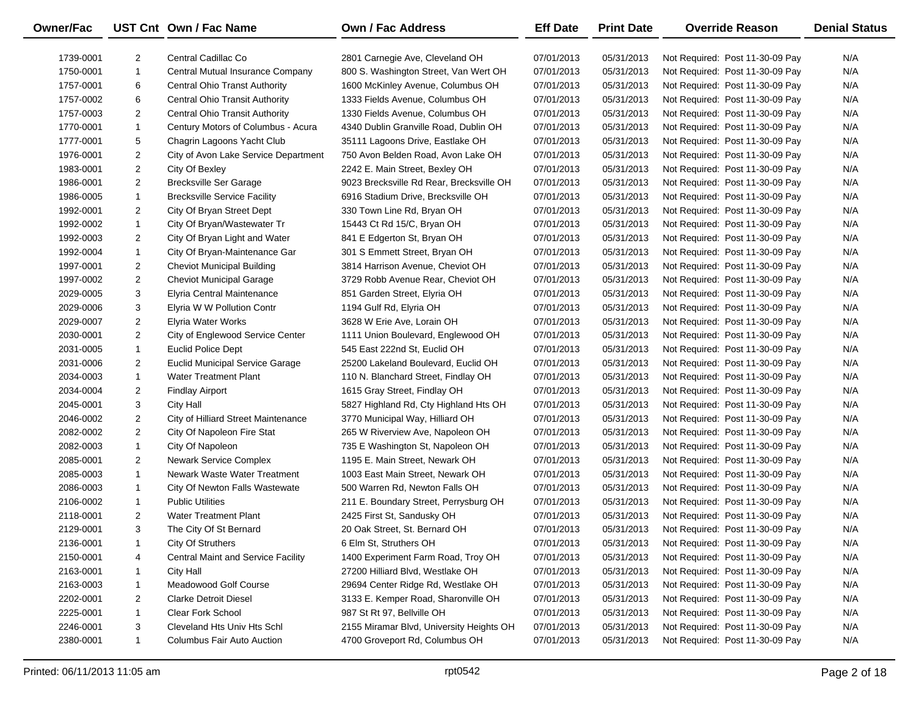| <b>Owner/Fac</b> |                | UST Cnt Own / Fac Name                    | <b>Own / Fac Address</b>                 | <b>Eff Date</b> | <b>Print Date</b> | <b>Override Reason</b>          | <b>Denial Status</b> |
|------------------|----------------|-------------------------------------------|------------------------------------------|-----------------|-------------------|---------------------------------|----------------------|
| 1739-0001        | $\overline{2}$ | Central Cadillac Co                       | 2801 Carnegie Ave, Cleveland OH          | 07/01/2013      | 05/31/2013        | Not Required: Post 11-30-09 Pay | N/A                  |
| 1750-0001        | $\mathbf{1}$   | Central Mutual Insurance Company          | 800 S. Washington Street, Van Wert OH    | 07/01/2013      | 05/31/2013        | Not Required: Post 11-30-09 Pay | N/A                  |
| 1757-0001        | 6              | Central Ohio Transt Authority             | 1600 McKinley Avenue, Columbus OH        | 07/01/2013      | 05/31/2013        | Not Required: Post 11-30-09 Pay | N/A                  |
| 1757-0002        | 6              | <b>Central Ohio Transit Authority</b>     | 1333 Fields Avenue, Columbus OH          | 07/01/2013      | 05/31/2013        | Not Required: Post 11-30-09 Pay | N/A                  |
| 1757-0003        | $\overline{2}$ | <b>Central Ohio Transit Authority</b>     | 1330 Fields Avenue, Columbus OH          | 07/01/2013      | 05/31/2013        | Not Required: Post 11-30-09 Pay | N/A                  |
| 1770-0001        | $\mathbf{1}$   | Century Motors of Columbus - Acura        | 4340 Dublin Granville Road, Dublin OH    | 07/01/2013      | 05/31/2013        | Not Required: Post 11-30-09 Pay | N/A                  |
| 1777-0001        | 5              | Chagrin Lagoons Yacht Club                | 35111 Lagoons Drive, Eastlake OH         | 07/01/2013      | 05/31/2013        | Not Required: Post 11-30-09 Pay | N/A                  |
| 1976-0001        | $\overline{2}$ | City of Avon Lake Service Department      | 750 Avon Belden Road, Avon Lake OH       | 07/01/2013      | 05/31/2013        | Not Required: Post 11-30-09 Pay | N/A                  |
| 1983-0001        | $\overline{2}$ | City Of Bexley                            | 2242 E. Main Street, Bexley OH           | 07/01/2013      | 05/31/2013        | Not Required: Post 11-30-09 Pay | N/A                  |
| 1986-0001        | $\overline{2}$ | <b>Brecksville Ser Garage</b>             | 9023 Brecksville Rd Rear, Brecksville OH | 07/01/2013      | 05/31/2013        | Not Required: Post 11-30-09 Pay | N/A                  |
| 1986-0005        | $\mathbf{1}$   | <b>Brecksville Service Facility</b>       | 6916 Stadium Drive, Brecksville OH       | 07/01/2013      | 05/31/2013        | Not Required: Post 11-30-09 Pay | N/A                  |
| 1992-0001        | $\overline{2}$ | City Of Bryan Street Dept                 | 330 Town Line Rd, Bryan OH               | 07/01/2013      | 05/31/2013        | Not Required: Post 11-30-09 Pay | N/A                  |
| 1992-0002        | $\mathbf{1}$   | City Of Bryan/Wastewater Tr               | 15443 Ct Rd 15/C, Bryan OH               | 07/01/2013      | 05/31/2013        | Not Required: Post 11-30-09 Pay | N/A                  |
| 1992-0003        | $\overline{2}$ | City Of Bryan Light and Water             | 841 E Edgerton St, Bryan OH              | 07/01/2013      | 05/31/2013        | Not Required: Post 11-30-09 Pay | N/A                  |
| 1992-0004        | $\mathbf{1}$   | City Of Bryan-Maintenance Gar             | 301 S Emmett Street, Bryan OH            | 07/01/2013      | 05/31/2013        | Not Required: Post 11-30-09 Pay | N/A                  |
| 1997-0001        | $\overline{2}$ | <b>Cheviot Municipal Building</b>         | 3814 Harrison Avenue, Cheviot OH         | 07/01/2013      | 05/31/2013        | Not Required: Post 11-30-09 Pay | N/A                  |
| 1997-0002        | $\overline{2}$ | <b>Cheviot Municipal Garage</b>           | 3729 Robb Avenue Rear, Cheviot OH        | 07/01/2013      | 05/31/2013        | Not Required: Post 11-30-09 Pay | N/A                  |
| 2029-0005        | 3              | <b>Elyria Central Maintenance</b>         | 851 Garden Street, Elyria OH             | 07/01/2013      | 05/31/2013        | Not Required: Post 11-30-09 Pay | N/A                  |
| 2029-0006        | 3              | Elyria W W Pollution Contr                | 1194 Gulf Rd, Elyria OH                  | 07/01/2013      | 05/31/2013        | Not Required: Post 11-30-09 Pay | N/A                  |
| 2029-0007        | $\overline{2}$ | Elyria Water Works                        | 3628 W Erie Ave, Lorain OH               | 07/01/2013      | 05/31/2013        | Not Required: Post 11-30-09 Pay | N/A                  |
| 2030-0001        | $\overline{2}$ | City of Englewood Service Center          | 1111 Union Boulevard, Englewood OH       | 07/01/2013      | 05/31/2013        | Not Required: Post 11-30-09 Pay | N/A                  |
| 2031-0005        | $\mathbf{1}$   | Euclid Police Dept                        | 545 East 222nd St, Euclid OH             | 07/01/2013      | 05/31/2013        | Not Required: Post 11-30-09 Pay | N/A                  |
| 2031-0006        | $\overline{2}$ | <b>Euclid Municipal Service Garage</b>    | 25200 Lakeland Boulevard, Euclid OH      | 07/01/2013      | 05/31/2013        | Not Required: Post 11-30-09 Pay | N/A                  |
| 2034-0003        | $\mathbf{1}$   | <b>Water Treatment Plant</b>              | 110 N. Blanchard Street, Findlay OH      | 07/01/2013      | 05/31/2013        | Not Required: Post 11-30-09 Pay | N/A                  |
| 2034-0004        | $\overline{2}$ | <b>Findlay Airport</b>                    | 1615 Gray Street, Findlay OH             | 07/01/2013      | 05/31/2013        | Not Required: Post 11-30-09 Pay | N/A                  |
| 2045-0001        | 3              | City Hall                                 | 5827 Highland Rd, Cty Highland Hts OH    | 07/01/2013      | 05/31/2013        | Not Required: Post 11-30-09 Pay | N/A                  |
| 2046-0002        | $\overline{2}$ | City of Hilliard Street Maintenance       | 3770 Municipal Way, Hilliard OH          | 07/01/2013      | 05/31/2013        | Not Required: Post 11-30-09 Pay | N/A                  |
| 2082-0002        | $\overline{2}$ | City Of Napoleon Fire Stat                | 265 W Riverview Ave, Napoleon OH         | 07/01/2013      | 05/31/2013        | Not Required: Post 11-30-09 Pay | N/A                  |
| 2082-0003        | $\mathbf{1}$   | City Of Napoleon                          | 735 E Washington St, Napoleon OH         | 07/01/2013      | 05/31/2013        | Not Required: Post 11-30-09 Pay | N/A                  |
| 2085-0001        | $\overline{2}$ | <b>Newark Service Complex</b>             | 1195 E. Main Street, Newark OH           | 07/01/2013      | 05/31/2013        | Not Required: Post 11-30-09 Pay | N/A                  |
| 2085-0003        | $\mathbf{1}$   | Newark Waste Water Treatment              | 1003 East Main Street, Newark OH         | 07/01/2013      | 05/31/2013        | Not Required: Post 11-30-09 Pay | N/A                  |
| 2086-0003        | $\mathbf{1}$   | City Of Newton Falls Wastewate            | 500 Warren Rd, Newton Falls OH           | 07/01/2013      | 05/31/2013        | Not Required: Post 11-30-09 Pay | N/A                  |
| 2106-0002        | $\mathbf{1}$   | <b>Public Utilities</b>                   | 211 E. Boundary Street, Perrysburg OH    | 07/01/2013      | 05/31/2013        | Not Required: Post 11-30-09 Pay | N/A                  |
| 2118-0001        | $\overline{2}$ | <b>Water Treatment Plant</b>              | 2425 First St, Sandusky OH               | 07/01/2013      | 05/31/2013        | Not Required: Post 11-30-09 Pay | N/A                  |
| 2129-0001        | 3              | The City Of St Bernard                    | 20 Oak Street, St. Bernard OH            | 07/01/2013      | 05/31/2013        | Not Required: Post 11-30-09 Pay | N/A                  |
| 2136-0001        | -1             | City Of Struthers                         | 6 Elm St, Struthers OH                   | 07/01/2013      | 05/31/2013        | Not Required: Post 11-30-09 Pay | N/A                  |
| 2150-0001        | 4              | <b>Central Maint and Service Facility</b> | 1400 Experiment Farm Road, Troy OH       | 07/01/2013      | 05/31/2013        | Not Required: Post 11-30-09 Pay | N/A                  |
| 2163-0001        | 1              | City Hall                                 | 27200 Hilliard Blvd, Westlake OH         | 07/01/2013      | 05/31/2013        | Not Required: Post 11-30-09 Pay | N/A                  |
| 2163-0003        | 1              | Meadowood Golf Course                     | 29694 Center Ridge Rd, Westlake OH       | 07/01/2013      | 05/31/2013        | Not Required: Post 11-30-09 Pay | N/A                  |
| 2202-0001        | 2              | <b>Clarke Detroit Diesel</b>              | 3133 E. Kemper Road, Sharonville OH      | 07/01/2013      | 05/31/2013        | Not Required: Post 11-30-09 Pay | N/A                  |
| 2225-0001        | 1              | <b>Clear Fork School</b>                  | 987 St Rt 97, Bellville OH               | 07/01/2013      | 05/31/2013        | Not Required: Post 11-30-09 Pay | N/A                  |
| 2246-0001        | 3              | Cleveland Hts Univ Hts Schl               | 2155 Miramar Blvd, University Heights OH | 07/01/2013      | 05/31/2013        | Not Required: Post 11-30-09 Pay | N/A                  |
| 2380-0001        | 1              | <b>Columbus Fair Auto Auction</b>         | 4700 Groveport Rd, Columbus OH           | 07/01/2013      | 05/31/2013        | Not Required: Post 11-30-09 Pay | N/A                  |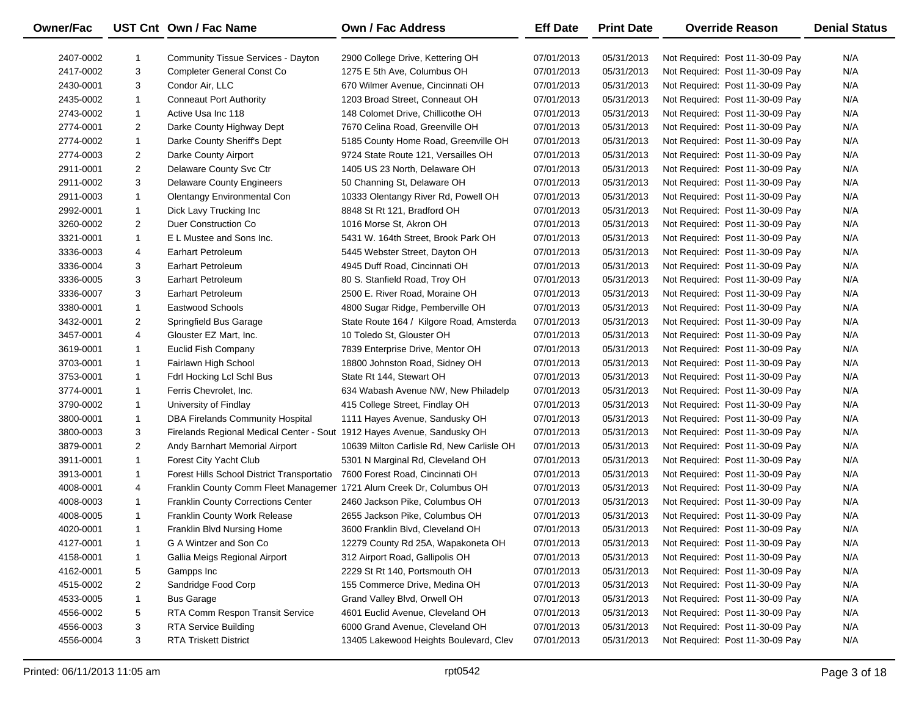| Owner/Fac |                | UST Cnt Own / Fac Name                                                  | Own / Fac Address                         | <b>Eff Date</b> | <b>Print Date</b> | <b>Override Reason</b>          | <b>Denial Status</b> |
|-----------|----------------|-------------------------------------------------------------------------|-------------------------------------------|-----------------|-------------------|---------------------------------|----------------------|
| 2407-0002 |                | <b>Community Tissue Services - Dayton</b>                               | 2900 College Drive, Kettering OH          | 07/01/2013      | 05/31/2013        | Not Required: Post 11-30-09 Pay | N/A                  |
| 2417-0002 | 3              | Completer General Const Co                                              | 1275 E 5th Ave, Columbus OH               | 07/01/2013      | 05/31/2013        | Not Required: Post 11-30-09 Pay | N/A                  |
| 2430-0001 | 3              | Condor Air, LLC                                                         | 670 Wilmer Avenue, Cincinnati OH          | 07/01/2013      | 05/31/2013        | Not Required: Post 11-30-09 Pay | N/A                  |
| 2435-0002 | $\mathbf{1}$   | <b>Conneaut Port Authority</b>                                          | 1203 Broad Street, Conneaut OH            | 07/01/2013      | 05/31/2013        | Not Required: Post 11-30-09 Pay | N/A                  |
| 2743-0002 | $\mathbf{1}$   | Active Usa Inc 118                                                      | 148 Colomet Drive, Chillicothe OH         | 07/01/2013      | 05/31/2013        | Not Required: Post 11-30-09 Pay | N/A                  |
| 2774-0001 | $\overline{2}$ | Darke County Highway Dept                                               | 7670 Celina Road, Greenville OH           | 07/01/2013      | 05/31/2013        | Not Required: Post 11-30-09 Pay | N/A                  |
| 2774-0002 | $\mathbf{1}$   | Darke County Sheriff's Dept                                             | 5185 County Home Road, Greenville OH      | 07/01/2013      | 05/31/2013        | Not Required: Post 11-30-09 Pay | N/A                  |
| 2774-0003 | $\overline{a}$ | Darke County Airport                                                    | 9724 State Route 121, Versailles OH       | 07/01/2013      | 05/31/2013        | Not Required: Post 11-30-09 Pay | N/A                  |
| 2911-0001 | $\overline{2}$ | Delaware County Svc Ctr                                                 | 1405 US 23 North, Delaware OH             | 07/01/2013      | 05/31/2013        | Not Required: Post 11-30-09 Pay | N/A                  |
| 2911-0002 | 3              | <b>Delaware County Engineers</b>                                        | 50 Channing St, Delaware OH               | 07/01/2013      | 05/31/2013        | Not Required: Post 11-30-09 Pay | N/A                  |
| 2911-0003 | $\mathbf{1}$   | Olentangy Environmental Con                                             | 10333 Olentangy River Rd, Powell OH       | 07/01/2013      | 05/31/2013        | Not Required: Post 11-30-09 Pay | N/A                  |
| 2992-0001 | $\mathbf{1}$   | Dick Lavy Trucking Inc                                                  | 8848 St Rt 121, Bradford OH               | 07/01/2013      | 05/31/2013        | Not Required: Post 11-30-09 Pay | N/A                  |
| 3260-0002 | $\overline{2}$ | Duer Construction Co                                                    | 1016 Morse St, Akron OH                   | 07/01/2013      | 05/31/2013        | Not Required: Post 11-30-09 Pay | N/A                  |
| 3321-0001 | $\mathbf{1}$   | E L Mustee and Sons Inc.                                                | 5431 W. 164th Street, Brook Park OH       | 07/01/2013      | 05/31/2013        | Not Required: Post 11-30-09 Pay | N/A                  |
| 3336-0003 | 4              | Earhart Petroleum                                                       | 5445 Webster Street, Dayton OH            | 07/01/2013      | 05/31/2013        | Not Required: Post 11-30-09 Pay | N/A                  |
| 3336-0004 | 3              | <b>Earhart Petroleum</b>                                                | 4945 Duff Road, Cincinnati OH             | 07/01/2013      | 05/31/2013        | Not Required: Post 11-30-09 Pay | N/A                  |
| 3336-0005 | 3              | Earhart Petroleum                                                       | 80 S. Stanfield Road, Troy OH             | 07/01/2013      | 05/31/2013        | Not Required: Post 11-30-09 Pay | N/A                  |
| 3336-0007 | 3              | Earhart Petroleum                                                       | 2500 E. River Road, Moraine OH            | 07/01/2013      | 05/31/2013        | Not Required: Post 11-30-09 Pay | N/A                  |
| 3380-0001 | $\mathbf{1}$   | Eastwood Schools                                                        | 4800 Sugar Ridge, Pemberville OH          | 07/01/2013      | 05/31/2013        | Not Required: Post 11-30-09 Pay | N/A                  |
| 3432-0001 | $\overline{2}$ | Springfield Bus Garage                                                  | State Route 164 / Kilgore Road, Amsterda  | 07/01/2013      | 05/31/2013        | Not Required: Post 11-30-09 Pay | N/A                  |
| 3457-0001 | 4              | Glouster EZ Mart, Inc.                                                  | 10 Toledo St. Glouster OH                 | 07/01/2013      | 05/31/2013        | Not Required: Post 11-30-09 Pay | N/A                  |
| 3619-0001 | $\mathbf{1}$   | <b>Euclid Fish Company</b>                                              | 7839 Enterprise Drive, Mentor OH          | 07/01/2013      | 05/31/2013        | Not Required: Post 11-30-09 Pay | N/A                  |
| 3703-0001 | $\mathbf{1}$   | Fairlawn High School                                                    | 18800 Johnston Road, Sidney OH            | 07/01/2013      | 05/31/2013        | Not Required: Post 11-30-09 Pay | N/A                  |
| 3753-0001 | $\mathbf{1}$   | Fdrl Hocking Lcl Schl Bus                                               | State Rt 144, Stewart OH                  | 07/01/2013      | 05/31/2013        | Not Required: Post 11-30-09 Pay | N/A                  |
| 3774-0001 | $\mathbf{1}$   | Ferris Chevrolet, Inc.                                                  | 634 Wabash Avenue NW, New Philadelp       | 07/01/2013      | 05/31/2013        | Not Required: Post 11-30-09 Pay | N/A                  |
| 3790-0002 | $\mathbf{1}$   | University of Findlay                                                   | 415 College Street, Findlay OH            | 07/01/2013      | 05/31/2013        | Not Required: Post 11-30-09 Pay | N/A                  |
| 3800-0001 | $\mathbf{1}$   | DBA Firelands Community Hospital                                        | 1111 Hayes Avenue, Sandusky OH            | 07/01/2013      | 05/31/2013        | Not Required: Post 11-30-09 Pay | N/A                  |
| 3800-0003 | 3              | Firelands Regional Medical Center - Sout 1912 Hayes Avenue, Sandusky OH |                                           | 07/01/2013      | 05/31/2013        | Not Required: Post 11-30-09 Pay | N/A                  |
| 3879-0001 | $\overline{2}$ | Andy Barnhart Memorial Airport                                          | 10639 Milton Carlisle Rd, New Carlisle OH | 07/01/2013      | 05/31/2013        | Not Required: Post 11-30-09 Pay | N/A                  |
| 3911-0001 | $\mathbf{1}$   | Forest City Yacht Club                                                  | 5301 N Marginal Rd, Cleveland OH          | 07/01/2013      | 05/31/2013        | Not Required: Post 11-30-09 Pay | N/A                  |
| 3913-0001 | $\mathbf{1}$   | Forest Hills School District Transportatio                              | 7600 Forest Road, Cincinnati OH           | 07/01/2013      | 05/31/2013        | Not Required: Post 11-30-09 Pay | N/A                  |
| 4008-0001 | 4              | Franklin County Comm Fleet Managemer 1721 Alum Creek Dr, Columbus OH    |                                           | 07/01/2013      | 05/31/2013        | Not Required: Post 11-30-09 Pay | N/A                  |
| 4008-0003 | $\mathbf{1}$   | Franklin County Corrections Center                                      | 2460 Jackson Pike, Columbus OH            | 07/01/2013      | 05/31/2013        | Not Required: Post 11-30-09 Pay | N/A                  |
| 4008-0005 | $\mathbf{1}$   | Franklin County Work Release                                            | 2655 Jackson Pike, Columbus OH            | 07/01/2013      | 05/31/2013        | Not Required: Post 11-30-09 Pay | N/A                  |
| 4020-0001 | $\mathbf{1}$   | Franklin Blvd Nursing Home                                              | 3600 Franklin Blvd, Cleveland OH          | 07/01/2013      | 05/31/2013        | Not Required: Post 11-30-09 Pay | N/A                  |
| 4127-0001 | -1             | G A Wintzer and Son Co                                                  | 12279 County Rd 25A, Wapakoneta OH        | 07/01/2013      | 05/31/2013        | Not Required: Post 11-30-09 Pay | N/A                  |
| 4158-0001 | -1             | Gallia Meigs Regional Airport                                           | 312 Airport Road, Gallipolis OH           | 07/01/2013      | 05/31/2013        | Not Required: Post 11-30-09 Pay | N/A                  |
| 4162-0001 | 5              | Gampps Inc                                                              | 2229 St Rt 140, Portsmouth OH             | 07/01/2013      | 05/31/2013        | Not Required: Post 11-30-09 Pay | N/A                  |
| 4515-0002 | $\overline{2}$ | Sandridge Food Corp                                                     | 155 Commerce Drive, Medina OH             | 07/01/2013      | 05/31/2013        | Not Required: Post 11-30-09 Pay | N/A                  |
| 4533-0005 | $\mathbf{1}$   | <b>Bus Garage</b>                                                       | Grand Valley Blvd, Orwell OH              | 07/01/2013      | 05/31/2013        | Not Required: Post 11-30-09 Pay | N/A                  |
| 4556-0002 | 5              | RTA Comm Respon Transit Service                                         | 4601 Euclid Avenue, Cleveland OH          | 07/01/2013      | 05/31/2013        | Not Required: Post 11-30-09 Pay | N/A                  |
| 4556-0003 | 3              | <b>RTA Service Building</b>                                             | 6000 Grand Avenue, Cleveland OH           | 07/01/2013      | 05/31/2013        | Not Required: Post 11-30-09 Pay | N/A                  |
| 4556-0004 | 3              | <b>RTA Triskett District</b>                                            | 13405 Lakewood Heights Boulevard, Clev    | 07/01/2013      | 05/31/2013        | Not Required: Post 11-30-09 Pay | N/A                  |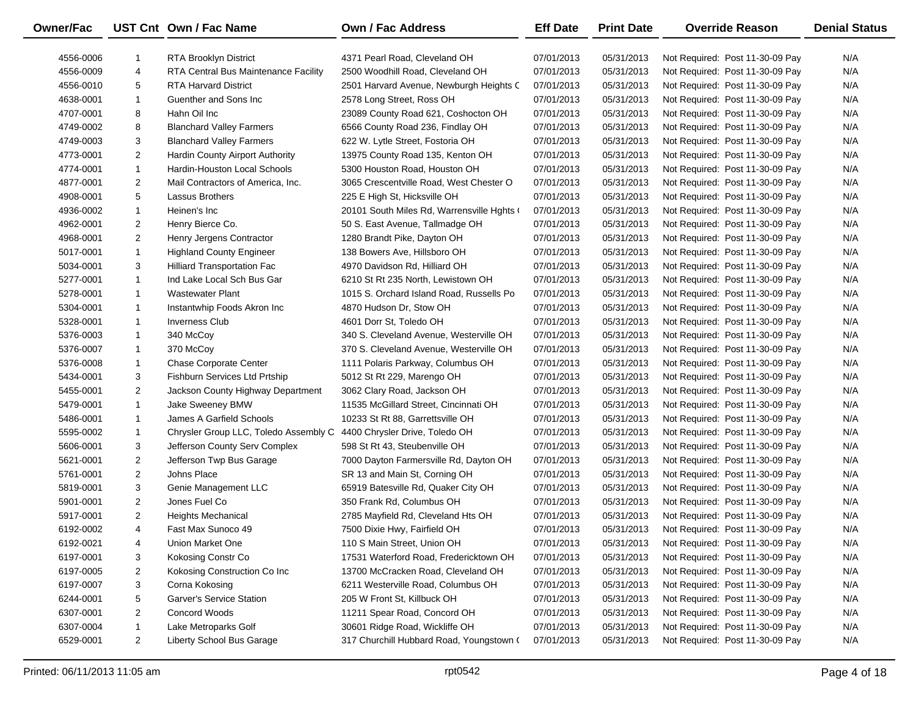| <b>Owner/Fac</b> |                | UST Cnt Own / Fac Name                | Own / Fac Address                          | <b>Eff Date</b> | <b>Print Date</b> | <b>Override Reason</b>          | <b>Denial Status</b> |
|------------------|----------------|---------------------------------------|--------------------------------------------|-----------------|-------------------|---------------------------------|----------------------|
| 4556-0006        | 1              | <b>RTA Brooklyn District</b>          | 4371 Pearl Road, Cleveland OH              | 07/01/2013      | 05/31/2013        | Not Required: Post 11-30-09 Pay | N/A                  |
| 4556-0009        | 4              | RTA Central Bus Maintenance Facility  | 2500 Woodhill Road, Cleveland OH           | 07/01/2013      | 05/31/2013        | Not Required: Post 11-30-09 Pay | N/A                  |
| 4556-0010        | 5              | <b>RTA Harvard District</b>           | 2501 Harvard Avenue, Newburgh Heights C    | 07/01/2013      | 05/31/2013        | Not Required: Post 11-30-09 Pay | N/A                  |
| 4638-0001        | $\mathbf{1}$   | Guenther and Sons Inc.                | 2578 Long Street, Ross OH                  | 07/01/2013      | 05/31/2013        | Not Required: Post 11-30-09 Pay | N/A                  |
| 4707-0001        | 8              | Hahn Oil Inc                          | 23089 County Road 621, Coshocton OH        | 07/01/2013      | 05/31/2013        | Not Required: Post 11-30-09 Pay | N/A                  |
| 4749-0002        | 8              | <b>Blanchard Valley Farmers</b>       | 6566 County Road 236, Findlay OH           | 07/01/2013      | 05/31/2013        | Not Required: Post 11-30-09 Pay | N/A                  |
| 4749-0003        | 3              | <b>Blanchard Valley Farmers</b>       | 622 W. Lytle Street, Fostoria OH           | 07/01/2013      | 05/31/2013        | Not Required: Post 11-30-09 Pay | N/A                  |
| 4773-0001        | $\overline{2}$ | Hardin County Airport Authority       | 13975 County Road 135, Kenton OH           | 07/01/2013      | 05/31/2013        | Not Required: Post 11-30-09 Pay | N/A                  |
| 4774-0001        | $\mathbf{1}$   | Hardin-Houston Local Schools          | 5300 Houston Road, Houston OH              | 07/01/2013      | 05/31/2013        | Not Required: Post 11-30-09 Pay | N/A                  |
| 4877-0001        | $\overline{2}$ | Mail Contractors of America, Inc.     | 3065 Crescentville Road, West Chester O    | 07/01/2013      | 05/31/2013        | Not Required: Post 11-30-09 Pay | N/A                  |
| 4908-0001        | 5              | <b>Lassus Brothers</b>                | 225 E High St, Hicksville OH               | 07/01/2013      | 05/31/2013        | Not Required: Post 11-30-09 Pay | N/A                  |
| 4936-0002        | $\mathbf{1}$   | Heinen's Inc                          | 20101 South Miles Rd, Warrensville Hghts ( | 07/01/2013      | 05/31/2013        | Not Required: Post 11-30-09 Pay | N/A                  |
| 4962-0001        | $\overline{2}$ | Henry Bierce Co.                      | 50 S. East Avenue, Tallmadge OH            | 07/01/2013      | 05/31/2013        | Not Required: Post 11-30-09 Pay | N/A                  |
| 4968-0001        | $\overline{2}$ | Henry Jergens Contractor              | 1280 Brandt Pike, Dayton OH                | 07/01/2013      | 05/31/2013        | Not Required: Post 11-30-09 Pay | N/A                  |
| 5017-0001        | $\mathbf{1}$   | <b>Highland County Engineer</b>       | 138 Bowers Ave, Hillsboro OH               | 07/01/2013      | 05/31/2013        | Not Required: Post 11-30-09 Pay | N/A                  |
| 5034-0001        | 3              | <b>Hilliard Transportation Fac</b>    | 4970 Davidson Rd, Hilliard OH              | 07/01/2013      | 05/31/2013        | Not Required: Post 11-30-09 Pay | N/A                  |
| 5277-0001        | $\mathbf{1}$   | Ind Lake Local Sch Bus Gar            | 6210 St Rt 235 North, Lewistown OH         | 07/01/2013      | 05/31/2013        | Not Required: Post 11-30-09 Pay | N/A                  |
| 5278-0001        | $\mathbf{1}$   | <b>Wastewater Plant</b>               | 1015 S. Orchard Island Road, Russells Po   | 07/01/2013      | 05/31/2013        | Not Required: Post 11-30-09 Pay | N/A                  |
| 5304-0001        | $\mathbf{1}$   | Instantwhip Foods Akron Inc           | 4870 Hudson Dr, Stow OH                    | 07/01/2013      | 05/31/2013        | Not Required: Post 11-30-09 Pay | N/A                  |
| 5328-0001        | $\mathbf{1}$   | <b>Inverness Club</b>                 | 4601 Dorr St, Toledo OH                    | 07/01/2013      | 05/31/2013        | Not Required: Post 11-30-09 Pay | N/A                  |
| 5376-0003        | $\mathbf{1}$   | 340 McCoy                             | 340 S. Cleveland Avenue, Westerville OH    | 07/01/2013      | 05/31/2013        | Not Required: Post 11-30-09 Pay | N/A                  |
| 5376-0007        | $\mathbf{1}$   | 370 McCoy                             | 370 S. Cleveland Avenue, Westerville OH    | 07/01/2013      | 05/31/2013        | Not Required: Post 11-30-09 Pay | N/A                  |
| 5376-0008        | $\mathbf{1}$   | Chase Corporate Center                | 1111 Polaris Parkway, Columbus OH          | 07/01/2013      | 05/31/2013        | Not Required: Post 11-30-09 Pay | N/A                  |
| 5434-0001        | 3              | Fishburn Services Ltd Prtship         | 5012 St Rt 229, Marengo OH                 | 07/01/2013      | 05/31/2013        | Not Required: Post 11-30-09 Pay | N/A                  |
| 5455-0001        | $\overline{2}$ | Jackson County Highway Department     | 3062 Clary Road, Jackson OH                | 07/01/2013      | 05/31/2013        | Not Required: Post 11-30-09 Pay | N/A                  |
| 5479-0001        | $\mathbf{1}$   | Jake Sweeney BMW                      | 11535 McGillard Street, Cincinnati OH      | 07/01/2013      | 05/31/2013        | Not Required: Post 11-30-09 Pay | N/A                  |
| 5486-0001        | $\mathbf{1}$   | James A Garfield Schools              | 10233 St Rt 88, Garrettsville OH           | 07/01/2013      | 05/31/2013        | Not Required: Post 11-30-09 Pay | N/A                  |
| 5595-0002        | $\mathbf{1}$   | Chrysler Group LLC, Toledo Assembly C | 4400 Chrysler Drive, Toledo OH             | 07/01/2013      | 05/31/2013        | Not Required: Post 11-30-09 Pay | N/A                  |
| 5606-0001        | 3              | Jefferson County Serv Complex         | 598 St Rt 43, Steubenville OH              | 07/01/2013      | 05/31/2013        | Not Required: Post 11-30-09 Pay | N/A                  |
| 5621-0001        | $\overline{2}$ | Jefferson Twp Bus Garage              | 7000 Dayton Farmersville Rd, Dayton OH     | 07/01/2013      | 05/31/2013        | Not Required: Post 11-30-09 Pay | N/A                  |
| 5761-0001        | $\overline{2}$ | Johns Place                           | SR 13 and Main St, Corning OH              | 07/01/2013      | 05/31/2013        | Not Required: Post 11-30-09 Pay | N/A                  |
| 5819-0001        | 3              | Genie Management LLC                  | 65919 Batesville Rd, Quaker City OH        | 07/01/2013      | 05/31/2013        | Not Required: Post 11-30-09 Pay | N/A                  |
| 5901-0001        | $\overline{2}$ | Jones Fuel Co                         | 350 Frank Rd, Columbus OH                  | 07/01/2013      | 05/31/2013        | Not Required: Post 11-30-09 Pay | N/A                  |
| 5917-0001        | $\overline{2}$ | <b>Heights Mechanical</b>             | 2785 Mayfield Rd, Cleveland Hts OH         | 07/01/2013      | 05/31/2013        | Not Required: Post 11-30-09 Pay | N/A                  |
| 6192-0002        | $\overline{4}$ | Fast Max Sunoco 49                    | 7500 Dixie Hwy, Fairfield OH               | 07/01/2013      | 05/31/2013        | Not Required: Post 11-30-09 Pay | N/A                  |
| 6192-0021        | 4              | Union Market One                      | 110 S Main Street, Union OH                | 07/01/2013      | 05/31/2013        | Not Required: Post 11-30-09 Pay | N/A                  |
| 6197-0001        | 3              | Kokosing Constr Co                    | 17531 Waterford Road, Fredericktown OH     | 07/01/2013      | 05/31/2013        | Not Required: Post 11-30-09 Pay | N/A                  |
| 6197-0005        | $\overline{2}$ | Kokosing Construction Co Inc          | 13700 McCracken Road, Cleveland OH         | 07/01/2013      | 05/31/2013        | Not Required: Post 11-30-09 Pay | N/A                  |
| 6197-0007        | 3              | Corna Kokosing                        | 6211 Westerville Road, Columbus OH         | 07/01/2013      | 05/31/2013        | Not Required: Post 11-30-09 Pay | N/A                  |
| 6244-0001        | 5              | Garver's Service Station              | 205 W Front St, Killbuck OH                | 07/01/2013      | 05/31/2013        | Not Required: Post 11-30-09 Pay | N/A                  |
| 6307-0001        | $\overline{2}$ | Concord Woods                         | 11211 Spear Road, Concord OH               | 07/01/2013      | 05/31/2013        | Not Required: Post 11-30-09 Pay | N/A                  |
| 6307-0004        | $\mathbf{1}$   | Lake Metroparks Golf                  | 30601 Ridge Road, Wickliffe OH             | 07/01/2013      | 05/31/2013        | Not Required: Post 11-30-09 Pay | N/A                  |
| 6529-0001        | $\overline{2}$ | Liberty School Bus Garage             | 317 Churchill Hubbard Road, Youngstown (   | 07/01/2013      | 05/31/2013        | Not Required: Post 11-30-09 Pay | N/A                  |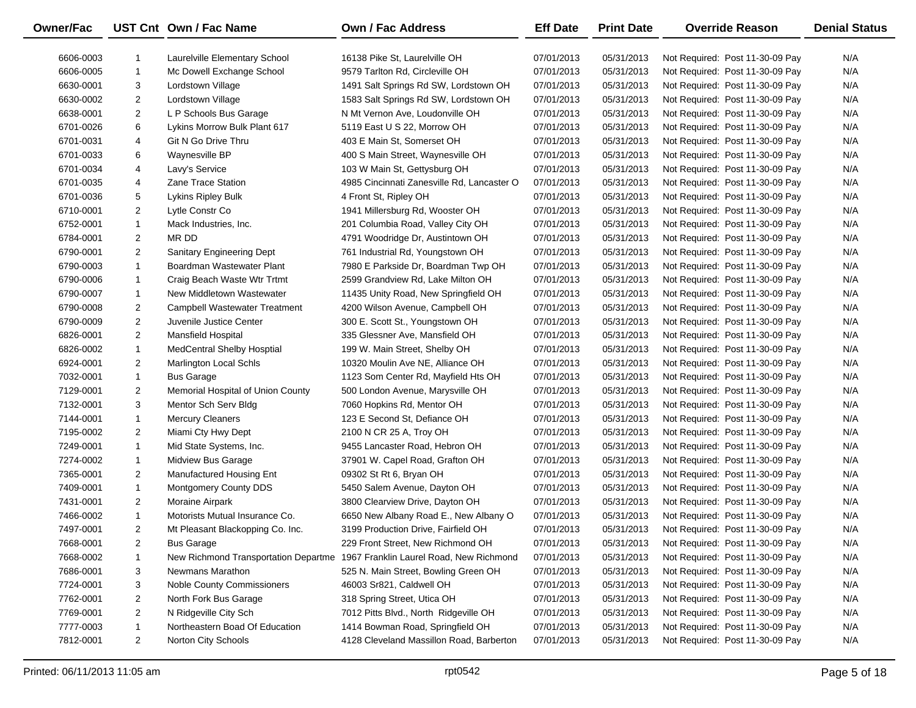| <b>Owner/Fac</b> |                | UST Cnt Own / Fac Name               | Own / Fac Address                          | <b>Eff Date</b> | <b>Print Date</b> | <b>Override Reason</b>          | <b>Denial Status</b> |
|------------------|----------------|--------------------------------------|--------------------------------------------|-----------------|-------------------|---------------------------------|----------------------|
| 6606-0003        | 1              | Laurelville Elementary School        | 16138 Pike St, Laurelville OH              | 07/01/2013      | 05/31/2013        | Not Required: Post 11-30-09 Pay | N/A                  |
| 6606-0005        | $\mathbf{1}$   | Mc Dowell Exchange School            | 9579 Tarlton Rd, Circleville OH            | 07/01/2013      | 05/31/2013        | Not Required: Post 11-30-09 Pay | N/A                  |
| 6630-0001        | 3              | Lordstown Village                    | 1491 Salt Springs Rd SW, Lordstown OH      | 07/01/2013      | 05/31/2013        | Not Required: Post 11-30-09 Pay | N/A                  |
| 6630-0002        | $\overline{2}$ | Lordstown Village                    | 1583 Salt Springs Rd SW, Lordstown OH      | 07/01/2013      | 05/31/2013        | Not Required: Post 11-30-09 Pay | N/A                  |
| 6638-0001        | $\overline{2}$ | L P Schools Bus Garage               | N Mt Vernon Ave, Loudonville OH            | 07/01/2013      | 05/31/2013        | Not Required: Post 11-30-09 Pay | N/A                  |
| 6701-0026        | 6              | Lykins Morrow Bulk Plant 617         | 5119 East U S 22, Morrow OH                | 07/01/2013      | 05/31/2013        | Not Required: Post 11-30-09 Pay | N/A                  |
| 6701-0031        | 4              | Git N Go Drive Thru                  | 403 E Main St, Somerset OH                 | 07/01/2013      | 05/31/2013        | Not Required: Post 11-30-09 Pay | N/A                  |
| 6701-0033        | 6              | Waynesville BP                       | 400 S Main Street, Waynesville OH          | 07/01/2013      | 05/31/2013        | Not Required: Post 11-30-09 Pay | N/A                  |
| 6701-0034        | 4              | Lavy's Service                       | 103 W Main St, Gettysburg OH               | 07/01/2013      | 05/31/2013        | Not Required: Post 11-30-09 Pay | N/A                  |
| 6701-0035        | 4              | Zane Trace Station                   | 4985 Cincinnati Zanesville Rd, Lancaster O | 07/01/2013      | 05/31/2013        | Not Required: Post 11-30-09 Pay | N/A                  |
| 6701-0036        | 5              | Lykins Ripley Bulk                   | 4 Front St, Ripley OH                      | 07/01/2013      | 05/31/2013        | Not Required: Post 11-30-09 Pay | N/A                  |
| 6710-0001        | $\overline{2}$ | Lytle Constr Co                      | 1941 Millersburg Rd, Wooster OH            | 07/01/2013      | 05/31/2013        | Not Required: Post 11-30-09 Pay | N/A                  |
| 6752-0001        | $\mathbf{1}$   | Mack Industries, Inc.                | 201 Columbia Road, Valley City OH          | 07/01/2013      | 05/31/2013        | Not Required: Post 11-30-09 Pay | N/A                  |
| 6784-0001        | $\overline{2}$ | MR DD                                | 4791 Woodridge Dr, Austintown OH           | 07/01/2013      | 05/31/2013        | Not Required: Post 11-30-09 Pay | N/A                  |
| 6790-0001        | $\overline{2}$ | <b>Sanitary Engineering Dept</b>     | 761 Industrial Rd, Youngstown OH           | 07/01/2013      | 05/31/2013        | Not Required: Post 11-30-09 Pay | N/A                  |
| 6790-0003        | $\mathbf{1}$   | Boardman Wastewater Plant            | 7980 E Parkside Dr, Boardman Twp OH        | 07/01/2013      | 05/31/2013        | Not Required: Post 11-30-09 Pay | N/A                  |
| 6790-0006        | $\mathbf{1}$   | Craig Beach Waste Wtr Trtmt          | 2599 Grandview Rd, Lake Milton OH          | 07/01/2013      | 05/31/2013        | Not Required: Post 11-30-09 Pay | N/A                  |
| 6790-0007        | $\mathbf{1}$   | New Middletown Wastewater            | 11435 Unity Road, New Springfield OH       | 07/01/2013      | 05/31/2013        | Not Required: Post 11-30-09 Pay | N/A                  |
| 6790-0008        | $\overline{2}$ | <b>Campbell Wastewater Treatment</b> | 4200 Wilson Avenue, Campbell OH            | 07/01/2013      | 05/31/2013        | Not Required: Post 11-30-09 Pay | N/A                  |
| 6790-0009        | $\overline{2}$ | Juvenile Justice Center              | 300 E. Scott St., Youngstown OH            | 07/01/2013      | 05/31/2013        | Not Required: Post 11-30-09 Pay | N/A                  |
| 6826-0001        | $\overline{2}$ | <b>Mansfield Hospital</b>            | 335 Glessner Ave, Mansfield OH             | 07/01/2013      | 05/31/2013        | Not Required: Post 11-30-09 Pay | N/A                  |
| 6826-0002        | $\mathbf{1}$   | <b>MedCentral Shelby Hosptial</b>    | 199 W. Main Street, Shelby OH              | 07/01/2013      | 05/31/2013        | Not Required: Post 11-30-09 Pay | N/A                  |
| 6924-0001        | $\overline{2}$ | Marlington Local Schls               | 10320 Moulin Ave NE, Alliance OH           | 07/01/2013      | 05/31/2013        | Not Required: Post 11-30-09 Pay | N/A                  |
| 7032-0001        | $\mathbf{1}$   | <b>Bus Garage</b>                    | 1123 Som Center Rd, Mayfield Hts OH        | 07/01/2013      | 05/31/2013        | Not Required: Post 11-30-09 Pay | N/A                  |
| 7129-0001        | $\overline{2}$ | Memorial Hospital of Union County    | 500 London Avenue, Marysville OH           | 07/01/2013      | 05/31/2013        | Not Required: Post 11-30-09 Pay | N/A                  |
| 7132-0001        | 3              | Mentor Sch Serv Bldg                 | 7060 Hopkins Rd, Mentor OH                 | 07/01/2013      | 05/31/2013        | Not Required: Post 11-30-09 Pay | N/A                  |
| 7144-0001        | $\mathbf{1}$   | <b>Mercury Cleaners</b>              | 123 E Second St, Defiance OH               | 07/01/2013      | 05/31/2013        | Not Required: Post 11-30-09 Pay | N/A                  |
| 7195-0002        | $\overline{2}$ | Miami Cty Hwy Dept                   | 2100 N CR 25 A, Troy OH                    | 07/01/2013      | 05/31/2013        | Not Required: Post 11-30-09 Pay | N/A                  |
| 7249-0001        | $\mathbf{1}$   | Mid State Systems, Inc.              | 9455 Lancaster Road, Hebron OH             | 07/01/2013      | 05/31/2013        | Not Required: Post 11-30-09 Pay | N/A                  |
| 7274-0002        | $\mathbf{1}$   | Midview Bus Garage                   | 37901 W. Capel Road, Grafton OH            | 07/01/2013      | 05/31/2013        | Not Required: Post 11-30-09 Pay | N/A                  |
| 7365-0001        | $\overline{2}$ | Manufactured Housing Ent             | 09302 St Rt 6, Bryan OH                    | 07/01/2013      | 05/31/2013        | Not Required: Post 11-30-09 Pay | N/A                  |
| 7409-0001        | $\mathbf{1}$   | Montgomery County DDS                | 5450 Salem Avenue, Dayton OH               | 07/01/2013      | 05/31/2013        | Not Required: Post 11-30-09 Pay | N/A                  |
| 7431-0001        | $\overline{2}$ | Moraine Airpark                      | 3800 Clearview Drive, Dayton OH            | 07/01/2013      | 05/31/2013        | Not Required: Post 11-30-09 Pay | N/A                  |
| 7466-0002        | $\mathbf{1}$   | Motorists Mutual Insurance Co.       | 6650 New Albany Road E., New Albany O      | 07/01/2013      | 05/31/2013        | Not Required: Post 11-30-09 Pay | N/A                  |
| 7497-0001        | $\overline{2}$ | Mt Pleasant Blackopping Co. Inc.     | 3199 Production Drive, Fairfield OH        | 07/01/2013      | 05/31/2013        | Not Required: Post 11-30-09 Pay | N/A                  |
| 7668-0001        | $\overline{2}$ | <b>Bus Garage</b>                    | 229 Front Street, New Richmond OH          | 07/01/2013      | 05/31/2013        | Not Required: Post 11-30-09 Pay | N/A                  |
| 7668-0002        | 1              | New Richmond Transportation Departme | 1967 Franklin Laurel Road, New Richmond    | 07/01/2013      | 05/31/2013        | Not Required: Post 11-30-09 Pay | N/A                  |
| 7686-0001        | 3              | Newmans Marathon                     | 525 N. Main Street, Bowling Green OH       | 07/01/2013      | 05/31/2013        | Not Required: Post 11-30-09 Pay | N/A                  |
| 7724-0001        | 3              | <b>Noble County Commissioners</b>    | 46003 Sr821, Caldwell OH                   | 07/01/2013      | 05/31/2013        | Not Required: Post 11-30-09 Pay | N/A                  |
| 7762-0001        | $\overline{2}$ | North Fork Bus Garage                | 318 Spring Street, Utica OH                | 07/01/2013      | 05/31/2013        | Not Required: Post 11-30-09 Pay | N/A                  |
| 7769-0001        | $\overline{2}$ | N Ridgeville City Sch                | 7012 Pitts Blvd., North Ridgeville OH      | 07/01/2013      | 05/31/2013        | Not Required: Post 11-30-09 Pay | N/A                  |
| 7777-0003        | 1              | Northeastern Boad Of Education       | 1414 Bowman Road, Springfield OH           | 07/01/2013      | 05/31/2013        | Not Required: Post 11-30-09 Pay | N/A                  |
| 7812-0001        | $\overline{2}$ | Norton City Schools                  | 4128 Cleveland Massillon Road, Barberton   | 07/01/2013      | 05/31/2013        | Not Required: Post 11-30-09 Pay | N/A                  |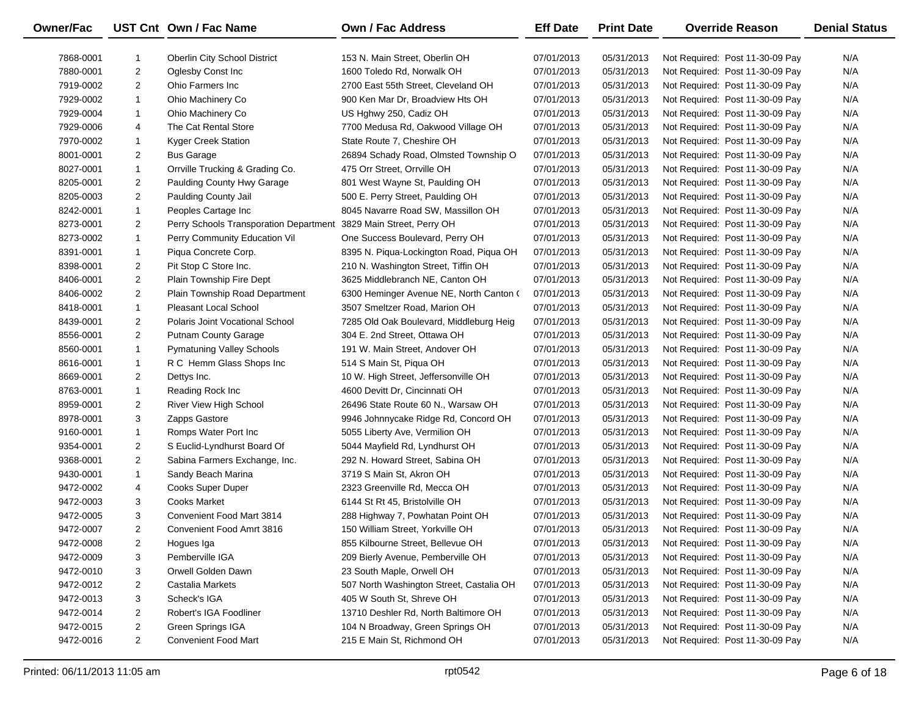| <b>Owner/Fac</b> |                | UST Cnt Own / Fac Name                 | Own / Fac Address                        | <b>Eff Date</b> | <b>Print Date</b> | <b>Override Reason</b>          | <b>Denial Status</b> |
|------------------|----------------|----------------------------------------|------------------------------------------|-----------------|-------------------|---------------------------------|----------------------|
| 7868-0001        | -1             | <b>Oberlin City School District</b>    | 153 N. Main Street, Oberlin OH           | 07/01/2013      | 05/31/2013        | Not Required: Post 11-30-09 Pay | N/A                  |
| 7880-0001        | $\overline{2}$ | Oglesby Const Inc                      | 1600 Toledo Rd, Norwalk OH               | 07/01/2013      | 05/31/2013        | Not Required: Post 11-30-09 Pay | N/A                  |
| 7919-0002        | $\overline{2}$ | Ohio Farmers Inc                       | 2700 East 55th Street, Cleveland OH      | 07/01/2013      | 05/31/2013        | Not Required: Post 11-30-09 Pay | N/A                  |
| 7929-0002        | $\mathbf{1}$   | Ohio Machinery Co                      | 900 Ken Mar Dr, Broadview Hts OH         | 07/01/2013      | 05/31/2013        | Not Required: Post 11-30-09 Pay | N/A                  |
| 7929-0004        | $\mathbf{1}$   | Ohio Machinery Co                      | US Hghwy 250, Cadiz OH                   | 07/01/2013      | 05/31/2013        | Not Required: Post 11-30-09 Pay | N/A                  |
| 7929-0006        | 4              | The Cat Rental Store                   | 7700 Medusa Rd, Oakwood Village OH       | 07/01/2013      | 05/31/2013        | Not Required: Post 11-30-09 Pay | N/A                  |
| 7970-0002        | $\mathbf{1}$   | Kyger Creek Station                    | State Route 7, Cheshire OH               | 07/01/2013      | 05/31/2013        | Not Required: Post 11-30-09 Pay | N/A                  |
| 8001-0001        | $\overline{2}$ | <b>Bus Garage</b>                      | 26894 Schady Road, Olmsted Township O    | 07/01/2013      | 05/31/2013        | Not Required: Post 11-30-09 Pay | N/A                  |
| 8027-0001        | $\mathbf{1}$   | Orrville Trucking & Grading Co.        | 475 Orr Street, Orrville OH              | 07/01/2013      | 05/31/2013        | Not Required: Post 11-30-09 Pay | N/A                  |
| 8205-0001        | 2              | Paulding County Hwy Garage             | 801 West Wayne St, Paulding OH           | 07/01/2013      | 05/31/2013        | Not Required: Post 11-30-09 Pay | N/A                  |
| 8205-0003        | $\overline{2}$ | Paulding County Jail                   | 500 E. Perry Street, Paulding OH         | 07/01/2013      | 05/31/2013        | Not Required: Post 11-30-09 Pay | N/A                  |
| 8242-0001        | $\mathbf{1}$   | Peoples Cartage Inc                    | 8045 Navarre Road SW, Massillon OH       | 07/01/2013      | 05/31/2013        | Not Required: Post 11-30-09 Pay | N/A                  |
| 8273-0001        | $\overline{2}$ | Perry Schools Transporation Department | 3829 Main Street, Perry OH               | 07/01/2013      | 05/31/2013        | Not Required: Post 11-30-09 Pay | N/A                  |
| 8273-0002        | $\mathbf{1}$   | Perry Community Education Vil          | One Success Boulevard, Perry OH          | 07/01/2013      | 05/31/2013        | Not Required: Post 11-30-09 Pay | N/A                  |
| 8391-0001        | $\mathbf{1}$   | Piqua Concrete Corp.                   | 8395 N. Piqua-Lockington Road, Piqua OH  | 07/01/2013      | 05/31/2013        | Not Required: Post 11-30-09 Pay | N/A                  |
| 8398-0001        | $\overline{2}$ | Pit Stop C Store Inc.                  | 210 N. Washington Street, Tiffin OH      | 07/01/2013      | 05/31/2013        | Not Required: Post 11-30-09 Pay | N/A                  |
| 8406-0001        | $\overline{2}$ | Plain Township Fire Dept               | 3625 Middlebranch NE, Canton OH          | 07/01/2013      | 05/31/2013        | Not Required: Post 11-30-09 Pay | N/A                  |
| 8406-0002        | $\overline{2}$ | Plain Township Road Department         | 6300 Heminger Avenue NE, North Canton (  | 07/01/2013      | 05/31/2013        | Not Required: Post 11-30-09 Pay | N/A                  |
| 8418-0001        | $\mathbf{1}$   | <b>Pleasant Local School</b>           | 3507 Smeltzer Road, Marion OH            | 07/01/2013      | 05/31/2013        | Not Required: Post 11-30-09 Pay | N/A                  |
| 8439-0001        | $\overline{2}$ | Polaris Joint Vocational School        | 7285 Old Oak Boulevard, Middleburg Heig  | 07/01/2013      | 05/31/2013        | Not Required: Post 11-30-09 Pay | N/A                  |
| 8556-0001        | $\overline{2}$ | <b>Putnam County Garage</b>            | 304 E. 2nd Street, Ottawa OH             | 07/01/2013      | 05/31/2013        | Not Required: Post 11-30-09 Pay | N/A                  |
| 8560-0001        | $\mathbf{1}$   | <b>Pymatuning Valley Schools</b>       | 191 W. Main Street, Andover OH           | 07/01/2013      | 05/31/2013        | Not Required: Post 11-30-09 Pay | N/A                  |
| 8616-0001        | $\mathbf{1}$   | R C Hemm Glass Shops Inc               | 514 S Main St, Piqua OH                  | 07/01/2013      | 05/31/2013        | Not Required: Post 11-30-09 Pay | N/A                  |
| 8669-0001        | $\overline{2}$ | Dettys Inc.                            | 10 W. High Street, Jeffersonville OH     | 07/01/2013      | 05/31/2013        | Not Required: Post 11-30-09 Pay | N/A                  |
| 8763-0001        | $\mathbf{1}$   | Reading Rock Inc                       | 4600 Devitt Dr, Cincinnati OH            | 07/01/2013      | 05/31/2013        | Not Required: Post 11-30-09 Pay | N/A                  |
| 8959-0001        | $\overline{2}$ | River View High School                 | 26496 State Route 60 N., Warsaw OH       | 07/01/2013      | 05/31/2013        | Not Required: Post 11-30-09 Pay | N/A                  |
| 8978-0001        | 3              | Zapps Gastore                          | 9946 Johnnycake Ridge Rd, Concord OH     | 07/01/2013      | 05/31/2013        | Not Required: Post 11-30-09 Pay | N/A                  |
| 9160-0001        | $\mathbf{1}$   | Romps Water Port Inc                   | 5055 Liberty Ave, Vermilion OH           | 07/01/2013      | 05/31/2013        | Not Required: Post 11-30-09 Pay | N/A                  |
| 9354-0001        | $\overline{2}$ | S Euclid-Lyndhurst Board Of            | 5044 Mayfield Rd, Lyndhurst OH           | 07/01/2013      | 05/31/2013        | Not Required: Post 11-30-09 Pay | N/A                  |
| 9368-0001        | $\overline{2}$ | Sabina Farmers Exchange, Inc.          | 292 N. Howard Street, Sabina OH          | 07/01/2013      | 05/31/2013        | Not Required: Post 11-30-09 Pay | N/A                  |
| 9430-0001        | $\mathbf{1}$   | Sandy Beach Marina                     | 3719 S Main St, Akron OH                 | 07/01/2013      | 05/31/2013        | Not Required: Post 11-30-09 Pay | N/A                  |
| 9472-0002        | 4              | Cooks Super Duper                      | 2323 Greenville Rd, Mecca OH             | 07/01/2013      | 05/31/2013        | Not Required: Post 11-30-09 Pay | N/A                  |
| 9472-0003        | 3              | <b>Cooks Market</b>                    | 6144 St Rt 45, Bristolville OH           | 07/01/2013      | 05/31/2013        | Not Required: Post 11-30-09 Pay | N/A                  |
| 9472-0005        | 3              | Convenient Food Mart 3814              | 288 Highway 7, Powhatan Point OH         | 07/01/2013      | 05/31/2013        | Not Required: Post 11-30-09 Pay | N/A                  |
| 9472-0007        | $\overline{2}$ | Convenient Food Amrt 3816              | 150 William Street, Yorkville OH         | 07/01/2013      | 05/31/2013        | Not Required: Post 11-30-09 Pay | N/A                  |
| 9472-0008        | 2              | Hogues Iga                             | 855 Kilbourne Street, Bellevue OH        | 07/01/2013      | 05/31/2013        | Not Required: Post 11-30-09 Pay | N/A                  |
| 9472-0009        | 3              | Pemberville IGA                        | 209 Bierly Avenue, Pemberville OH        | 07/01/2013      | 05/31/2013        | Not Required: Post 11-30-09 Pay | N/A                  |
| 9472-0010        | 3              | Orwell Golden Dawn                     | 23 South Maple, Orwell OH                | 07/01/2013      | 05/31/2013        | Not Required: Post 11-30-09 Pay | N/A                  |
| 9472-0012        | 2              | Castalia Markets                       | 507 North Washington Street, Castalia OH | 07/01/2013      | 05/31/2013        | Not Required: Post 11-30-09 Pay | N/A                  |
| 9472-0013        | 3              | Scheck's IGA                           | 405 W South St, Shreve OH                | 07/01/2013      | 05/31/2013        | Not Required: Post 11-30-09 Pay | N/A                  |
| 9472-0014        | 2              | Robert's IGA Foodliner                 | 13710 Deshler Rd, North Baltimore OH     | 07/01/2013      | 05/31/2013        | Not Required: Post 11-30-09 Pay | N/A                  |
| 9472-0015        | 2              | Green Springs IGA                      | 104 N Broadway, Green Springs OH         | 07/01/2013      | 05/31/2013        | Not Required: Post 11-30-09 Pay | N/A                  |
| 9472-0016        | $\overline{2}$ | <b>Convenient Food Mart</b>            | 215 E Main St, Richmond OH               | 07/01/2013      | 05/31/2013        | Not Required: Post 11-30-09 Pay | N/A                  |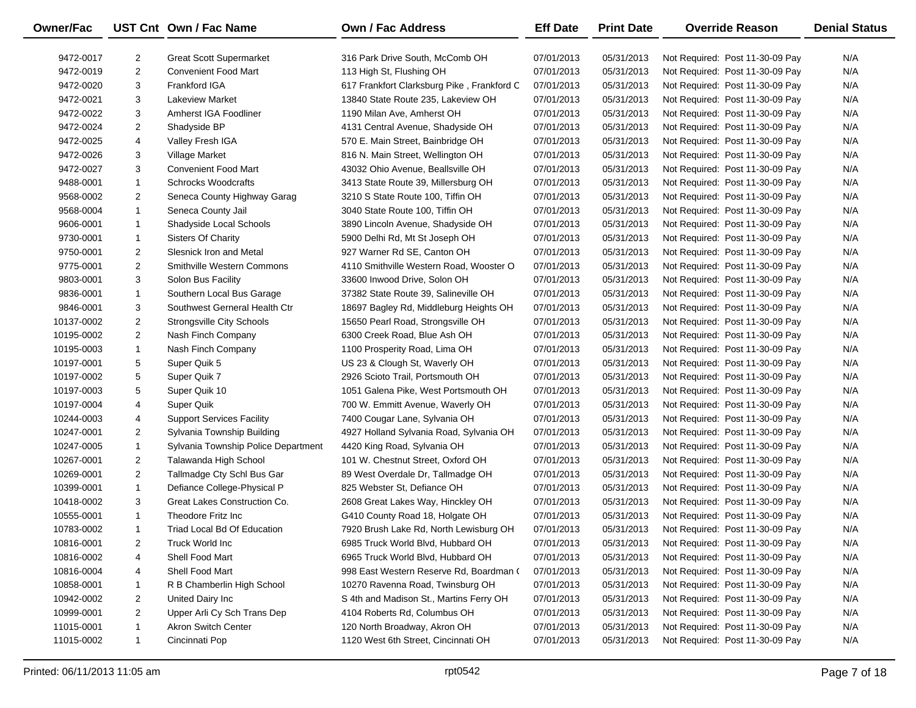| <b>Owner/Fac</b> |                | UST Cnt Own / Fac Name              | Own / Fac Address                          | <b>Eff Date</b> | <b>Print Date</b> | <b>Override Reason</b>          | <b>Denial Status</b> |
|------------------|----------------|-------------------------------------|--------------------------------------------|-----------------|-------------------|---------------------------------|----------------------|
| 9472-0017        | $\overline{2}$ | <b>Great Scott Supermarket</b>      | 316 Park Drive South, McComb OH            | 07/01/2013      | 05/31/2013        | Not Required: Post 11-30-09 Pay | N/A                  |
| 9472-0019        | $\overline{2}$ | <b>Convenient Food Mart</b>         | 113 High St, Flushing OH                   | 07/01/2013      | 05/31/2013        | Not Required: Post 11-30-09 Pay | N/A                  |
| 9472-0020        | 3              | Frankford IGA                       | 617 Frankfort Clarksburg Pike, Frankford C | 07/01/2013      | 05/31/2013        | Not Required: Post 11-30-09 Pay | N/A                  |
| 9472-0021        | 3              | <b>Lakeview Market</b>              | 13840 State Route 235, Lakeview OH         | 07/01/2013      | 05/31/2013        | Not Required: Post 11-30-09 Pay | N/A                  |
| 9472-0022        | 3              | Amherst IGA Foodliner               | 1190 Milan Ave, Amherst OH                 | 07/01/2013      | 05/31/2013        | Not Required: Post 11-30-09 Pay | N/A                  |
| 9472-0024        | $\overline{2}$ | Shadyside BP                        | 4131 Central Avenue, Shadyside OH          | 07/01/2013      | 05/31/2013        | Not Required: Post 11-30-09 Pay | N/A                  |
| 9472-0025        | 4              | Valley Fresh IGA                    | 570 E. Main Street, Bainbridge OH          | 07/01/2013      | 05/31/2013        | Not Required: Post 11-30-09 Pay | N/A                  |
| 9472-0026        | 3              | Village Market                      | 816 N. Main Street, Wellington OH          | 07/01/2013      | 05/31/2013        | Not Required: Post 11-30-09 Pay | N/A                  |
| 9472-0027        | 3              | <b>Convenient Food Mart</b>         | 43032 Ohio Avenue, Beallsville OH          | 07/01/2013      | 05/31/2013        | Not Required: Post 11-30-09 Pay | N/A                  |
| 9488-0001        | $\mathbf{1}$   | <b>Schrocks Woodcrafts</b>          | 3413 State Route 39, Millersburg OH        | 07/01/2013      | 05/31/2013        | Not Required: Post 11-30-09 Pay | N/A                  |
| 9568-0002        | $\overline{2}$ | Seneca County Highway Garag         | 3210 S State Route 100, Tiffin OH          | 07/01/2013      | 05/31/2013        | Not Required: Post 11-30-09 Pay | N/A                  |
| 9568-0004        | $\mathbf{1}$   | Seneca County Jail                  | 3040 State Route 100, Tiffin OH            | 07/01/2013      | 05/31/2013        | Not Required: Post 11-30-09 Pay | N/A                  |
| 9606-0001        | $\mathbf{1}$   | Shadyside Local Schools             | 3890 Lincoln Avenue, Shadyside OH          | 07/01/2013      | 05/31/2013        | Not Required: Post 11-30-09 Pay | N/A                  |
| 9730-0001        | $\mathbf{1}$   | Sisters Of Charity                  | 5900 Delhi Rd, Mt St Joseph OH             | 07/01/2013      | 05/31/2013        | Not Required: Post 11-30-09 Pay | N/A                  |
| 9750-0001        | $\overline{2}$ | Slesnick Iron and Metal             | 927 Warner Rd SE, Canton OH                | 07/01/2013      | 05/31/2013        | Not Required: Post 11-30-09 Pay | N/A                  |
| 9775-0001        | $\overline{2}$ | Smithville Western Commons          | 4110 Smithville Western Road, Wooster O    | 07/01/2013      | 05/31/2013        | Not Required: Post 11-30-09 Pay | N/A                  |
| 9803-0001        | 3              | Solon Bus Facility                  | 33600 Inwood Drive, Solon OH               | 07/01/2013      | 05/31/2013        | Not Required: Post 11-30-09 Pay | N/A                  |
| 9836-0001        | $\mathbf{1}$   | Southern Local Bus Garage           | 37382 State Route 39, Salineville OH       | 07/01/2013      | 05/31/2013        | Not Required: Post 11-30-09 Pay | N/A                  |
| 9846-0001        | 3              | Southwest Gerneral Health Ctr       | 18697 Bagley Rd, Middleburg Heights OH     | 07/01/2013      | 05/31/2013        | Not Required: Post 11-30-09 Pay | N/A                  |
| 10137-0002       | 2              | Strongsville City Schools           | 15650 Pearl Road, Strongsville OH          | 07/01/2013      | 05/31/2013        | Not Required: Post 11-30-09 Pay | N/A                  |
| 10195-0002       | $\overline{2}$ | Nash Finch Company                  | 6300 Creek Road, Blue Ash OH               | 07/01/2013      | 05/31/2013        | Not Required: Post 11-30-09 Pay | N/A                  |
| 10195-0003       | $\mathbf{1}$   | Nash Finch Company                  | 1100 Prosperity Road, Lima OH              | 07/01/2013      | 05/31/2013        | Not Required: Post 11-30-09 Pay | N/A                  |
| 10197-0001       | 5              | Super Quik 5                        | US 23 & Clough St, Waverly OH              | 07/01/2013      | 05/31/2013        | Not Required: Post 11-30-09 Pay | N/A                  |
| 10197-0002       | 5              | Super Quik 7                        | 2926 Scioto Trail, Portsmouth OH           | 07/01/2013      | 05/31/2013        | Not Required: Post 11-30-09 Pay | N/A                  |
| 10197-0003       | 5              | Super Quik 10                       | 1051 Galena Pike, West Portsmouth OH       | 07/01/2013      | 05/31/2013        | Not Required: Post 11-30-09 Pay | N/A                  |
| 10197-0004       | 4              | Super Quik                          | 700 W. Emmitt Avenue, Waverly OH           | 07/01/2013      | 05/31/2013        | Not Required: Post 11-30-09 Pay | N/A                  |
| 10244-0003       | 4              | <b>Support Services Facility</b>    | 7400 Cougar Lane, Sylvania OH              | 07/01/2013      | 05/31/2013        | Not Required: Post 11-30-09 Pay | N/A                  |
| 10247-0001       | $\overline{2}$ | Sylvania Township Building          | 4927 Holland Sylvania Road, Sylvania OH    | 07/01/2013      | 05/31/2013        | Not Required: Post 11-30-09 Pay | N/A                  |
| 10247-0005       | $\mathbf{1}$   | Sylvania Township Police Department | 4420 King Road, Sylvania OH                | 07/01/2013      | 05/31/2013        | Not Required: Post 11-30-09 Pay | N/A                  |
| 10267-0001       | $\overline{2}$ | Talawanda High School               | 101 W. Chestnut Street, Oxford OH          | 07/01/2013      | 05/31/2013        | Not Required: Post 11-30-09 Pay | N/A                  |
| 10269-0001       | $\overline{2}$ | Tallmadge Cty Schl Bus Gar          | 89 West Overdale Dr, Tallmadge OH          | 07/01/2013      | 05/31/2013        | Not Required: Post 11-30-09 Pay | N/A                  |
| 10399-0001       | $\mathbf{1}$   | Defiance College-Physical P         | 825 Webster St, Defiance OH                | 07/01/2013      | 05/31/2013        | Not Required: Post 11-30-09 Pay | N/A                  |
| 10418-0002       | 3              | Great Lakes Construction Co.        | 2608 Great Lakes Way, Hinckley OH          | 07/01/2013      | 05/31/2013        | Not Required: Post 11-30-09 Pay | N/A                  |
| 10555-0001       | $\mathbf{1}$   | Theodore Fritz Inc                  | G410 County Road 18, Holgate OH            | 07/01/2013      | 05/31/2013        | Not Required: Post 11-30-09 Pay | N/A                  |
| 10783-0002       | $\mathbf{1}$   | Triad Local Bd Of Education         | 7920 Brush Lake Rd, North Lewisburg OH     | 07/01/2013      | 05/31/2013        | Not Required: Post 11-30-09 Pay | N/A                  |
| 10816-0001       | 2              | Truck World Inc                     | 6985 Truck World Blvd, Hubbard OH          | 07/01/2013      | 05/31/2013        | Not Required: Post 11-30-09 Pay | N/A                  |
| 10816-0002       | 4              | Shell Food Mart                     | 6965 Truck World Blvd, Hubbard OH          | 07/01/2013      | 05/31/2013        | Not Required: Post 11-30-09 Pay | N/A                  |
| 10816-0004       | 4              | Shell Food Mart                     | 998 East Western Reserve Rd, Boardman (    | 07/01/2013      | 05/31/2013        | Not Required: Post 11-30-09 Pay | N/A                  |
| 10858-0001       | 1              | R B Chamberlin High School          | 10270 Ravenna Road, Twinsburg OH           | 07/01/2013      | 05/31/2013        | Not Required: Post 11-30-09 Pay | N/A                  |
| 10942-0002       | 2              | United Dairy Inc                    | S 4th and Madison St., Martins Ferry OH    | 07/01/2013      | 05/31/2013        | Not Required: Post 11-30-09 Pay | N/A                  |
| 10999-0001       | $\overline{2}$ | Upper Arli Cy Sch Trans Dep         | 4104 Roberts Rd, Columbus OH               | 07/01/2013      | 05/31/2013        | Not Required: Post 11-30-09 Pay | N/A                  |
| 11015-0001       | $\mathbf{1}$   | <b>Akron Switch Center</b>          | 120 North Broadway, Akron OH               | 07/01/2013      | 05/31/2013        | Not Required: Post 11-30-09 Pay | N/A                  |
| 11015-0002       | $\mathbf{1}$   | Cincinnati Pop                      | 1120 West 6th Street, Cincinnati OH        | 07/01/2013      | 05/31/2013        | Not Required: Post 11-30-09 Pay | N/A                  |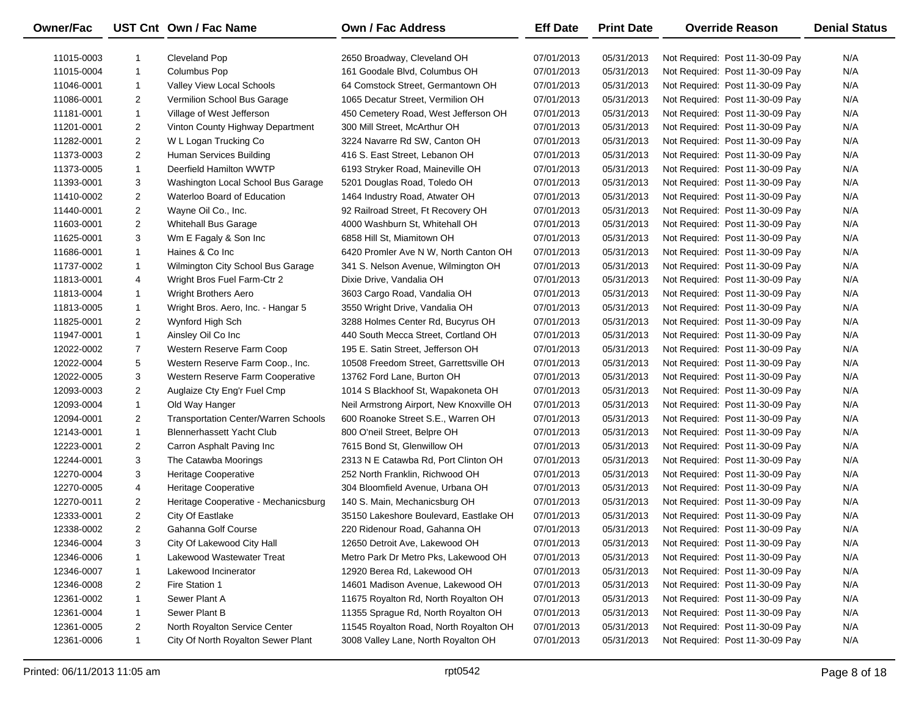| Owner/Fac  |                | UST Cnt Own / Fac Name                      | Own / Fac Address                        | <b>Eff Date</b> | <b>Print Date</b> | <b>Override Reason</b>          | <b>Denial Status</b> |
|------------|----------------|---------------------------------------------|------------------------------------------|-----------------|-------------------|---------------------------------|----------------------|
| 11015-0003 | -1             | Cleveland Pop                               | 2650 Broadway, Cleveland OH              | 07/01/2013      | 05/31/2013        | Not Required: Post 11-30-09 Pay | N/A                  |
| 11015-0004 | $\mathbf{1}$   | <b>Columbus Pop</b>                         | 161 Goodale Blvd, Columbus OH            | 07/01/2013      | 05/31/2013        | Not Required: Post 11-30-09 Pay | N/A                  |
| 11046-0001 | $\mathbf{1}$   | Valley View Local Schools                   | 64 Comstock Street, Germantown OH        | 07/01/2013      | 05/31/2013        | Not Required: Post 11-30-09 Pay | N/A                  |
| 11086-0001 | $\overline{2}$ | Vermilion School Bus Garage                 | 1065 Decatur Street, Vermilion OH        | 07/01/2013      | 05/31/2013        | Not Required: Post 11-30-09 Pay | N/A                  |
| 11181-0001 | $\mathbf{1}$   | Village of West Jefferson                   | 450 Cemetery Road, West Jefferson OH     | 07/01/2013      | 05/31/2013        | Not Required: Post 11-30-09 Pay | N/A                  |
| 11201-0001 | $\overline{2}$ | Vinton County Highway Department            | 300 Mill Street, McArthur OH             | 07/01/2013      | 05/31/2013        | Not Required: Post 11-30-09 Pay | N/A                  |
| 11282-0001 | $\overline{2}$ | W L Logan Trucking Co                       | 3224 Navarre Rd SW, Canton OH            | 07/01/2013      | 05/31/2013        | Not Required: Post 11-30-09 Pay | N/A                  |
| 11373-0003 | $\overline{2}$ | Human Services Building                     | 416 S. East Street, Lebanon OH           | 07/01/2013      | 05/31/2013        | Not Required: Post 11-30-09 Pay | N/A                  |
| 11373-0005 | $\mathbf{1}$   | Deerfield Hamilton WWTP                     | 6193 Stryker Road, Maineville OH         | 07/01/2013      | 05/31/2013        | Not Required: Post 11-30-09 Pay | N/A                  |
| 11393-0001 | 3              | Washington Local School Bus Garage          | 5201 Douglas Road, Toledo OH             | 07/01/2013      | 05/31/2013        | Not Required: Post 11-30-09 Pay | N/A                  |
| 11410-0002 | $\overline{2}$ | Waterloo Board of Education                 | 1464 Industry Road, Atwater OH           | 07/01/2013      | 05/31/2013        | Not Required: Post 11-30-09 Pay | N/A                  |
| 11440-0001 | $\overline{2}$ | Wayne Oil Co., Inc.                         | 92 Railroad Street, Ft Recovery OH       | 07/01/2013      | 05/31/2013        | Not Required: Post 11-30-09 Pay | N/A                  |
| 11603-0001 | $\overline{2}$ | <b>Whitehall Bus Garage</b>                 | 4000 Washburn St, Whitehall OH           | 07/01/2013      | 05/31/2013        | Not Required: Post 11-30-09 Pay | N/A                  |
| 11625-0001 | 3              | Wm E Fagaly & Son Inc                       | 6858 Hill St, Miamitown OH               | 07/01/2013      | 05/31/2013        | Not Required: Post 11-30-09 Pay | N/A                  |
| 11686-0001 | $\mathbf{1}$   | Haines & Co Inc                             | 6420 Promler Ave N W, North Canton OH    | 07/01/2013      | 05/31/2013        | Not Required: Post 11-30-09 Pay | N/A                  |
| 11737-0002 | $\mathbf{1}$   | Wilmington City School Bus Garage           | 341 S. Nelson Avenue, Wilmington OH      | 07/01/2013      | 05/31/2013        | Not Required: Post 11-30-09 Pay | N/A                  |
| 11813-0001 | 4              | Wright Bros Fuel Farm-Ctr 2                 | Dixie Drive, Vandalia OH                 | 07/01/2013      | 05/31/2013        | Not Required: Post 11-30-09 Pay | N/A                  |
| 11813-0004 | $\mathbf{1}$   | Wright Brothers Aero                        | 3603 Cargo Road, Vandalia OH             | 07/01/2013      | 05/31/2013        | Not Required: Post 11-30-09 Pay | N/A                  |
| 11813-0005 | $\mathbf{1}$   | Wright Bros. Aero, Inc. - Hangar 5          | 3550 Wright Drive, Vandalia OH           | 07/01/2013      | 05/31/2013        | Not Required: Post 11-30-09 Pay | N/A                  |
| 11825-0001 | $\overline{2}$ | Wynford High Sch                            | 3288 Holmes Center Rd, Bucyrus OH        | 07/01/2013      | 05/31/2013        | Not Required: Post 11-30-09 Pay | N/A                  |
| 11947-0001 | $\mathbf{1}$   | Ainsley Oil Co Inc                          | 440 South Mecca Street, Cortland OH      | 07/01/2013      | 05/31/2013        | Not Required: Post 11-30-09 Pay | N/A                  |
| 12022-0002 | $\overline{7}$ | Western Reserve Farm Coop                   | 195 E. Satin Street, Jefferson OH        | 07/01/2013      | 05/31/2013        | Not Required: Post 11-30-09 Pay | N/A                  |
| 12022-0004 | 5              | Western Reserve Farm Coop., Inc.            | 10508 Freedom Street, Garrettsville OH   | 07/01/2013      | 05/31/2013        | Not Required: Post 11-30-09 Pay | N/A                  |
| 12022-0005 | 3              | Western Reserve Farm Cooperative            | 13762 Ford Lane, Burton OH               | 07/01/2013      | 05/31/2013        | Not Required: Post 11-30-09 Pay | N/A                  |
| 12093-0003 | $\overline{2}$ | Auglaize Cty Eng'r Fuel Cmp                 | 1014 S Blackhoof St, Wapakoneta OH       | 07/01/2013      | 05/31/2013        | Not Required: Post 11-30-09 Pay | N/A                  |
| 12093-0004 | $\mathbf{1}$   | Old Way Hanger                              | Neil Armstrong Airport, New Knoxville OH | 07/01/2013      | 05/31/2013        | Not Required: Post 11-30-09 Pay | N/A                  |
| 12094-0001 | $\overline{2}$ | <b>Transportation Center/Warren Schools</b> | 600 Roanoke Street S.E., Warren OH       | 07/01/2013      | 05/31/2013        | Not Required: Post 11-30-09 Pay | N/A                  |
| 12143-0001 | $\mathbf{1}$   | <b>Blennerhassett Yacht Club</b>            | 800 O'neil Street, Belpre OH             | 07/01/2013      | 05/31/2013        | Not Required: Post 11-30-09 Pay | N/A                  |
| 12223-0001 | $\overline{2}$ | Carron Asphalt Paving Inc                   | 7615 Bond St, Glenwillow OH              | 07/01/2013      | 05/31/2013        | Not Required: Post 11-30-09 Pay | N/A                  |
| 12244-0001 | 3              | The Catawba Moorings                        | 2313 N E Catawba Rd, Port Clinton OH     | 07/01/2013      | 05/31/2013        | Not Required: Post 11-30-09 Pay | N/A                  |
| 12270-0004 | 3              | Heritage Cooperative                        | 252 North Franklin, Richwood OH          | 07/01/2013      | 05/31/2013        | Not Required: Post 11-30-09 Pay | N/A                  |
| 12270-0005 | 4              | Heritage Cooperative                        | 304 Bloomfield Avenue, Urbana OH         | 07/01/2013      | 05/31/2013        | Not Required: Post 11-30-09 Pay | N/A                  |
| 12270-0011 | $\overline{2}$ | Heritage Cooperative - Mechanicsburg        | 140 S. Main, Mechanicsburg OH            | 07/01/2013      | 05/31/2013        | Not Required: Post 11-30-09 Pay | N/A                  |
| 12333-0001 | $\overline{2}$ | City Of Eastlake                            | 35150 Lakeshore Boulevard, Eastlake OH   | 07/01/2013      | 05/31/2013        | Not Required: Post 11-30-09 Pay | N/A                  |
| 12338-0002 | $\overline{2}$ | Gahanna Golf Course                         | 220 Ridenour Road, Gahanna OH            | 07/01/2013      | 05/31/2013        | Not Required: Post 11-30-09 Pay | N/A                  |
| 12346-0004 | 3              | City Of Lakewood City Hall                  | 12650 Detroit Ave, Lakewood OH           | 07/01/2013      | 05/31/2013        | Not Required: Post 11-30-09 Pay | N/A                  |
| 12346-0006 | -1             | Lakewood Wastewater Treat                   | Metro Park Dr Metro Pks, Lakewood OH     | 07/01/2013      | 05/31/2013        | Not Required: Post 11-30-09 Pay | N/A                  |
| 12346-0007 | 1              | Lakewood Incinerator                        | 12920 Berea Rd, Lakewood OH              | 07/01/2013      | 05/31/2013        | Not Required: Post 11-30-09 Pay | N/A                  |
| 12346-0008 | 2              | Fire Station 1                              | 14601 Madison Avenue, Lakewood OH        | 07/01/2013      | 05/31/2013        | Not Required: Post 11-30-09 Pay | N/A                  |
| 12361-0002 | 1              | Sewer Plant A                               | 11675 Royalton Rd, North Royalton OH     | 07/01/2013      | 05/31/2013        | Not Required: Post 11-30-09 Pay | N/A                  |
| 12361-0004 | 1              | Sewer Plant B                               | 11355 Sprague Rd, North Royalton OH      | 07/01/2013      | 05/31/2013        | Not Required: Post 11-30-09 Pay | N/A                  |
| 12361-0005 | 2              | North Royalton Service Center               | 11545 Royalton Road, North Royalton OH   | 07/01/2013      | 05/31/2013        | Not Required: Post 11-30-09 Pay | N/A                  |
| 12361-0006 | $\mathbf{1}$   | City Of North Royalton Sewer Plant          | 3008 Valley Lane, North Royalton OH      | 07/01/2013      | 05/31/2013        | Not Required: Post 11-30-09 Pay | N/A                  |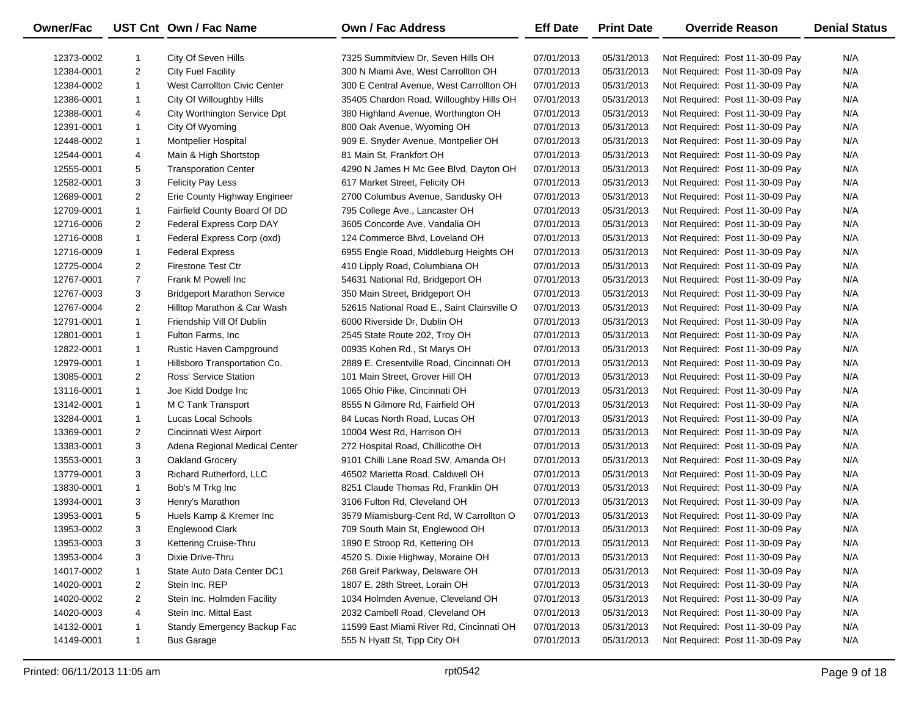| Owner/Fac  |                | UST Cnt Own / Fac Name             | Own / Fac Address                           | <b>Eff Date</b> | <b>Print Date</b> | <b>Override Reason</b>          | <b>Denial Status</b> |
|------------|----------------|------------------------------------|---------------------------------------------|-----------------|-------------------|---------------------------------|----------------------|
| 12373-0002 |                | City Of Seven Hills                | 7325 Summitview Dr, Seven Hills OH          | 07/01/2013      | 05/31/2013        | Not Required: Post 11-30-09 Pay | N/A                  |
| 12384-0001 | $\overline{2}$ | <b>City Fuel Facility</b>          | 300 N Miami Ave, West Carrollton OH         | 07/01/2013      | 05/31/2013        | Not Required: Post 11-30-09 Pay | N/A                  |
| 12384-0002 | $\mathbf{1}$   | West Carrollton Civic Center       | 300 E Central Avenue, West Carrollton OH    | 07/01/2013      | 05/31/2013        | Not Required: Post 11-30-09 Pay | N/A                  |
| 12386-0001 | $\mathbf{1}$   | City Of Willoughby Hills           | 35405 Chardon Road, Willoughby Hills OH     | 07/01/2013      | 05/31/2013        | Not Required: Post 11-30-09 Pay | N/A                  |
| 12388-0001 | 4              | City Worthington Service Dpt       | 380 Highland Avenue, Worthington OH         | 07/01/2013      | 05/31/2013        | Not Required: Post 11-30-09 Pay | N/A                  |
| 12391-0001 | $\mathbf{1}$   | City Of Wyoming                    | 800 Oak Avenue, Wyoming OH                  | 07/01/2013      | 05/31/2013        | Not Required: Post 11-30-09 Pay | N/A                  |
| 12448-0002 | $\mathbf{1}$   | <b>Montpelier Hospital</b>         | 909 E. Snyder Avenue, Montpelier OH         | 07/01/2013      | 05/31/2013        | Not Required: Post 11-30-09 Pay | N/A                  |
| 12544-0001 | 4              | Main & High Shortstop              | 81 Main St, Frankfort OH                    | 07/01/2013      | 05/31/2013        | Not Required: Post 11-30-09 Pay | N/A                  |
| 12555-0001 | 5              | <b>Transporation Center</b>        | 4290 N James H Mc Gee Blvd, Dayton OH       | 07/01/2013      | 05/31/2013        | Not Required: Post 11-30-09 Pay | N/A                  |
| 12582-0001 | 3              | <b>Felicity Pay Less</b>           | 617 Market Street, Felicity OH              | 07/01/2013      | 05/31/2013        | Not Required: Post 11-30-09 Pay | N/A                  |
| 12689-0001 | $\overline{2}$ | Erie County Highway Engineer       | 2700 Columbus Avenue, Sandusky OH           | 07/01/2013      | 05/31/2013        | Not Required: Post 11-30-09 Pay | N/A                  |
| 12709-0001 | $\mathbf{1}$   | Fairfield County Board Of DD       | 795 College Ave., Lancaster OH              | 07/01/2013      | 05/31/2013        | Not Required: Post 11-30-09 Pay | N/A                  |
| 12716-0006 | $\overline{2}$ | Federal Express Corp DAY           | 3605 Concorde Ave, Vandalia OH              | 07/01/2013      | 05/31/2013        | Not Required: Post 11-30-09 Pay | N/A                  |
| 12716-0008 | $\mathbf{1}$   | Federal Express Corp (oxd)         | 124 Commerce Blvd, Loveland OH              | 07/01/2013      | 05/31/2013        | Not Required: Post 11-30-09 Pay | N/A                  |
| 12716-0009 | $\mathbf{1}$   | <b>Federal Express</b>             | 6955 Engle Road, Middleburg Heights OH      | 07/01/2013      | 05/31/2013        | Not Required: Post 11-30-09 Pay | N/A                  |
| 12725-0004 | $\overline{2}$ | <b>Firestone Test Ctr</b>          | 410 Lipply Road, Columbiana OH              | 07/01/2013      | 05/31/2013        | Not Required: Post 11-30-09 Pay | N/A                  |
| 12767-0001 | $\overline{7}$ | Frank M Powell Inc                 | 54631 National Rd, Bridgeport OH            | 07/01/2013      | 05/31/2013        | Not Required: Post 11-30-09 Pay | N/A                  |
| 12767-0003 | 3              | <b>Bridgeport Marathon Service</b> | 350 Main Street, Bridgeport OH              | 07/01/2013      | 05/31/2013        | Not Required: Post 11-30-09 Pay | N/A                  |
| 12767-0004 | $\overline{2}$ | Hilltop Marathon & Car Wash        | 52615 National Road E., Saint Clairsville O | 07/01/2013      | 05/31/2013        | Not Required: Post 11-30-09 Pay | N/A                  |
| 12791-0001 | $\mathbf{1}$   | Friendship Vill Of Dublin          | 6000 Riverside Dr, Dublin OH                | 07/01/2013      | 05/31/2013        | Not Required: Post 11-30-09 Pay | N/A                  |
| 12801-0001 | $\mathbf{1}$   | Fulton Farms, Inc.                 | 2545 State Route 202, Troy OH               | 07/01/2013      | 05/31/2013        | Not Required: Post 11-30-09 Pay | N/A                  |
| 12822-0001 | $\mathbf{1}$   | Rustic Haven Campground            | 00935 Kohen Rd., St Marys OH                | 07/01/2013      | 05/31/2013        | Not Required: Post 11-30-09 Pay | N/A                  |
| 12979-0001 | $\mathbf{1}$   | Hillsboro Transportation Co.       | 2889 E. Cresentville Road, Cincinnati OH    | 07/01/2013      | 05/31/2013        | Not Required: Post 11-30-09 Pay | N/A                  |
| 13085-0001 | $\overline{2}$ | Ross' Service Station              | 101 Main Street, Grover Hill OH             | 07/01/2013      | 05/31/2013        | Not Required: Post 11-30-09 Pay | N/A                  |
| 13116-0001 | $\mathbf{1}$   | Joe Kidd Dodge Inc                 | 1065 Ohio Pike, Cincinnati OH               | 07/01/2013      | 05/31/2013        | Not Required: Post 11-30-09 Pay | N/A                  |
| 13142-0001 | $\mathbf{1}$   | M C Tank Transport                 | 8555 N Gilmore Rd, Fairfield OH             | 07/01/2013      | 05/31/2013        | Not Required: Post 11-30-09 Pay | N/A                  |
| 13284-0001 | $\mathbf{1}$   | Lucas Local Schools                | 84 Lucas North Road, Lucas OH               | 07/01/2013      | 05/31/2013        | Not Required: Post 11-30-09 Pay | N/A                  |
| 13369-0001 | 2              | Cincinnati West Airport            | 10004 West Rd, Harrison OH                  | 07/01/2013      | 05/31/2013        | Not Required: Post 11-30-09 Pay | N/A                  |
| 13383-0001 | 3              | Adena Regional Medical Center      | 272 Hospital Road, Chillicothe OH           | 07/01/2013      | 05/31/2013        | Not Required: Post 11-30-09 Pay | N/A                  |
| 13553-0001 | 3              | Oakland Grocery                    | 9101 Chilli Lane Road SW, Amanda OH         | 07/01/2013      | 05/31/2013        | Not Required: Post 11-30-09 Pay | N/A                  |
| 13779-0001 | 3              | Richard Rutherford, LLC            | 46502 Marietta Road, Caldwell OH            | 07/01/2013      | 05/31/2013        | Not Required: Post 11-30-09 Pay | N/A                  |
| 13830-0001 | $\mathbf{1}$   | Bob's M Trkg Inc                   | 8251 Claude Thomas Rd, Franklin OH          | 07/01/2013      | 05/31/2013        | Not Required: Post 11-30-09 Pay | N/A                  |
| 13934-0001 | 3              | Henry's Marathon                   | 3106 Fulton Rd, Cleveland OH                | 07/01/2013      | 05/31/2013        | Not Required: Post 11-30-09 Pay | N/A                  |
| 13953-0001 | 5              | Huels Kamp & Kremer Inc            | 3579 Miamisburg-Cent Rd, W Carrollton O     | 07/01/2013      | 05/31/2013        | Not Required: Post 11-30-09 Pay | N/A                  |
| 13953-0002 | 3              | Englewood Clark                    | 709 South Main St, Englewood OH             | 07/01/2013      | 05/31/2013        | Not Required: Post 11-30-09 Pay | N/A                  |
| 13953-0003 | 3              | Kettering Cruise-Thru              | 1890 E Stroop Rd, Kettering OH              | 07/01/2013      | 05/31/2013        | Not Required: Post 11-30-09 Pay | N/A                  |
| 13953-0004 | 3              | Dixie Drive-Thru                   | 4520 S. Dixie Highway, Moraine OH           | 07/01/2013      | 05/31/2013        | Not Required: Post 11-30-09 Pay | N/A                  |
| 14017-0002 | 1              | State Auto Data Center DC1         | 268 Greif Parkway, Delaware OH              | 07/01/2013      | 05/31/2013        | Not Required: Post 11-30-09 Pay | N/A                  |
| 14020-0001 | 2              | Stein Inc. REP                     | 1807 E. 28th Street, Lorain OH              | 07/01/2013      | 05/31/2013        | Not Required: Post 11-30-09 Pay | N/A                  |
| 14020-0002 | $\overline{2}$ | Stein Inc. Holmden Facility        | 1034 Holmden Avenue, Cleveland OH           | 07/01/2013      | 05/31/2013        | Not Required: Post 11-30-09 Pay | N/A                  |
| 14020-0003 | 4              | Stein Inc. Mittal East             | 2032 Cambell Road, Cleveland OH             | 07/01/2013      | 05/31/2013        | Not Required: Post 11-30-09 Pay | N/A                  |
| 14132-0001 | 1              | Standy Emergency Backup Fac        | 11599 East Miami River Rd, Cincinnati OH    | 07/01/2013      | 05/31/2013        | Not Required: Post 11-30-09 Pay | N/A                  |
| 14149-0001 | $\mathbf{1}$   | <b>Bus Garage</b>                  | 555 N Hyatt St, Tipp City OH                | 07/01/2013      | 05/31/2013        | Not Required: Post 11-30-09 Pay | N/A                  |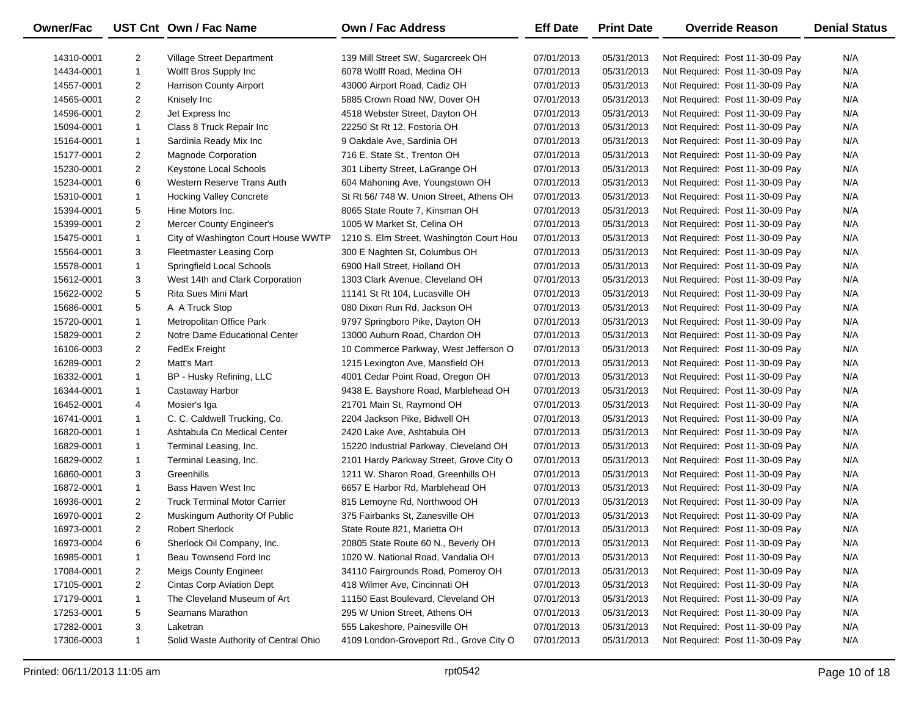| Owner/Fac  |                | UST Cnt Own / Fac Name                | Own / Fac Address                        | <b>Eff Date</b> | <b>Print Date</b> | <b>Override Reason</b>          | <b>Denial Status</b> |
|------------|----------------|---------------------------------------|------------------------------------------|-----------------|-------------------|---------------------------------|----------------------|
| 14310-0001 | 2              | Village Street Department             | 139 Mill Street SW, Sugarcreek OH        | 07/01/2013      | 05/31/2013        | Not Required: Post 11-30-09 Pay | N/A                  |
| 14434-0001 | $\mathbf{1}$   | Wolff Bros Supply Inc                 | 6078 Wolff Road, Medina OH               | 07/01/2013      | 05/31/2013        | Not Required: Post 11-30-09 Pay | N/A                  |
| 14557-0001 | $\overline{2}$ | <b>Harrison County Airport</b>        | 43000 Airport Road, Cadiz OH             | 07/01/2013      | 05/31/2013        | Not Required: Post 11-30-09 Pay | N/A                  |
| 14565-0001 | $\overline{2}$ | Knisely Inc                           | 5885 Crown Road NW, Dover OH             | 07/01/2013      | 05/31/2013        | Not Required: Post 11-30-09 Pay | N/A                  |
| 14596-0001 | $\overline{2}$ | Jet Express Inc                       | 4518 Webster Street, Dayton OH           | 07/01/2013      | 05/31/2013        | Not Required: Post 11-30-09 Pay | N/A                  |
| 15094-0001 | $\mathbf{1}$   | Class 8 Truck Repair Inc              | 22250 St Rt 12, Fostoria OH              | 07/01/2013      | 05/31/2013        | Not Required: Post 11-30-09 Pay | N/A                  |
| 15164-0001 | $\mathbf{1}$   | Sardinia Ready Mix Inc                | 9 Oakdale Ave, Sardinia OH               | 07/01/2013      | 05/31/2013        | Not Required: Post 11-30-09 Pay | N/A                  |
| 15177-0001 | 2              | <b>Magnode Corporation</b>            | 716 E. State St., Trenton OH             | 07/01/2013      | 05/31/2013        | Not Required: Post 11-30-09 Pay | N/A                  |
| 15230-0001 | 2              | Keystone Local Schools                | 301 Liberty Street, LaGrange OH          | 07/01/2013      | 05/31/2013        | Not Required: Post 11-30-09 Pay | N/A                  |
| 15234-0001 | 6              | Western Reserve Trans Auth            | 604 Mahoning Ave, Youngstown OH          | 07/01/2013      | 05/31/2013        | Not Required: Post 11-30-09 Pay | N/A                  |
| 15310-0001 | $\mathbf{1}$   | <b>Hocking Valley Concrete</b>        | St Rt 56/748 W. Union Street, Athens OH  | 07/01/2013      | 05/31/2013        | Not Required: Post 11-30-09 Pay | N/A                  |
| 15394-0001 | 5              | Hine Motors Inc.                      | 8065 State Route 7, Kinsman OH           | 07/01/2013      | 05/31/2013        | Not Required: Post 11-30-09 Pay | N/A                  |
| 15399-0001 | $\overline{2}$ | Mercer County Engineer's              | 1005 W Market St, Celina OH              | 07/01/2013      | 05/31/2013        | Not Required: Post 11-30-09 Pay | N/A                  |
| 15475-0001 | $\mathbf{1}$   | City of Washington Court House WWTP   | 1210 S. Elm Street, Washington Court Hou | 07/01/2013      | 05/31/2013        | Not Required: Post 11-30-09 Pay | N/A                  |
| 15564-0001 | 3              | <b>Fleetmaster Leasing Corp</b>       | 300 E Naghten St, Columbus OH            | 07/01/2013      | 05/31/2013        | Not Required: Post 11-30-09 Pay | N/A                  |
| 15578-0001 | $\mathbf{1}$   | Springfield Local Schools             | 6900 Hall Street, Holland OH             | 07/01/2013      | 05/31/2013        | Not Required: Post 11-30-09 Pay | N/A                  |
| 15612-0001 | 3              | West 14th and Clark Corporation       | 1303 Clark Avenue, Cleveland OH          | 07/01/2013      | 05/31/2013        | Not Required: Post 11-30-09 Pay | N/A                  |
| 15622-0002 | 5              | Rita Sues Mini Mart                   | 11141 St Rt 104, Lucasville OH           | 07/01/2013      | 05/31/2013        | Not Required: Post 11-30-09 Pay | N/A                  |
| 15686-0001 | 5              | A A Truck Stop                        | 080 Dixon Run Rd, Jackson OH             | 07/01/2013      | 05/31/2013        | Not Required: Post 11-30-09 Pay | N/A                  |
| 15720-0001 | $\mathbf{1}$   | Metropolitan Office Park              | 9797 Springboro Pike, Dayton OH          | 07/01/2013      | 05/31/2013        | Not Required: Post 11-30-09 Pay | N/A                  |
| 15829-0001 | $\overline{2}$ | Notre Dame Educational Center         | 13000 Auburn Road, Chardon OH            | 07/01/2013      | 05/31/2013        | Not Required: Post 11-30-09 Pay | N/A                  |
| 16106-0003 | 2              | FedEx Freight                         | 10 Commerce Parkway, West Jefferson O    | 07/01/2013      | 05/31/2013        | Not Required: Post 11-30-09 Pay | N/A                  |
| 16289-0001 | $\overline{2}$ | Matt's Mart                           | 1215 Lexington Ave, Mansfield OH         | 07/01/2013      | 05/31/2013        | Not Required: Post 11-30-09 Pay | N/A                  |
| 16332-0001 | $\mathbf{1}$   | BP - Husky Refining, LLC              | 4001 Cedar Point Road, Oregon OH         | 07/01/2013      | 05/31/2013        | Not Required: Post 11-30-09 Pay | N/A                  |
| 16344-0001 | $\mathbf{1}$   | Castaway Harbor                       | 9438 E. Bayshore Road, Marblehead OH     | 07/01/2013      | 05/31/2013        | Not Required: Post 11-30-09 Pay | N/A                  |
| 16452-0001 | 4              | Mosier's Iga                          | 21701 Main St, Raymond OH                | 07/01/2013      | 05/31/2013        | Not Required: Post 11-30-09 Pay | N/A                  |
| 16741-0001 | 1              | C. C. Caldwell Trucking, Co.          | 2204 Jackson Pike, Bidwell OH            | 07/01/2013      | 05/31/2013        | Not Required: Post 11-30-09 Pay | N/A                  |
| 16820-0001 | $\mathbf{1}$   | Ashtabula Co Medical Center           | 2420 Lake Ave, Ashtabula OH              | 07/01/2013      | 05/31/2013        | Not Required: Post 11-30-09 Pay | N/A                  |
| 16829-0001 | $\mathbf{1}$   | Terminal Leasing, Inc.                | 15220 Industrial Parkway, Cleveland OH   | 07/01/2013      | 05/31/2013        | Not Required: Post 11-30-09 Pay | N/A                  |
| 16829-0002 | $\mathbf{1}$   | Terminal Leasing, Inc.                | 2101 Hardy Parkway Street, Grove City O  | 07/01/2013      | 05/31/2013        | Not Required: Post 11-30-09 Pay | N/A                  |
| 16860-0001 | 3              | Greenhills                            | 1211 W. Sharon Road, Greenhills OH       | 07/01/2013      | 05/31/2013        | Not Required: Post 11-30-09 Pay | N/A                  |
| 16872-0001 | $\mathbf{1}$   | Bass Haven West Inc                   | 6657 E Harbor Rd, Marblehead OH          | 07/01/2013      | 05/31/2013        | Not Required: Post 11-30-09 Pay | N/A                  |
| 16936-0001 | $\overline{2}$ | <b>Truck Terminal Motor Carrier</b>   | 815 Lemoyne Rd, Northwood OH             | 07/01/2013      | 05/31/2013        | Not Required: Post 11-30-09 Pay | N/A                  |
| 16970-0001 | $\overline{2}$ | Muskingum Authority Of Public         | 375 Fairbanks St, Zanesville OH          | 07/01/2013      | 05/31/2013        | Not Required: Post 11-30-09 Pay | N/A                  |
| 16973-0001 | $\overline{2}$ | <b>Robert Sherlock</b>                | State Route 821, Marietta OH             | 07/01/2013      | 05/31/2013        | Not Required: Post 11-30-09 Pay | N/A                  |
| 16973-0004 | 6              | Sherlock Oil Company, Inc.            | 20805 State Route 60 N., Beverly OH      | 07/01/2013      | 05/31/2013        | Not Required: Post 11-30-09 Pay | N/A                  |
| 16985-0001 | 1              | Beau Townsend Ford Inc                | 1020 W. National Road, Vandalia OH       | 07/01/2013      | 05/31/2013        | Not Required: Post 11-30-09 Pay | N/A                  |
| 17084-0001 | $\overline{c}$ | <b>Meigs County Engineer</b>          | 34110 Fairgrounds Road, Pomeroy OH       | 07/01/2013      | 05/31/2013        | Not Required: Post 11-30-09 Pay | N/A                  |
| 17105-0001 | 2              | <b>Cintas Corp Aviation Dept</b>      | 418 Wilmer Ave, Cincinnati OH            | 07/01/2013      | 05/31/2013        | Not Required: Post 11-30-09 Pay | N/A                  |
| 17179-0001 | $\mathbf{1}$   | The Cleveland Museum of Art           | 11150 East Boulevard, Cleveland OH       | 07/01/2013      | 05/31/2013        | Not Required: Post 11-30-09 Pay | N/A                  |
| 17253-0001 | 5              | Seamans Marathon                      | 295 W Union Street, Athens OH            | 07/01/2013      | 05/31/2013        | Not Required: Post 11-30-09 Pay | N/A                  |
| 17282-0001 | 3              | Laketran                              | 555 Lakeshore, Painesville OH            | 07/01/2013      | 05/31/2013        | Not Required: Post 11-30-09 Pay | N/A                  |
| 17306-0003 | $\mathbf{1}$   | Solid Waste Authority of Central Ohio | 4109 London-Groveport Rd., Grove City O  | 07/01/2013      | 05/31/2013        | Not Required: Post 11-30-09 Pay | N/A                  |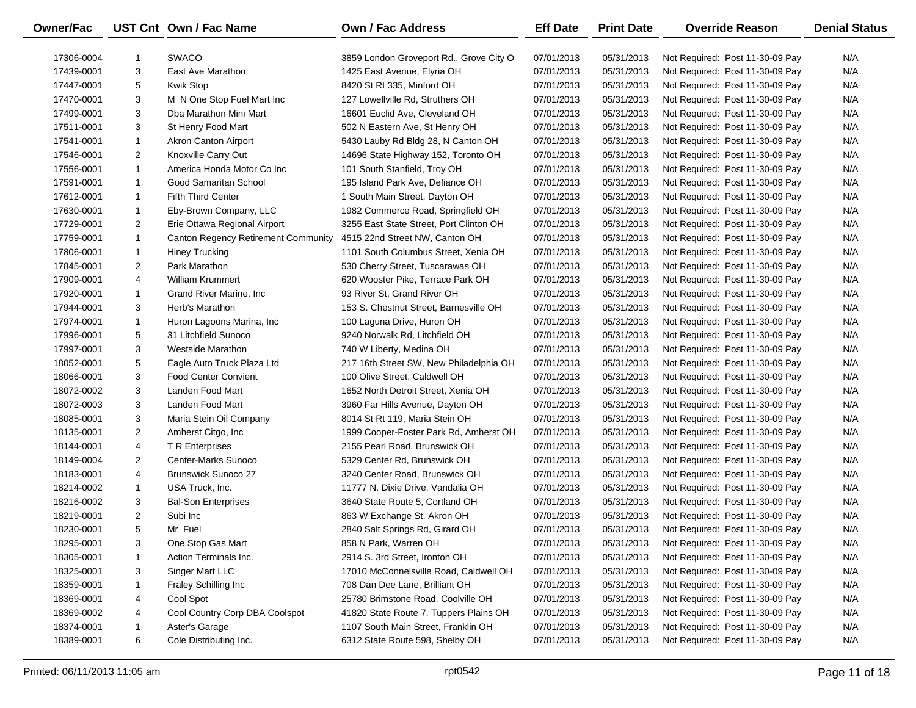| <b>Owner/Fac</b> |                | UST Cnt Own / Fac Name              | Own / Fac Address                       | <b>Eff Date</b> | <b>Print Date</b> | <b>Override Reason</b>          | <b>Denial Status</b> |
|------------------|----------------|-------------------------------------|-----------------------------------------|-----------------|-------------------|---------------------------------|----------------------|
| 17306-0004       | -1             | <b>SWACO</b>                        | 3859 London Groveport Rd., Grove City O | 07/01/2013      | 05/31/2013        | Not Required: Post 11-30-09 Pay | N/A                  |
| 17439-0001       | 3              | East Ave Marathon                   | 1425 East Avenue, Elyria OH             | 07/01/2013      | 05/31/2013        | Not Required: Post 11-30-09 Pay | N/A                  |
| 17447-0001       | 5              | Kwik Stop                           | 8420 St Rt 335, Minford OH              | 07/01/2013      | 05/31/2013        | Not Required: Post 11-30-09 Pay | N/A                  |
| 17470-0001       | 3              | M N One Stop Fuel Mart Inc          | 127 Lowellville Rd, Struthers OH        | 07/01/2013      | 05/31/2013        | Not Required: Post 11-30-09 Pay | N/A                  |
| 17499-0001       | 3              | Dba Marathon Mini Mart              | 16601 Euclid Ave, Cleveland OH          | 07/01/2013      | 05/31/2013        | Not Required: Post 11-30-09 Pay | N/A                  |
| 17511-0001       | 3              | St Henry Food Mart                  | 502 N Eastern Ave, St Henry OH          | 07/01/2013      | 05/31/2013        | Not Required: Post 11-30-09 Pay | N/A                  |
| 17541-0001       | $\mathbf{1}$   | <b>Akron Canton Airport</b>         | 5430 Lauby Rd Bldg 28, N Canton OH      | 07/01/2013      | 05/31/2013        | Not Required: Post 11-30-09 Pay | N/A                  |
| 17546-0001       | $\overline{2}$ | Knoxville Carry Out                 | 14696 State Highway 152, Toronto OH     | 07/01/2013      | 05/31/2013        | Not Required: Post 11-30-09 Pay | N/A                  |
| 17556-0001       | $\mathbf{1}$   | America Honda Motor Co Inc          | 101 South Stanfield, Troy OH            | 07/01/2013      | 05/31/2013        | Not Required: Post 11-30-09 Pay | N/A                  |
| 17591-0001       | $\mathbf{1}$   | Good Samaritan School               | 195 Island Park Ave, Defiance OH        | 07/01/2013      | 05/31/2013        | Not Required: Post 11-30-09 Pay | N/A                  |
| 17612-0001       | $\mathbf{1}$   | <b>Fifth Third Center</b>           | 1 South Main Street, Dayton OH          | 07/01/2013      | 05/31/2013        | Not Required: Post 11-30-09 Pay | N/A                  |
| 17630-0001       | $\mathbf{1}$   | Eby-Brown Company, LLC              | 1982 Commerce Road, Springfield OH      | 07/01/2013      | 05/31/2013        | Not Required: Post 11-30-09 Pay | N/A                  |
| 17729-0001       | $\overline{2}$ | Erie Ottawa Regional Airport        | 3255 East State Street, Port Clinton OH | 07/01/2013      | 05/31/2013        | Not Required: Post 11-30-09 Pay | N/A                  |
| 17759-0001       | $\mathbf{1}$   | Canton Regency Retirement Community | 4515 22nd Street NW, Canton OH          | 07/01/2013      | 05/31/2013        | Not Required: Post 11-30-09 Pay | N/A                  |
| 17806-0001       | $\mathbf{1}$   | <b>Hiney Trucking</b>               | 1101 South Columbus Street, Xenia OH    | 07/01/2013      | 05/31/2013        | Not Required: Post 11-30-09 Pay | N/A                  |
| 17845-0001       | $\overline{2}$ | Park Marathon                       | 530 Cherry Street, Tuscarawas OH        | 07/01/2013      | 05/31/2013        | Not Required: Post 11-30-09 Pay | N/A                  |
| 17909-0001       | 4              | <b>William Krummert</b>             | 620 Wooster Pike, Terrace Park OH       | 07/01/2013      | 05/31/2013        | Not Required: Post 11-30-09 Pay | N/A                  |
| 17920-0001       | $\mathbf{1}$   | Grand River Marine, Inc.            | 93 River St, Grand River OH             | 07/01/2013      | 05/31/2013        | Not Required: Post 11-30-09 Pay | N/A                  |
| 17944-0001       | 3              | Herb's Marathon                     | 153 S. Chestnut Street, Barnesville OH  | 07/01/2013      | 05/31/2013        | Not Required: Post 11-30-09 Pay | N/A                  |
| 17974-0001       | $\mathbf{1}$   | Huron Lagoons Marina, Inc.          | 100 Laguna Drive, Huron OH              | 07/01/2013      | 05/31/2013        | Not Required: Post 11-30-09 Pay | N/A                  |
| 17996-0001       | 5              | 31 Litchfield Sunoco                | 9240 Norwalk Rd, Litchfield OH          | 07/01/2013      | 05/31/2013        | Not Required: Post 11-30-09 Pay | N/A                  |
| 17997-0001       | 3              | <b>Westside Marathon</b>            | 740 W Liberty, Medina OH                | 07/01/2013      | 05/31/2013        | Not Required: Post 11-30-09 Pay | N/A                  |
| 18052-0001       | 5              | Eagle Auto Truck Plaza Ltd          | 217 16th Street SW, New Philadelphia OH | 07/01/2013      | 05/31/2013        | Not Required: Post 11-30-09 Pay | N/A                  |
| 18066-0001       | 3              | <b>Food Center Convient</b>         | 100 Olive Street, Caldwell OH           | 07/01/2013      | 05/31/2013        | Not Required: Post 11-30-09 Pay | N/A                  |
| 18072-0002       | 3              | Landen Food Mart                    | 1652 North Detroit Street, Xenia OH     | 07/01/2013      | 05/31/2013        | Not Required: Post 11-30-09 Pay | N/A                  |
| 18072-0003       | 3              | Landen Food Mart                    | 3960 Far Hills Avenue, Dayton OH        | 07/01/2013      | 05/31/2013        | Not Required: Post 11-30-09 Pay | N/A                  |
| 18085-0001       | 3              | Maria Stein Oil Company             | 8014 St Rt 119, Maria Stein OH          | 07/01/2013      | 05/31/2013        | Not Required: Post 11-30-09 Pay | N/A                  |
| 18135-0001       | $\overline{2}$ | Amherst Citgo, Inc.                 | 1999 Cooper-Foster Park Rd, Amherst OH  | 07/01/2013      | 05/31/2013        | Not Required: Post 11-30-09 Pay | N/A                  |
| 18144-0001       | 4              | T R Enterprises                     | 2155 Pearl Road, Brunswick OH           | 07/01/2013      | 05/31/2013        | Not Required: Post 11-30-09 Pay | N/A                  |
| 18149-0004       | $\overline{2}$ | Center-Marks Sunoco                 | 5329 Center Rd, Brunswick OH            | 07/01/2013      | 05/31/2013        | Not Required: Post 11-30-09 Pay | N/A                  |
| 18183-0001       | 4              | <b>Brunswick Sunoco 27</b>          | 3240 Center Road, Brunswick OH          | 07/01/2013      | 05/31/2013        | Not Required: Post 11-30-09 Pay | N/A                  |
| 18214-0002       | $\mathbf{1}$   | USA Truck, Inc.                     | 11777 N. Dixie Drive, Vandalia OH       | 07/01/2013      | 05/31/2013        | Not Required: Post 11-30-09 Pay | N/A                  |
| 18216-0002       | 3              | <b>Bal-Son Enterprises</b>          | 3640 State Route 5, Cortland OH         | 07/01/2013      | 05/31/2013        | Not Required: Post 11-30-09 Pay | N/A                  |
| 18219-0001       | $\overline{2}$ | Subi Inc                            | 863 W Exchange St, Akron OH             | 07/01/2013      | 05/31/2013        | Not Required: Post 11-30-09 Pay | N/A                  |
| 18230-0001       | 5              | Mr Fuel                             | 2840 Salt Springs Rd, Girard OH         | 07/01/2013      | 05/31/2013        | Not Required: Post 11-30-09 Pay | N/A                  |
| 18295-0001       | 3              | One Stop Gas Mart                   | 858 N Park, Warren OH                   | 07/01/2013      | 05/31/2013        | Not Required: Post 11-30-09 Pay | N/A                  |
| 18305-0001       | 1              | Action Terminals Inc.               | 2914 S. 3rd Street, Ironton OH          | 07/01/2013      | 05/31/2013        | Not Required: Post 11-30-09 Pay | N/A                  |
| 18325-0001       | 3              | Singer Mart LLC                     | 17010 McConnelsville Road, Caldwell OH  | 07/01/2013      | 05/31/2013        | Not Required: Post 11-30-09 Pay | N/A                  |
| 18359-0001       | 1              | Fraley Schilling Inc                | 708 Dan Dee Lane, Brilliant OH          | 07/01/2013      | 05/31/2013        | Not Required: Post 11-30-09 Pay | N/A                  |
| 18369-0001       | 4              | Cool Spot                           | 25780 Brimstone Road, Coolville OH      | 07/01/2013      | 05/31/2013        | Not Required: Post 11-30-09 Pay | N/A                  |
| 18369-0002       | 4              | Cool Country Corp DBA Coolspot      | 41820 State Route 7, Tuppers Plains OH  | 07/01/2013      | 05/31/2013        | Not Required: Post 11-30-09 Pay | N/A                  |
| 18374-0001       | 1              | Aster's Garage                      | 1107 South Main Street, Franklin OH     | 07/01/2013      | 05/31/2013        | Not Required: Post 11-30-09 Pay | N/A                  |
| 18389-0001       | 6              | Cole Distributing Inc.              | 6312 State Route 598, Shelby OH         | 07/01/2013      | 05/31/2013        | Not Required: Post 11-30-09 Pay | N/A                  |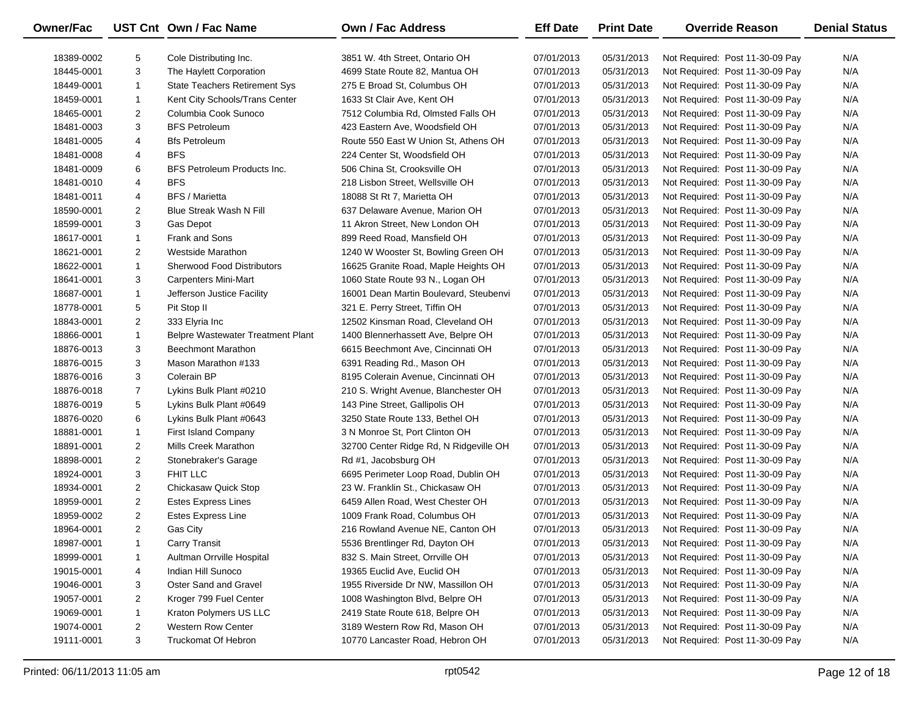| <b>Owner/Fac</b> |                | UST Cnt Own / Fac Name             | Own / Fac Address                      | <b>Eff Date</b> | <b>Print Date</b> | <b>Override Reason</b>          | <b>Denial Status</b> |
|------------------|----------------|------------------------------------|----------------------------------------|-----------------|-------------------|---------------------------------|----------------------|
| 18389-0002       | 5              | Cole Distributing Inc.             | 3851 W. 4th Street, Ontario OH         | 07/01/2013      | 05/31/2013        | Not Required: Post 11-30-09 Pay | N/A                  |
| 18445-0001       | 3              | The Haylett Corporation            | 4699 State Route 82, Mantua OH         | 07/01/2013      | 05/31/2013        | Not Required: Post 11-30-09 Pay | N/A                  |
| 18449-0001       | $\mathbf{1}$   | State Teachers Retirement Sys      | 275 E Broad St, Columbus OH            | 07/01/2013      | 05/31/2013        | Not Required: Post 11-30-09 Pay | N/A                  |
| 18459-0001       | 1              | Kent City Schools/Trans Center     | 1633 St Clair Ave, Kent OH             | 07/01/2013      | 05/31/2013        | Not Required: Post 11-30-09 Pay | N/A                  |
| 18465-0001       | $\overline{2}$ | Columbia Cook Sunoco               | 7512 Columbia Rd, Olmsted Falls OH     | 07/01/2013      | 05/31/2013        | Not Required: Post 11-30-09 Pay | N/A                  |
| 18481-0003       | 3              | <b>BFS Petroleum</b>               | 423 Eastern Ave, Woodsfield OH         | 07/01/2013      | 05/31/2013        | Not Required: Post 11-30-09 Pay | N/A                  |
| 18481-0005       | 4              | <b>Bfs Petroleum</b>               | Route 550 East W Union St, Athens OH   | 07/01/2013      | 05/31/2013        | Not Required: Post 11-30-09 Pay | N/A                  |
| 18481-0008       | 4              | <b>BFS</b>                         | 224 Center St, Woodsfield OH           | 07/01/2013      | 05/31/2013        | Not Required: Post 11-30-09 Pay | N/A                  |
| 18481-0009       | 6              | <b>BFS Petroleum Products Inc.</b> | 506 China St, Crooksville OH           | 07/01/2013      | 05/31/2013        | Not Required: Post 11-30-09 Pay | N/A                  |
| 18481-0010       | 4              | <b>BFS</b>                         | 218 Lisbon Street, Wellsville OH       | 07/01/2013      | 05/31/2013        | Not Required: Post 11-30-09 Pay | N/A                  |
| 18481-0011       | 4              | <b>BFS / Marietta</b>              | 18088 St Rt 7, Marietta OH             | 07/01/2013      | 05/31/2013        | Not Required: Post 11-30-09 Pay | N/A                  |
| 18590-0001       | $\overline{2}$ | <b>Blue Streak Wash N Fill</b>     | 637 Delaware Avenue, Marion OH         | 07/01/2013      | 05/31/2013        | Not Required: Post 11-30-09 Pay | N/A                  |
| 18599-0001       | 3              | Gas Depot                          | 11 Akron Street, New London OH         | 07/01/2013      | 05/31/2013        | Not Required: Post 11-30-09 Pay | N/A                  |
| 18617-0001       | $\mathbf{1}$   | Frank and Sons                     | 899 Reed Road, Mansfield OH            | 07/01/2013      | 05/31/2013        | Not Required: Post 11-30-09 Pay | N/A                  |
| 18621-0001       | $\overline{2}$ | <b>Westside Marathon</b>           | 1240 W Wooster St, Bowling Green OH    | 07/01/2013      | 05/31/2013        | Not Required: Post 11-30-09 Pay | N/A                  |
| 18622-0001       | $\mathbf{1}$   | <b>Sherwood Food Distributors</b>  | 16625 Granite Road, Maple Heights OH   | 07/01/2013      | 05/31/2013        | Not Required: Post 11-30-09 Pay | N/A                  |
| 18641-0001       | 3              | <b>Carpenters Mini-Mart</b>        | 1060 State Route 93 N., Logan OH       | 07/01/2013      | 05/31/2013        | Not Required: Post 11-30-09 Pay | N/A                  |
| 18687-0001       | $\mathbf{1}$   | Jefferson Justice Facility         | 16001 Dean Martin Boulevard, Steubenvi | 07/01/2013      | 05/31/2013        | Not Required: Post 11-30-09 Pay | N/A                  |
| 18778-0001       | 5              | Pit Stop II                        | 321 E. Perry Street, Tiffin OH         | 07/01/2013      | 05/31/2013        | Not Required: Post 11-30-09 Pay | N/A                  |
| 18843-0001       | $\overline{2}$ | 333 Elyria Inc                     | 12502 Kinsman Road, Cleveland OH       | 07/01/2013      | 05/31/2013        | Not Required: Post 11-30-09 Pay | N/A                  |
| 18866-0001       | $\mathbf{1}$   | Belpre Wastewater Treatment Plant  | 1400 Blennerhassett Ave, Belpre OH     | 07/01/2013      | 05/31/2013        | Not Required: Post 11-30-09 Pay | N/A                  |
| 18876-0013       | 3              | <b>Beechmont Marathon</b>          | 6615 Beechmont Ave, Cincinnati OH      | 07/01/2013      | 05/31/2013        | Not Required: Post 11-30-09 Pay | N/A                  |
| 18876-0015       | 3              | Mason Marathon #133                | 6391 Reading Rd., Mason OH             | 07/01/2013      | 05/31/2013        | Not Required: Post 11-30-09 Pay | N/A                  |
| 18876-0016       | 3              | Colerain BP                        | 8195 Colerain Avenue, Cincinnati OH    | 07/01/2013      | 05/31/2013        | Not Required: Post 11-30-09 Pay | N/A                  |
| 18876-0018       | $\overline{7}$ | Lykins Bulk Plant #0210            | 210 S. Wright Avenue, Blanchester OH   | 07/01/2013      | 05/31/2013        | Not Required: Post 11-30-09 Pay | N/A                  |
| 18876-0019       | 5              | Lykins Bulk Plant #0649            | 143 Pine Street, Gallipolis OH         | 07/01/2013      | 05/31/2013        | Not Required: Post 11-30-09 Pay | N/A                  |
| 18876-0020       | 6              | Lykins Bulk Plant #0643            | 3250 State Route 133, Bethel OH        | 07/01/2013      | 05/31/2013        | Not Required: Post 11-30-09 Pay | N/A                  |
| 18881-0001       | $\mathbf{1}$   | First Island Company               | 3 N Monroe St, Port Clinton OH         | 07/01/2013      | 05/31/2013        | Not Required: Post 11-30-09 Pay | N/A                  |
| 18891-0001       | $\overline{2}$ | Mills Creek Marathon               | 32700 Center Ridge Rd, N Ridgeville OH | 07/01/2013      | 05/31/2013        | Not Required: Post 11-30-09 Pay | N/A                  |
| 18898-0001       | $\overline{2}$ | Stonebraker's Garage               | Rd #1, Jacobsburg OH                   | 07/01/2013      | 05/31/2013        | Not Required: Post 11-30-09 Pay | N/A                  |
| 18924-0001       | 3              | FHIT LLC                           | 6695 Perimeter Loop Road, Dublin OH    | 07/01/2013      | 05/31/2013        | Not Required: Post 11-30-09 Pay | N/A                  |
| 18934-0001       | $\overline{2}$ | Chickasaw Quick Stop               | 23 W. Franklin St., Chickasaw OH       | 07/01/2013      | 05/31/2013        | Not Required: Post 11-30-09 Pay | N/A                  |
| 18959-0001       | $\overline{2}$ | <b>Estes Express Lines</b>         | 6459 Allen Road, West Chester OH       | 07/01/2013      | 05/31/2013        | Not Required: Post 11-30-09 Pay | N/A                  |
| 18959-0002       | $\overline{2}$ | <b>Estes Express Line</b>          | 1009 Frank Road, Columbus OH           | 07/01/2013      | 05/31/2013        | Not Required: Post 11-30-09 Pay | N/A                  |
| 18964-0001       | $\overline{2}$ | Gas City                           | 216 Rowland Avenue NE, Canton OH       | 07/01/2013      | 05/31/2013        | Not Required: Post 11-30-09 Pay | N/A                  |
| 18987-0001       | 1              | <b>Carry Transit</b>               | 5536 Brentlinger Rd, Dayton OH         | 07/01/2013      | 05/31/2013        | Not Required: Post 11-30-09 Pay | N/A                  |
| 18999-0001       | -1             | Aultman Orrville Hospital          | 832 S. Main Street, Orrville OH        | 07/01/2013      | 05/31/2013        | Not Required: Post 11-30-09 Pay | N/A                  |
| 19015-0001       | 4              | Indian Hill Sunoco                 | 19365 Euclid Ave, Euclid OH            | 07/01/2013      | 05/31/2013        | Not Required: Post 11-30-09 Pay | N/A                  |
| 19046-0001       | 3              | Oster Sand and Gravel              | 1955 Riverside Dr NW, Massillon OH     | 07/01/2013      | 05/31/2013        | Not Required: Post 11-30-09 Pay | N/A                  |
| 19057-0001       | 2              | Kroger 799 Fuel Center             | 1008 Washington Blvd, Belpre OH        | 07/01/2013      | 05/31/2013        | Not Required: Post 11-30-09 Pay | N/A                  |
| 19069-0001       | $\mathbf{1}$   | Kraton Polymers US LLC             | 2419 State Route 618, Belpre OH        | 07/01/2013      | 05/31/2013        | Not Required: Post 11-30-09 Pay | N/A                  |
| 19074-0001       | 2              | <b>Western Row Center</b>          | 3189 Western Row Rd, Mason OH          | 07/01/2013      | 05/31/2013        | Not Required: Post 11-30-09 Pay | N/A                  |
| 19111-0001       | 3              | <b>Truckomat Of Hebron</b>         | 10770 Lancaster Road, Hebron OH        | 07/01/2013      | 05/31/2013        | Not Required: Post 11-30-09 Pay | N/A                  |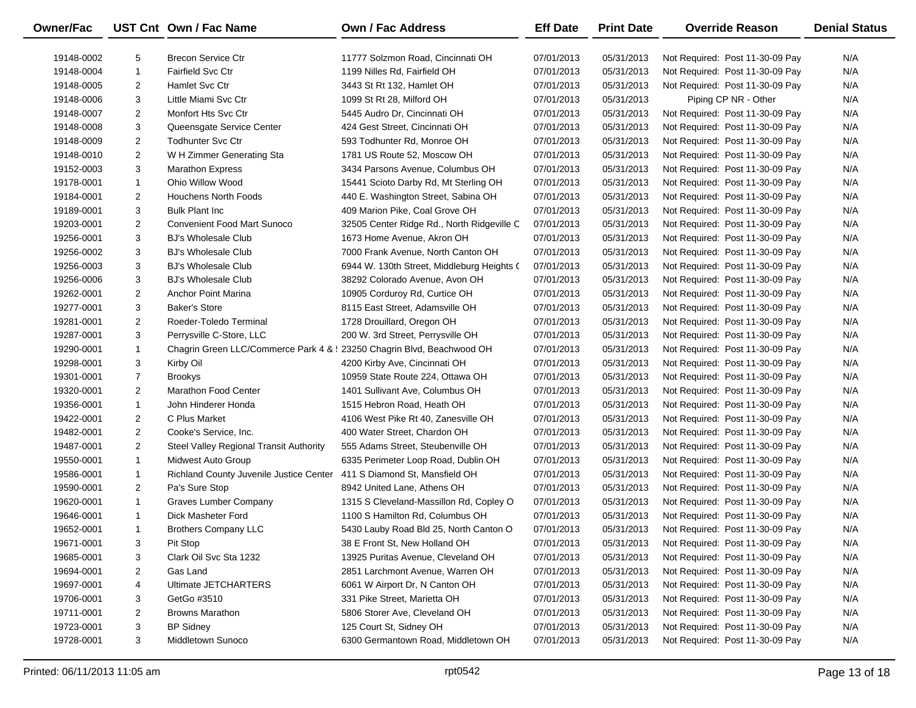| Owner/Fac  |                | UST Cnt Own / Fac Name                                                 | Own / Fac Address                          | <b>Eff Date</b> | <b>Print Date</b> | <b>Override Reason</b>          | <b>Denial Status</b> |
|------------|----------------|------------------------------------------------------------------------|--------------------------------------------|-----------------|-------------------|---------------------------------|----------------------|
| 19148-0002 | 5              | <b>Brecon Service Ctr</b>                                              | 11777 Solzmon Road, Cincinnati OH          | 07/01/2013      | 05/31/2013        | Not Required: Post 11-30-09 Pay | N/A                  |
| 19148-0004 | $\mathbf{1}$   | <b>Fairfield Svc Ctr</b>                                               | 1199 Nilles Rd, Fairfield OH               | 07/01/2013      | 05/31/2013        | Not Required: Post 11-30-09 Pay | N/A                  |
| 19148-0005 | $\overline{2}$ | <b>Hamlet Svc Ctr</b>                                                  | 3443 St Rt 132, Hamlet OH                  | 07/01/2013      | 05/31/2013        | Not Required: Post 11-30-09 Pay | N/A                  |
| 19148-0006 | 3              | Little Miami Svc Ctr                                                   | 1099 St Rt 28, Milford OH                  | 07/01/2013      | 05/31/2013        | Piping CP NR - Other            | N/A                  |
| 19148-0007 | $\overline{a}$ | Monfort Hts Svc Ctr                                                    | 5445 Audro Dr, Cincinnati OH               | 07/01/2013      | 05/31/2013        | Not Required: Post 11-30-09 Pay | N/A                  |
| 19148-0008 | 3              | Queensgate Service Center                                              | 424 Gest Street, Cincinnati OH             | 07/01/2013      | 05/31/2013        | Not Required: Post 11-30-09 Pay | N/A                  |
| 19148-0009 | $\overline{2}$ | <b>Todhunter Svc Ctr</b>                                               | 593 Todhunter Rd, Monroe OH                | 07/01/2013      | 05/31/2013        | Not Required: Post 11-30-09 Pay | N/A                  |
| 19148-0010 | $\overline{2}$ | W H Zimmer Generating Sta                                              | 1781 US Route 52, Moscow OH                | 07/01/2013      | 05/31/2013        | Not Required: Post 11-30-09 Pay | N/A                  |
| 19152-0003 | 3              | <b>Marathon Express</b>                                                | 3434 Parsons Avenue, Columbus OH           | 07/01/2013      | 05/31/2013        | Not Required: Post 11-30-09 Pay | N/A                  |
| 19178-0001 | $\mathbf{1}$   | Ohio Willow Wood                                                       | 15441 Scioto Darby Rd, Mt Sterling OH      | 07/01/2013      | 05/31/2013        | Not Required: Post 11-30-09 Pay | N/A                  |
| 19184-0001 | $\overline{2}$ | Houchens North Foods                                                   | 440 E. Washington Street, Sabina OH        | 07/01/2013      | 05/31/2013        | Not Required: Post 11-30-09 Pay | N/A                  |
| 19189-0001 | 3              | <b>Bulk Plant Inc.</b>                                                 | 409 Marion Pike, Coal Grove OH             | 07/01/2013      | 05/31/2013        | Not Required: Post 11-30-09 Pay | N/A                  |
| 19203-0001 | $\overline{2}$ | <b>Convenient Food Mart Sunoco</b>                                     | 32505 Center Ridge Rd., North Ridgeville C | 07/01/2013      | 05/31/2013        | Not Required: Post 11-30-09 Pay | N/A                  |
| 19256-0001 | 3              | <b>BJ's Wholesale Club</b>                                             | 1673 Home Avenue, Akron OH                 | 07/01/2013      | 05/31/2013        | Not Required: Post 11-30-09 Pay | N/A                  |
| 19256-0002 | 3              | <b>BJ's Wholesale Club</b>                                             | 7000 Frank Avenue, North Canton OH         | 07/01/2013      | 05/31/2013        | Not Required: Post 11-30-09 Pay | N/A                  |
| 19256-0003 | 3              | <b>BJ's Wholesale Club</b>                                             | 6944 W. 130th Street, Middleburg Heights ( | 07/01/2013      | 05/31/2013        | Not Required: Post 11-30-09 Pay | N/A                  |
| 19256-0006 | 3              | <b>BJ's Wholesale Club</b>                                             | 38292 Colorado Avenue, Avon OH             | 07/01/2013      | 05/31/2013        | Not Required: Post 11-30-09 Pay | N/A                  |
| 19262-0001 | $\overline{a}$ | Anchor Point Marina                                                    | 10905 Corduroy Rd, Curtice OH              | 07/01/2013      | 05/31/2013        | Not Required: Post 11-30-09 Pay | N/A                  |
| 19277-0001 | 3              | <b>Baker's Store</b>                                                   | 8115 East Street, Adamsville OH            | 07/01/2013      | 05/31/2013        | Not Required: Post 11-30-09 Pay | N/A                  |
| 19281-0001 | $\overline{2}$ | Roeder-Toledo Terminal                                                 | 1728 Drouillard, Oregon OH                 | 07/01/2013      | 05/31/2013        | Not Required: Post 11-30-09 Pay | N/A                  |
| 19287-0001 | 3              | Perrysville C-Store, LLC                                               | 200 W. 3rd Street, Perrysville OH          | 07/01/2013      | 05/31/2013        | Not Required: Post 11-30-09 Pay | N/A                  |
| 19290-0001 | $\mathbf{1}$   | Chagrin Green LLC/Commerce Park 4 & : 23250 Chagrin Blvd, Beachwood OH |                                            | 07/01/2013      | 05/31/2013        | Not Required: Post 11-30-09 Pay | N/A                  |
| 19298-0001 | 3              | Kirby Oil                                                              | 4200 Kirby Ave, Cincinnati OH              | 07/01/2013      | 05/31/2013        | Not Required: Post 11-30-09 Pay | N/A                  |
| 19301-0001 | $\overline{7}$ | <b>Brookys</b>                                                         | 10959 State Route 224, Ottawa OH           | 07/01/2013      | 05/31/2013        | Not Required: Post 11-30-09 Pay | N/A                  |
| 19320-0001 | $\overline{2}$ | <b>Marathon Food Center</b>                                            | 1401 Sullivant Ave, Columbus OH            | 07/01/2013      | 05/31/2013        | Not Required: Post 11-30-09 Pay | N/A                  |
| 19356-0001 | $\mathbf{1}$   | John Hinderer Honda                                                    | 1515 Hebron Road, Heath OH                 | 07/01/2013      | 05/31/2013        | Not Required: Post 11-30-09 Pay | N/A                  |
| 19422-0001 | $\overline{2}$ | C Plus Market                                                          | 4106 West Pike Rt 40, Zanesville OH        | 07/01/2013      | 05/31/2013        | Not Required: Post 11-30-09 Pay | N/A                  |
| 19482-0001 | $\overline{c}$ | Cooke's Service, Inc.                                                  | 400 Water Street, Chardon OH               | 07/01/2013      | 05/31/2013        | Not Required: Post 11-30-09 Pay | N/A                  |
| 19487-0001 | $\overline{2}$ | Steel Valley Regional Transit Authority                                | 555 Adams Street, Steubenville OH          | 07/01/2013      | 05/31/2013        | Not Required: Post 11-30-09 Pay | N/A                  |
| 19550-0001 | $\mathbf{1}$   | Midwest Auto Group                                                     | 6335 Perimeter Loop Road, Dublin OH        | 07/01/2013      | 05/31/2013        | Not Required: Post 11-30-09 Pay | N/A                  |
| 19586-0001 | $\mathbf{1}$   | Richland County Juvenile Justice Center                                | 411 S Diamond St, Mansfield OH             | 07/01/2013      | 05/31/2013        | Not Required: Post 11-30-09 Pay | N/A                  |
| 19590-0001 | $\overline{2}$ | Pa's Sure Stop                                                         | 8942 United Lane, Athens OH                | 07/01/2013      | 05/31/2013        | Not Required: Post 11-30-09 Pay | N/A                  |
| 19620-0001 | $\mathbf{1}$   | <b>Graves Lumber Company</b>                                           | 1315 S Cleveland-Massillon Rd, Copley O    | 07/01/2013      | 05/31/2013        | Not Required: Post 11-30-09 Pay | N/A                  |
| 19646-0001 | $\mathbf{1}$   | Dick Masheter Ford                                                     | 1100 S Hamilton Rd, Columbus OH            | 07/01/2013      | 05/31/2013        | Not Required: Post 11-30-09 Pay | N/A                  |
| 19652-0001 | $\mathbf{1}$   | <b>Brothers Company LLC</b>                                            | 5430 Lauby Road Bld 25, North Canton O     | 07/01/2013      | 05/31/2013        | Not Required: Post 11-30-09 Pay | N/A                  |
| 19671-0001 | 3              | Pit Stop                                                               | 38 E Front St, New Holland OH              | 07/01/2013      | 05/31/2013        | Not Required: Post 11-30-09 Pay | N/A                  |
| 19685-0001 | 3              | Clark Oil Svc Sta 1232                                                 | 13925 Puritas Avenue, Cleveland OH         | 07/01/2013      | 05/31/2013        | Not Required: Post 11-30-09 Pay | N/A                  |
| 19694-0001 | 2              | Gas Land                                                               | 2851 Larchmont Avenue, Warren OH           | 07/01/2013      | 05/31/2013        | Not Required: Post 11-30-09 Pay | N/A                  |
| 19697-0001 | 4              | Ultimate JETCHARTERS                                                   | 6061 W Airport Dr, N Canton OH             | 07/01/2013      | 05/31/2013        | Not Required: Post 11-30-09 Pay | N/A                  |
| 19706-0001 | 3              | GetGo #3510                                                            | 331 Pike Street, Marietta OH               | 07/01/2013      | 05/31/2013        | Not Required: Post 11-30-09 Pay | N/A                  |
| 19711-0001 | 2              | <b>Browns Marathon</b>                                                 | 5806 Storer Ave, Cleveland OH              | 07/01/2013      | 05/31/2013        | Not Required: Post 11-30-09 Pay | N/A                  |
| 19723-0001 | 3              | <b>BP Sidney</b>                                                       | 125 Court St, Sidney OH                    | 07/01/2013      | 05/31/2013        | Not Required: Post 11-30-09 Pay | N/A                  |
| 19728-0001 | 3              | Middletown Sunoco                                                      | 6300 Germantown Road, Middletown OH        | 07/01/2013      | 05/31/2013        | Not Required: Post 11-30-09 Pay | N/A                  |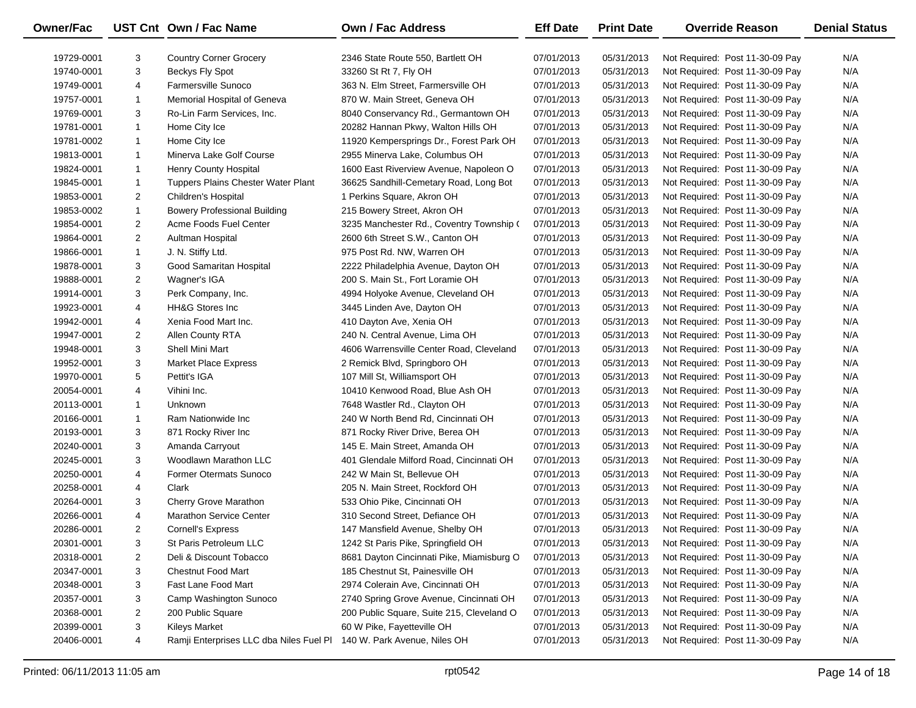| Owner/Fac  |                | UST Cnt Own / Fac Name                  | Own / Fac Address                         | <b>Eff Date</b> | <b>Print Date</b> | <b>Override Reason</b>          | <b>Denial Status</b> |
|------------|----------------|-----------------------------------------|-------------------------------------------|-----------------|-------------------|---------------------------------|----------------------|
| 19729-0001 | 3              | <b>Country Corner Grocery</b>           | 2346 State Route 550, Bartlett OH         | 07/01/2013      | 05/31/2013        | Not Required: Post 11-30-09 Pay | N/A                  |
| 19740-0001 | 3              | Beckys Fly Spot                         | 33260 St Rt 7, Fly OH                     | 07/01/2013      | 05/31/2013        | Not Required: Post 11-30-09 Pay | N/A                  |
| 19749-0001 | 4              | Farmersville Sunoco                     | 363 N. Elm Street, Farmersville OH        | 07/01/2013      | 05/31/2013        | Not Required: Post 11-30-09 Pay | N/A                  |
| 19757-0001 | $\mathbf{1}$   | Memorial Hospital of Geneva             | 870 W. Main Street, Geneva OH             | 07/01/2013      | 05/31/2013        | Not Required: Post 11-30-09 Pay | N/A                  |
| 19769-0001 | 3              | Ro-Lin Farm Services, Inc.              | 8040 Conservancy Rd., Germantown OH       | 07/01/2013      | 05/31/2013        | Not Required: Post 11-30-09 Pay | N/A                  |
| 19781-0001 | $\mathbf{1}$   | Home City Ice                           | 20282 Hannan Pkwy, Walton Hills OH        | 07/01/2013      | 05/31/2013        | Not Required: Post 11-30-09 Pay | N/A                  |
| 19781-0002 | $\mathbf{1}$   | Home City Ice                           | 11920 Kempersprings Dr., Forest Park OH   | 07/01/2013      | 05/31/2013        | Not Required: Post 11-30-09 Pay | N/A                  |
| 19813-0001 | $\mathbf{1}$   | Minerva Lake Golf Course                | 2955 Minerva Lake, Columbus OH            | 07/01/2013      | 05/31/2013        | Not Required: Post 11-30-09 Pay | N/A                  |
| 19824-0001 | $\mathbf{1}$   | <b>Henry County Hospital</b>            | 1600 East Riverview Avenue, Napoleon O    | 07/01/2013      | 05/31/2013        | Not Required: Post 11-30-09 Pay | N/A                  |
| 19845-0001 | $\mathbf{1}$   | Tuppers Plains Chester Water Plant      | 36625 Sandhill-Cemetary Road, Long Bot    | 07/01/2013      | 05/31/2013        | Not Required: Post 11-30-09 Pay | N/A                  |
| 19853-0001 | $\overline{a}$ | Children's Hospital                     | 1 Perkins Square, Akron OH                | 07/01/2013      | 05/31/2013        | Not Required: Post 11-30-09 Pay | N/A                  |
| 19853-0002 | $\mathbf{1}$   | <b>Bowery Professional Building</b>     | 215 Bowery Street, Akron OH               | 07/01/2013      | 05/31/2013        | Not Required: Post 11-30-09 Pay | N/A                  |
| 19854-0001 | $\overline{2}$ | Acme Foods Fuel Center                  | 3235 Manchester Rd., Coventry Township (  | 07/01/2013      | 05/31/2013        | Not Required: Post 11-30-09 Pay | N/A                  |
| 19864-0001 | $\overline{2}$ | Aultman Hospital                        | 2600 6th Street S.W., Canton OH           | 07/01/2013      | 05/31/2013        | Not Required: Post 11-30-09 Pay | N/A                  |
| 19866-0001 | $\mathbf{1}$   | J. N. Stiffy Ltd.                       | 975 Post Rd. NW, Warren OH                | 07/01/2013      | 05/31/2013        | Not Required: Post 11-30-09 Pay | N/A                  |
| 19878-0001 | 3              | Good Samaritan Hospital                 | 2222 Philadelphia Avenue, Dayton OH       | 07/01/2013      | 05/31/2013        | Not Required: Post 11-30-09 Pay | N/A                  |
| 19888-0001 | $\overline{2}$ | Wagner's IGA                            | 200 S. Main St., Fort Loramie OH          | 07/01/2013      | 05/31/2013        | Not Required: Post 11-30-09 Pay | N/A                  |
| 19914-0001 | 3              | Perk Company, Inc.                      | 4994 Holyoke Avenue, Cleveland OH         | 07/01/2013      | 05/31/2013        | Not Required: Post 11-30-09 Pay | N/A                  |
| 19923-0001 | 4              | <b>HH&amp;G Stores Inc</b>              | 3445 Linden Ave, Dayton OH                | 07/01/2013      | 05/31/2013        | Not Required: Post 11-30-09 Pay | N/A                  |
| 19942-0001 | 4              | Xenia Food Mart Inc.                    | 410 Dayton Ave, Xenia OH                  | 07/01/2013      | 05/31/2013        | Not Required: Post 11-30-09 Pay | N/A                  |
| 19947-0001 | $\overline{a}$ | Allen County RTA                        | 240 N. Central Avenue, Lima OH            | 07/01/2013      | 05/31/2013        | Not Required: Post 11-30-09 Pay | N/A                  |
| 19948-0001 | 3              | Shell Mini Mart                         | 4606 Warrensville Center Road, Cleveland  | 07/01/2013      | 05/31/2013        | Not Required: Post 11-30-09 Pay | N/A                  |
| 19952-0001 | 3              | <b>Market Place Express</b>             | 2 Remick Blvd, Springboro OH              | 07/01/2013      | 05/31/2013        | Not Required: Post 11-30-09 Pay | N/A                  |
| 19970-0001 | 5              | Pettit's IGA                            | 107 Mill St, Williamsport OH              | 07/01/2013      | 05/31/2013        | Not Required: Post 11-30-09 Pay | N/A                  |
| 20054-0001 | 4              | Vihini Inc.                             | 10410 Kenwood Road, Blue Ash OH           | 07/01/2013      | 05/31/2013        | Not Required: Post 11-30-09 Pay | N/A                  |
| 20113-0001 | $\mathbf{1}$   | Unknown                                 | 7648 Wastler Rd., Clayton OH              | 07/01/2013      | 05/31/2013        | Not Required: Post 11-30-09 Pay | N/A                  |
| 20166-0001 | $\mathbf{1}$   | Ram Nationwide Inc                      | 240 W North Bend Rd, Cincinnati OH        | 07/01/2013      | 05/31/2013        | Not Required: Post 11-30-09 Pay | N/A                  |
| 20193-0001 | 3              | 871 Rocky River Inc                     | 871 Rocky River Drive, Berea OH           | 07/01/2013      | 05/31/2013        | Not Required: Post 11-30-09 Pay | N/A                  |
| 20240-0001 | 3              | Amanda Carryout                         | 145 E. Main Street, Amanda OH             | 07/01/2013      | 05/31/2013        | Not Required: Post 11-30-09 Pay | N/A                  |
| 20245-0001 | 3              | Woodlawn Marathon LLC                   | 401 Glendale Milford Road, Cincinnati OH  | 07/01/2013      | 05/31/2013        | Not Required: Post 11-30-09 Pay | N/A                  |
| 20250-0001 | 4              | <b>Former Otermats Sunoco</b>           | 242 W Main St, Bellevue OH                | 07/01/2013      | 05/31/2013        | Not Required: Post 11-30-09 Pay | N/A                  |
| 20258-0001 | 4              | Clark                                   | 205 N. Main Street, Rockford OH           | 07/01/2013      | 05/31/2013        | Not Required: Post 11-30-09 Pay | N/A                  |
| 20264-0001 | 3              | Cherry Grove Marathon                   | 533 Ohio Pike, Cincinnati OH              | 07/01/2013      | 05/31/2013        | Not Required: Post 11-30-09 Pay | N/A                  |
| 20266-0001 | 4              | <b>Marathon Service Center</b>          | 310 Second Street, Defiance OH            | 07/01/2013      | 05/31/2013        | Not Required: Post 11-30-09 Pay | N/A                  |
| 20286-0001 | $\overline{2}$ | <b>Cornell's Express</b>                | 147 Mansfield Avenue, Shelby OH           | 07/01/2013      | 05/31/2013        | Not Required: Post 11-30-09 Pay | N/A                  |
| 20301-0001 | 3              | St Paris Petroleum LLC                  | 1242 St Paris Pike, Springfield OH        | 07/01/2013      | 05/31/2013        | Not Required: Post 11-30-09 Pay | N/A                  |
| 20318-0001 | 2              | Deli & Discount Tobacco                 | 8681 Dayton Cincinnati Pike, Miamisburg O | 07/01/2013      | 05/31/2013        | Not Required: Post 11-30-09 Pay | N/A                  |
| 20347-0001 | 3              | <b>Chestnut Food Mart</b>               | 185 Chestnut St, Painesville OH           | 07/01/2013      | 05/31/2013        | Not Required: Post 11-30-09 Pay | N/A                  |
| 20348-0001 | 3              | Fast Lane Food Mart                     | 2974 Colerain Ave, Cincinnati OH          | 07/01/2013      | 05/31/2013        | Not Required: Post 11-30-09 Pay | N/A                  |
| 20357-0001 | 3              | Camp Washington Sunoco                  | 2740 Spring Grove Avenue, Cincinnati OH   | 07/01/2013      | 05/31/2013        | Not Required: Post 11-30-09 Pay | N/A                  |
| 20368-0001 | 2              | 200 Public Square                       | 200 Public Square, Suite 215, Cleveland O | 07/01/2013      | 05/31/2013        | Not Required: Post 11-30-09 Pay | N/A                  |
| 20399-0001 | 3              | <b>Kileys Market</b>                    | 60 W Pike, Fayetteville OH                | 07/01/2013      | 05/31/2013        | Not Required: Post 11-30-09 Pay | N/A                  |
| 20406-0001 | 4              | Ramji Enterprises LLC dba Niles Fuel Pl | 140 W. Park Avenue, Niles OH              | 07/01/2013      | 05/31/2013        | Not Required: Post 11-30-09 Pay | N/A                  |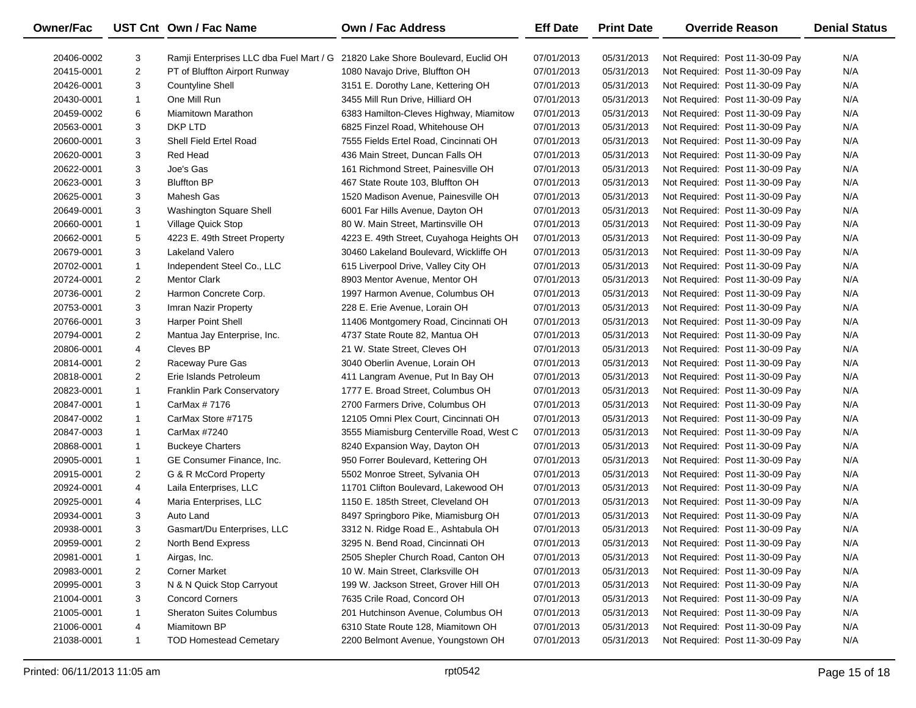| Owner/Fac  |                | UST Cnt Own / Fac Name          | <b>Own / Fac Address</b>                                                      | <b>Eff Date</b> | <b>Print Date</b> | <b>Override Reason</b>          | <b>Denial Status</b> |
|------------|----------------|---------------------------------|-------------------------------------------------------------------------------|-----------------|-------------------|---------------------------------|----------------------|
| 20406-0002 | 3              |                                 | Ramji Enterprises LLC dba Fuel Mart / G 21820 Lake Shore Boulevard, Euclid OH | 07/01/2013      | 05/31/2013        | Not Required: Post 11-30-09 Pay | N/A                  |
| 20415-0001 | $\overline{2}$ | PT of Bluffton Airport Runway   | 1080 Navajo Drive, Bluffton OH                                                | 07/01/2013      | 05/31/2013        | Not Required: Post 11-30-09 Pay | N/A                  |
| 20426-0001 | 3              | <b>Countyline Shell</b>         | 3151 E. Dorothy Lane, Kettering OH                                            | 07/01/2013      | 05/31/2013        | Not Required: Post 11-30-09 Pay | N/A                  |
| 20430-0001 | $\mathbf{1}$   | One Mill Run                    | 3455 Mill Run Drive, Hilliard OH                                              | 07/01/2013      | 05/31/2013        | Not Required: Post 11-30-09 Pay | N/A                  |
| 20459-0002 | 6              | Miamitown Marathon              | 6383 Hamilton-Cleves Highway, Miamitow                                        | 07/01/2013      | 05/31/2013        | Not Required: Post 11-30-09 Pay | N/A                  |
| 20563-0001 | 3              | DKP LTD                         | 6825 Finzel Road, Whitehouse OH                                               | 07/01/2013      | 05/31/2013        | Not Required: Post 11-30-09 Pay | N/A                  |
| 20600-0001 | 3              | Shell Field Ertel Road          | 7555 Fields Ertel Road, Cincinnati OH                                         | 07/01/2013      | 05/31/2013        | Not Required: Post 11-30-09 Pay | N/A                  |
| 20620-0001 | 3              | Red Head                        | 436 Main Street, Duncan Falls OH                                              | 07/01/2013      | 05/31/2013        | Not Required: Post 11-30-09 Pay | N/A                  |
| 20622-0001 | 3              | Joe's Gas                       | 161 Richmond Street, Painesville OH                                           | 07/01/2013      | 05/31/2013        | Not Required: Post 11-30-09 Pay | N/A                  |
| 20623-0001 | 3              | <b>Bluffton BP</b>              | 467 State Route 103, Bluffton OH                                              | 07/01/2013      | 05/31/2013        | Not Required: Post 11-30-09 Pay | N/A                  |
| 20625-0001 | 3              | Mahesh Gas                      | 1520 Madison Avenue, Painesville OH                                           | 07/01/2013      | 05/31/2013        | Not Required: Post 11-30-09 Pay | N/A                  |
| 20649-0001 | 3              | Washington Square Shell         | 6001 Far Hills Avenue, Dayton OH                                              | 07/01/2013      | 05/31/2013        | Not Required: Post 11-30-09 Pay | N/A                  |
| 20660-0001 | $\mathbf{1}$   | Village Quick Stop              | 80 W. Main Street, Martinsville OH                                            | 07/01/2013      | 05/31/2013        | Not Required: Post 11-30-09 Pay | N/A                  |
| 20662-0001 | 5              | 4223 E. 49th Street Property    | 4223 E. 49th Street, Cuyahoga Heights OH                                      | 07/01/2013      | 05/31/2013        | Not Required: Post 11-30-09 Pay | N/A                  |
| 20679-0001 | 3              | Lakeland Valero                 | 30460 Lakeland Boulevard, Wickliffe OH                                        | 07/01/2013      | 05/31/2013        | Not Required: Post 11-30-09 Pay | N/A                  |
| 20702-0001 | $\mathbf{1}$   | Independent Steel Co., LLC      | 615 Liverpool Drive, Valley City OH                                           | 07/01/2013      | 05/31/2013        | Not Required: Post 11-30-09 Pay | N/A                  |
| 20724-0001 | $\overline{2}$ | <b>Mentor Clark</b>             | 8903 Mentor Avenue, Mentor OH                                                 | 07/01/2013      | 05/31/2013        | Not Required: Post 11-30-09 Pay | N/A                  |
| 20736-0001 | $\overline{2}$ | Harmon Concrete Corp.           | 1997 Harmon Avenue, Columbus OH                                               | 07/01/2013      | 05/31/2013        | Not Required: Post 11-30-09 Pay | N/A                  |
| 20753-0001 | 3              | Imran Nazir Property            | 228 E. Erie Avenue, Lorain OH                                                 | 07/01/2013      | 05/31/2013        | Not Required: Post 11-30-09 Pay | N/A                  |
| 20766-0001 | 3              | <b>Harper Point Shell</b>       | 11406 Montgomery Road, Cincinnati OH                                          | 07/01/2013      | 05/31/2013        | Not Required: Post 11-30-09 Pay | N/A                  |
| 20794-0001 | $\overline{2}$ | Mantua Jay Enterprise, Inc.     | 4737 State Route 82, Mantua OH                                                | 07/01/2013      | 05/31/2013        | Not Required: Post 11-30-09 Pay | N/A                  |
| 20806-0001 | 4              | Cleves BP                       | 21 W. State Street, Cleves OH                                                 | 07/01/2013      | 05/31/2013        | Not Required: Post 11-30-09 Pay | N/A                  |
| 20814-0001 | $\overline{2}$ | Raceway Pure Gas                | 3040 Oberlin Avenue, Lorain OH                                                | 07/01/2013      | 05/31/2013        | Not Required: Post 11-30-09 Pay | N/A                  |
| 20818-0001 | $\overline{2}$ | Erie Islands Petroleum          | 411 Langram Avenue, Put In Bay OH                                             | 07/01/2013      | 05/31/2013        | Not Required: Post 11-30-09 Pay | N/A                  |
| 20823-0001 | $\mathbf{1}$   | Franklin Park Conservatory      | 1777 E. Broad Street, Columbus OH                                             | 07/01/2013      | 05/31/2013        | Not Required: Post 11-30-09 Pay | N/A                  |
| 20847-0001 | $\mathbf{1}$   | CarMax # 7176                   | 2700 Farmers Drive, Columbus OH                                               | 07/01/2013      | 05/31/2013        | Not Required: Post 11-30-09 Pay | N/A                  |
| 20847-0002 | $\mathbf{1}$   | CarMax Store #7175              | 12105 Omni Plex Court, Cincinnati OH                                          | 07/01/2013      | 05/31/2013        | Not Required: Post 11-30-09 Pay | N/A                  |
| 20847-0003 | $\mathbf{1}$   | CarMax #7240                    | 3555 Miamisburg Centerville Road, West C                                      | 07/01/2013      | 05/31/2013        | Not Required: Post 11-30-09 Pay | N/A                  |
| 20868-0001 | $\mathbf{1}$   | <b>Buckeye Charters</b>         | 8240 Expansion Way, Dayton OH                                                 | 07/01/2013      | 05/31/2013        | Not Required: Post 11-30-09 Pay | N/A                  |
| 20905-0001 | $\mathbf{1}$   | GE Consumer Finance, Inc.       | 950 Forrer Boulevard, Kettering OH                                            | 07/01/2013      | 05/31/2013        | Not Required: Post 11-30-09 Pay | N/A                  |
| 20915-0001 | $\overline{2}$ | G & R McCord Property           | 5502 Monroe Street, Sylvania OH                                               | 07/01/2013      | 05/31/2013        | Not Required: Post 11-30-09 Pay | N/A                  |
| 20924-0001 | 4              | Laila Enterprises, LLC          | 11701 Clifton Boulevard, Lakewood OH                                          | 07/01/2013      | 05/31/2013        | Not Required: Post 11-30-09 Pay | N/A                  |
| 20925-0001 | 4              | Maria Enterprises, LLC          | 1150 E. 185th Street, Cleveland OH                                            | 07/01/2013      | 05/31/2013        | Not Required: Post 11-30-09 Pay | N/A                  |
| 20934-0001 | 3              | Auto Land                       | 8497 Springboro Pike, Miamisburg OH                                           | 07/01/2013      | 05/31/2013        | Not Required: Post 11-30-09 Pay | N/A                  |
| 20938-0001 | 3              | Gasmart/Du Enterprises, LLC     | 3312 N. Ridge Road E., Ashtabula OH                                           | 07/01/2013      | 05/31/2013        | Not Required: Post 11-30-09 Pay | N/A                  |
| 20959-0001 | 2              | North Bend Express              | 3295 N. Bend Road, Cincinnati OH                                              | 07/01/2013      | 05/31/2013        | Not Required: Post 11-30-09 Pay | N/A                  |
| 20981-0001 | 1              | Airgas, Inc.                    | 2505 Shepler Church Road, Canton OH                                           | 07/01/2013      | 05/31/2013        | Not Required: Post 11-30-09 Pay | N/A                  |
| 20983-0001 | 2              | <b>Corner Market</b>            | 10 W. Main Street, Clarksville OH                                             | 07/01/2013      | 05/31/2013        | Not Required: Post 11-30-09 Pay | N/A                  |
| 20995-0001 | 3              | N & N Quick Stop Carryout       | 199 W. Jackson Street, Grover Hill OH                                         | 07/01/2013      | 05/31/2013        | Not Required: Post 11-30-09 Pay | N/A                  |
| 21004-0001 | 3              | <b>Concord Corners</b>          | 7635 Crile Road, Concord OH                                                   | 07/01/2013      | 05/31/2013        | Not Required: Post 11-30-09 Pay | N/A                  |
| 21005-0001 | 1              | <b>Sheraton Suites Columbus</b> | 201 Hutchinson Avenue, Columbus OH                                            | 07/01/2013      | 05/31/2013        | Not Required: Post 11-30-09 Pay | N/A                  |
| 21006-0001 | 4              | Miamitown BP                    | 6310 State Route 128, Miamitown OH                                            | 07/01/2013      | 05/31/2013        | Not Required: Post 11-30-09 Pay | N/A                  |
| 21038-0001 | $\mathbf{1}$   | <b>TOD Homestead Cemetary</b>   | 2200 Belmont Avenue, Youngstown OH                                            | 07/01/2013      | 05/31/2013        | Not Required: Post 11-30-09 Pay | N/A                  |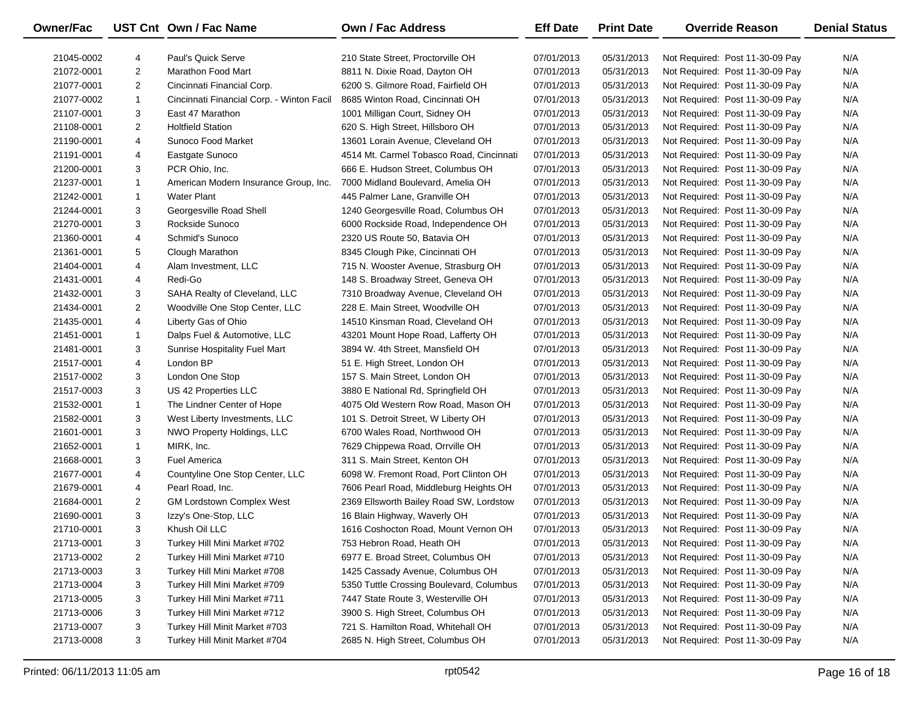| <b>Owner/Fac</b> |                | UST Cnt Own / Fac Name                    | <b>Own / Fac Address</b>                 | <b>Eff Date</b> | <b>Print Date</b> | <b>Override Reason</b>          | <b>Denial Status</b> |
|------------------|----------------|-------------------------------------------|------------------------------------------|-----------------|-------------------|---------------------------------|----------------------|
| 21045-0002       | 4              | Paul's Quick Serve                        | 210 State Street, Proctorville OH        | 07/01/2013      | 05/31/2013        | Not Required: Post 11-30-09 Pay | N/A                  |
| 21072-0001       | 2              | Marathon Food Mart                        | 8811 N. Dixie Road, Dayton OH            | 07/01/2013      | 05/31/2013        | Not Required: Post 11-30-09 Pay | N/A                  |
| 21077-0001       | 2              | Cincinnati Financial Corp.                | 6200 S. Gilmore Road, Fairfield OH       | 07/01/2013      | 05/31/2013        | Not Required: Post 11-30-09 Pay | N/A                  |
| 21077-0002       | $\mathbf{1}$   | Cincinnati Financial Corp. - Winton Facil | 8685 Winton Road, Cincinnati OH          | 07/01/2013      | 05/31/2013        | Not Required: Post 11-30-09 Pay | N/A                  |
| 21107-0001       | 3              | East 47 Marathon                          | 1001 Milligan Court, Sidney OH           | 07/01/2013      | 05/31/2013        | Not Required: Post 11-30-09 Pay | N/A                  |
| 21108-0001       | 2              | <b>Holtfield Station</b>                  | 620 S. High Street, Hillsboro OH         | 07/01/2013      | 05/31/2013        | Not Required: Post 11-30-09 Pay | N/A                  |
| 21190-0001       | 4              | Sunoco Food Market                        | 13601 Lorain Avenue, Cleveland OH        | 07/01/2013      | 05/31/2013        | Not Required: Post 11-30-09 Pay | N/A                  |
| 21191-0001       | 4              | Eastgate Sunoco                           | 4514 Mt. Carmel Tobasco Road, Cincinnati | 07/01/2013      | 05/31/2013        | Not Required: Post 11-30-09 Pay | N/A                  |
| 21200-0001       | 3              | PCR Ohio, Inc.                            | 666 E. Hudson Street, Columbus OH        | 07/01/2013      | 05/31/2013        | Not Required: Post 11-30-09 Pay | N/A                  |
| 21237-0001       | $\mathbf{1}$   | American Modern Insurance Group, Inc.     | 7000 Midland Boulevard, Amelia OH        | 07/01/2013      | 05/31/2013        | Not Required: Post 11-30-09 Pay | N/A                  |
| 21242-0001       | $\mathbf{1}$   | <b>Water Plant</b>                        | 445 Palmer Lane, Granville OH            | 07/01/2013      | 05/31/2013        | Not Required: Post 11-30-09 Pay | N/A                  |
| 21244-0001       | 3              | Georgesville Road Shell                   | 1240 Georgesville Road, Columbus OH      | 07/01/2013      | 05/31/2013        | Not Required: Post 11-30-09 Pay | N/A                  |
| 21270-0001       | 3              | Rockside Sunoco                           | 6000 Rockside Road, Independence OH      | 07/01/2013      | 05/31/2013        | Not Required: Post 11-30-09 Pay | N/A                  |
| 21360-0001       | 4              | Schmid's Sunoco                           | 2320 US Route 50, Batavia OH             | 07/01/2013      | 05/31/2013        | Not Required: Post 11-30-09 Pay | N/A                  |
| 21361-0001       | 5              | Clough Marathon                           | 8345 Clough Pike, Cincinnati OH          | 07/01/2013      | 05/31/2013        | Not Required: Post 11-30-09 Pay | N/A                  |
| 21404-0001       | 4              | Alam Investment, LLC                      | 715 N. Wooster Avenue, Strasburg OH      | 07/01/2013      | 05/31/2013        | Not Required: Post 11-30-09 Pay | N/A                  |
| 21431-0001       | 4              | Redi-Go                                   | 148 S. Broadway Street, Geneva OH        | 07/01/2013      | 05/31/2013        | Not Required: Post 11-30-09 Pay | N/A                  |
| 21432-0001       | 3              | SAHA Realty of Cleveland, LLC             | 7310 Broadway Avenue, Cleveland OH       | 07/01/2013      | 05/31/2013        | Not Required: Post 11-30-09 Pay | N/A                  |
| 21434-0001       | 2              | Woodville One Stop Center, LLC            | 228 E. Main Street, Woodville OH         | 07/01/2013      | 05/31/2013        | Not Required: Post 11-30-09 Pay | N/A                  |
| 21435-0001       | 4              | Liberty Gas of Ohio                       | 14510 Kinsman Road, Cleveland OH         | 07/01/2013      | 05/31/2013        | Not Required: Post 11-30-09 Pay | N/A                  |
| 21451-0001       | $\mathbf{1}$   | Dalps Fuel & Automotive, LLC              | 43201 Mount Hope Road, Lafferty OH       | 07/01/2013      | 05/31/2013        | Not Required: Post 11-30-09 Pay | N/A                  |
| 21481-0001       | 3              | Sunrise Hospitality Fuel Mart             | 3894 W. 4th Street, Mansfield OH         | 07/01/2013      | 05/31/2013        | Not Required: Post 11-30-09 Pay | N/A                  |
| 21517-0001       | 4              | London BP                                 | 51 E. High Street, London OH             | 07/01/2013      | 05/31/2013        | Not Required: Post 11-30-09 Pay | N/A                  |
| 21517-0002       | 3              | London One Stop                           | 157 S. Main Street, London OH            | 07/01/2013      | 05/31/2013        | Not Required: Post 11-30-09 Pay | N/A                  |
| 21517-0003       | 3              | US 42 Properties LLC                      | 3880 E National Rd, Springfield OH       | 07/01/2013      | 05/31/2013        | Not Required: Post 11-30-09 Pay | N/A                  |
| 21532-0001       | $\mathbf{1}$   | The Lindner Center of Hope                | 4075 Old Western Row Road, Mason OH      | 07/01/2013      | 05/31/2013        | Not Required: Post 11-30-09 Pay | N/A                  |
| 21582-0001       | 3              | West Liberty Investments, LLC             | 101 S. Detroit Street, W Liberty OH      | 07/01/2013      | 05/31/2013        | Not Required: Post 11-30-09 Pay | N/A                  |
| 21601-0001       | 3              | NWO Property Holdings, LLC                | 6700 Wales Road, Northwood OH            | 07/01/2013      | 05/31/2013        | Not Required: Post 11-30-09 Pay | N/A                  |
| 21652-0001       | $\mathbf{1}$   | MIRK, Inc.                                | 7629 Chippewa Road, Orrville OH          | 07/01/2013      | 05/31/2013        | Not Required: Post 11-30-09 Pay | N/A                  |
| 21668-0001       | 3              | <b>Fuel America</b>                       | 311 S. Main Street, Kenton OH            | 07/01/2013      | 05/31/2013        | Not Required: Post 11-30-09 Pay | N/A                  |
| 21677-0001       | 4              | Countyline One Stop Center, LLC           | 6098 W. Fremont Road, Port Clinton OH    | 07/01/2013      | 05/31/2013        | Not Required: Post 11-30-09 Pay | N/A                  |
| 21679-0001       | 4              | Pearl Road, Inc.                          | 7606 Pearl Road, Middleburg Heights OH   | 07/01/2013      | 05/31/2013        | Not Required: Post 11-30-09 Pay | N/A                  |
| 21684-0001       | $\overline{2}$ | <b>GM Lordstown Complex West</b>          | 2369 Ellsworth Bailey Road SW, Lordstow  | 07/01/2013      | 05/31/2013        | Not Required: Post 11-30-09 Pay | N/A                  |
| 21690-0001       | 3              | Izzy's One-Stop, LLC                      | 16 Blain Highway, Waverly OH             | 07/01/2013      | 05/31/2013        | Not Required: Post 11-30-09 Pay | N/A                  |
| 21710-0001       | 3              | Khush Oil LLC                             | 1616 Coshocton Road, Mount Vernon OH     | 07/01/2013      | 05/31/2013        | Not Required: Post 11-30-09 Pay | N/A                  |
| 21713-0001       | 3              | Turkey Hill Mini Market #702              | 753 Hebron Road, Heath OH                | 07/01/2013      | 05/31/2013        | Not Required: Post 11-30-09 Pay | N/A                  |
| 21713-0002       | 2              | Turkey Hill Mini Market #710              | 6977 E. Broad Street, Columbus OH        | 07/01/2013      | 05/31/2013        | Not Required: Post 11-30-09 Pay | N/A                  |
| 21713-0003       | 3              | Turkey Hill Mini Market #708              | 1425 Cassady Avenue, Columbus OH         | 07/01/2013      | 05/31/2013        | Not Required: Post 11-30-09 Pay | N/A                  |
| 21713-0004       | 3              | Turkey Hill Mini Market #709              | 5350 Tuttle Crossing Boulevard, Columbus | 07/01/2013      | 05/31/2013        | Not Required: Post 11-30-09 Pay | N/A                  |
| 21713-0005       | 3              | Turkey Hill Mini Market #711              | 7447 State Route 3, Westerville OH       | 07/01/2013      | 05/31/2013        | Not Required: Post 11-30-09 Pay | N/A                  |
| 21713-0006       | 3              | Turkey Hill Mini Market #712              | 3900 S. High Street, Columbus OH         | 07/01/2013      | 05/31/2013        | Not Required: Post 11-30-09 Pay | N/A                  |
| 21713-0007       | 3              | Turkey Hill Minit Market #703             | 721 S. Hamilton Road, Whitehall OH       | 07/01/2013      | 05/31/2013        | Not Required: Post 11-30-09 Pay | N/A                  |
| 21713-0008       | 3              | Turkey Hill Minit Market #704             | 2685 N. High Street, Columbus OH         | 07/01/2013      | 05/31/2013        | Not Required: Post 11-30-09 Pay | N/A                  |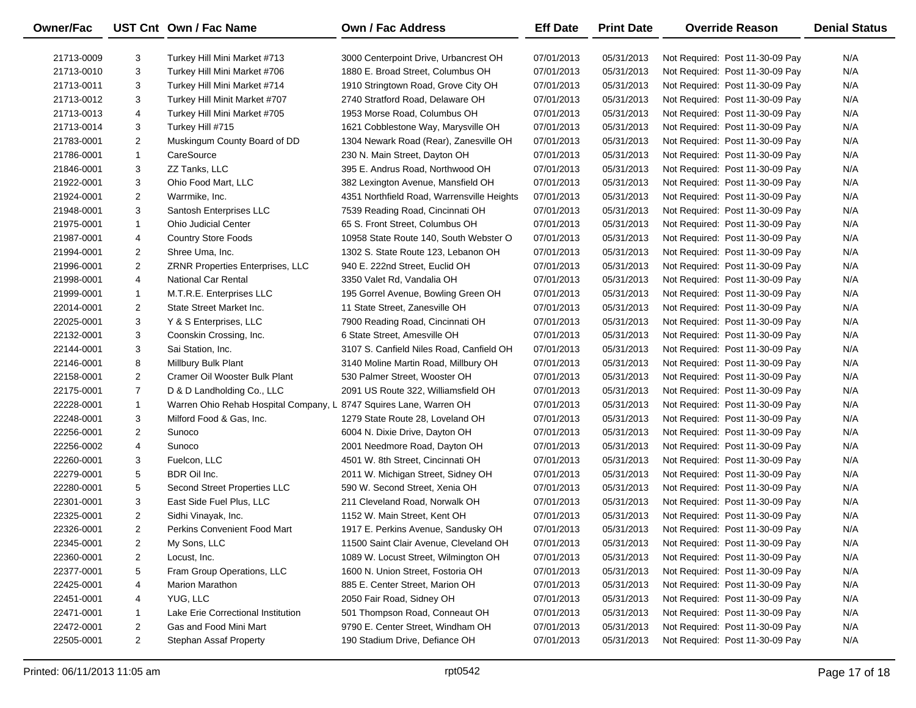| <b>Owner/Fac</b> |                         | UST Cnt Own / Fac Name                | <b>Own / Fac Address</b>                   | <b>Eff Date</b> | <b>Print Date</b> | <b>Override Reason</b>          | <b>Denial Status</b> |
|------------------|-------------------------|---------------------------------------|--------------------------------------------|-----------------|-------------------|---------------------------------|----------------------|
| 21713-0009       | 3                       | Turkey Hill Mini Market #713          | 3000 Centerpoint Drive, Urbancrest OH      | 07/01/2013      | 05/31/2013        | Not Required: Post 11-30-09 Pay | N/A                  |
| 21713-0010       | 3                       | Turkey Hill Mini Market #706          | 1880 E. Broad Street, Columbus OH          | 07/01/2013      | 05/31/2013        | Not Required: Post 11-30-09 Pay | N/A                  |
| 21713-0011       | 3                       | Turkey Hill Mini Market #714          | 1910 Stringtown Road, Grove City OH        | 07/01/2013      | 05/31/2013        | Not Required: Post 11-30-09 Pay | N/A                  |
| 21713-0012       | 3                       | Turkey Hill Minit Market #707         | 2740 Stratford Road, Delaware OH           | 07/01/2013      | 05/31/2013        | Not Required: Post 11-30-09 Pay | N/A                  |
| 21713-0013       | 4                       | Turkey Hill Mini Market #705          | 1953 Morse Road, Columbus OH               | 07/01/2013      | 05/31/2013        | Not Required: Post 11-30-09 Pay | N/A                  |
| 21713-0014       | 3                       | Turkey Hill #715                      | 1621 Cobblestone Way, Marysville OH        | 07/01/2013      | 05/31/2013        | Not Required: Post 11-30-09 Pay | N/A                  |
| 21783-0001       | $\overline{2}$          | Muskingum County Board of DD          | 1304 Newark Road (Rear), Zanesville OH     | 07/01/2013      | 05/31/2013        | Not Required: Post 11-30-09 Pay | N/A                  |
| 21786-0001       | $\mathbf{1}$            | CareSource                            | 230 N. Main Street, Dayton OH              | 07/01/2013      | 05/31/2013        | Not Required: Post 11-30-09 Pay | N/A                  |
| 21846-0001       | 3                       | ZZ Tanks, LLC                         | 395 E. Andrus Road, Northwood OH           | 07/01/2013      | 05/31/2013        | Not Required: Post 11-30-09 Pay | N/A                  |
| 21922-0001       | 3                       | Ohio Food Mart, LLC                   | 382 Lexington Avenue, Mansfield OH         | 07/01/2013      | 05/31/2013        | Not Required: Post 11-30-09 Pay | N/A                  |
| 21924-0001       | $\overline{2}$          | Warrmike, Inc.                        | 4351 Northfield Road, Warrensville Heights | 07/01/2013      | 05/31/2013        | Not Required: Post 11-30-09 Pay | N/A                  |
| 21948-0001       | 3                       | Santosh Enterprises LLC               | 7539 Reading Road, Cincinnati OH           | 07/01/2013      | 05/31/2013        | Not Required: Post 11-30-09 Pay | N/A                  |
| 21975-0001       | $\mathbf{1}$            | <b>Ohio Judicial Center</b>           | 65 S. Front Street, Columbus OH            | 07/01/2013      | 05/31/2013        | Not Required: Post 11-30-09 Pay | N/A                  |
| 21987-0001       | 4                       | <b>Country Store Foods</b>            | 10958 State Route 140, South Webster O     | 07/01/2013      | 05/31/2013        | Not Required: Post 11-30-09 Pay | N/A                  |
| 21994-0001       | $\overline{2}$          | Shree Uma, Inc.                       | 1302 S. State Route 123, Lebanon OH        | 07/01/2013      | 05/31/2013        | Not Required: Post 11-30-09 Pay | N/A                  |
| 21996-0001       | $\overline{2}$          | ZRNR Properties Enterprises, LLC      | 940 E. 222nd Street, Euclid OH             | 07/01/2013      | 05/31/2013        | Not Required: Post 11-30-09 Pay | N/A                  |
| 21998-0001       | 4                       | <b>National Car Rental</b>            | 3350 Valet Rd, Vandalia OH                 | 07/01/2013      | 05/31/2013        | Not Required: Post 11-30-09 Pay | N/A                  |
| 21999-0001       | $\mathbf{1}$            | M.T.R.E. Enterprises LLC              | 195 Gorrel Avenue, Bowling Green OH        | 07/01/2013      | 05/31/2013        | Not Required: Post 11-30-09 Pay | N/A                  |
| 22014-0001       | $\overline{2}$          | State Street Market Inc.              | 11 State Street, Zanesville OH             | 07/01/2013      | 05/31/2013        | Not Required: Post 11-30-09 Pay | N/A                  |
| 22025-0001       | 3                       | Y & S Enterprises, LLC                | 7900 Reading Road, Cincinnati OH           | 07/01/2013      | 05/31/2013        | Not Required: Post 11-30-09 Pay | N/A                  |
| 22132-0001       | 3                       | Coonskin Crossing, Inc.               | 6 State Street, Amesville OH               | 07/01/2013      | 05/31/2013        | Not Required: Post 11-30-09 Pay | N/A                  |
| 22144-0001       | 3                       | Sai Station, Inc.                     | 3107 S. Canfield Niles Road, Canfield OH   | 07/01/2013      | 05/31/2013        | Not Required: Post 11-30-09 Pay | N/A                  |
| 22146-0001       | 8                       | Millbury Bulk Plant                   | 3140 Moline Martin Road, Millbury OH       | 07/01/2013      | 05/31/2013        | Not Required: Post 11-30-09 Pay | N/A                  |
| 22158-0001       | $\overline{2}$          | Cramer Oil Wooster Bulk Plant         | 530 Palmer Street, Wooster OH              | 07/01/2013      | 05/31/2013        | Not Required: Post 11-30-09 Pay | N/A                  |
| 22175-0001       | $\overline{7}$          | D & D Landholding Co., LLC            | 2091 US Route 322, Williamsfield OH        | 07/01/2013      | 05/31/2013        | Not Required: Post 11-30-09 Pay | N/A                  |
| 22228-0001       | $\mathbf{1}$            | Warren Ohio Rehab Hospital Company, L | 8747 Squires Lane, Warren OH               | 07/01/2013      | 05/31/2013        | Not Required: Post 11-30-09 Pay | N/A                  |
| 22248-0001       | 3                       | Milford Food & Gas, Inc.              | 1279 State Route 28, Loveland OH           | 07/01/2013      | 05/31/2013        | Not Required: Post 11-30-09 Pay | N/A                  |
| 22256-0001       | $\overline{2}$          | Sunoco                                | 6004 N. Dixie Drive, Dayton OH             | 07/01/2013      | 05/31/2013        | Not Required: Post 11-30-09 Pay | N/A                  |
| 22256-0002       | 4                       | Sunoco                                | 2001 Needmore Road, Dayton OH              | 07/01/2013      | 05/31/2013        | Not Required: Post 11-30-09 Pay | N/A                  |
| 22260-0001       | 3                       | Fuelcon, LLC                          | 4501 W. 8th Street, Cincinnati OH          | 07/01/2013      | 05/31/2013        | Not Required: Post 11-30-09 Pay | N/A                  |
| 22279-0001       | 5                       | BDR Oil Inc.                          | 2011 W. Michigan Street, Sidney OH         | 07/01/2013      | 05/31/2013        | Not Required: Post 11-30-09 Pay | N/A                  |
| 22280-0001       | 5                       | Second Street Properties LLC          | 590 W. Second Street, Xenia OH             | 07/01/2013      | 05/31/2013        | Not Required: Post 11-30-09 Pay | N/A                  |
| 22301-0001       | 3                       | East Side Fuel Plus, LLC              | 211 Cleveland Road, Norwalk OH             | 07/01/2013      | 05/31/2013        | Not Required: Post 11-30-09 Pay | N/A                  |
| 22325-0001       | $\overline{2}$          | Sidhi Vinayak, Inc.                   | 1152 W. Main Street, Kent OH               | 07/01/2013      | 05/31/2013        | Not Required: Post 11-30-09 Pay | N/A                  |
| 22326-0001       | $\overline{\mathbf{c}}$ | Perkins Convenient Food Mart          | 1917 E. Perkins Avenue, Sandusky OH        | 07/01/2013      | 05/31/2013        | Not Required: Post 11-30-09 Pay | N/A                  |
| 22345-0001       | 2                       | My Sons, LLC                          | 11500 Saint Clair Avenue, Cleveland OH     | 07/01/2013      | 05/31/2013        | Not Required: Post 11-30-09 Pay | N/A                  |
| 22360-0001       | $\overline{2}$          | Locust, Inc.                          | 1089 W. Locust Street, Wilmington OH       | 07/01/2013      | 05/31/2013        | Not Required: Post 11-30-09 Pay | N/A                  |
| 22377-0001       | 5                       | Fram Group Operations, LLC            | 1600 N. Union Street, Fostoria OH          | 07/01/2013      | 05/31/2013        | Not Required: Post 11-30-09 Pay | N/A                  |
| 22425-0001       | 4                       | <b>Marion Marathon</b>                | 885 E. Center Street, Marion OH            | 07/01/2013      | 05/31/2013        | Not Required: Post 11-30-09 Pay | N/A                  |
| 22451-0001       | 4                       | YUG, LLC                              | 2050 Fair Road, Sidney OH                  | 07/01/2013      | 05/31/2013        | Not Required: Post 11-30-09 Pay | N/A                  |
| 22471-0001       | $\mathbf{1}$            | Lake Erie Correctional Institution    | 501 Thompson Road, Conneaut OH             | 07/01/2013      | 05/31/2013        | Not Required: Post 11-30-09 Pay | N/A                  |
| 22472-0001       | $\overline{2}$          | Gas and Food Mini Mart                | 9790 E. Center Street, Windham OH          | 07/01/2013      | 05/31/2013        | Not Required: Post 11-30-09 Pay | N/A                  |
| 22505-0001       | $\overline{2}$          | <b>Stephan Assaf Property</b>         | 190 Stadium Drive, Defiance OH             | 07/01/2013      | 05/31/2013        | Not Required: Post 11-30-09 Pay | N/A                  |